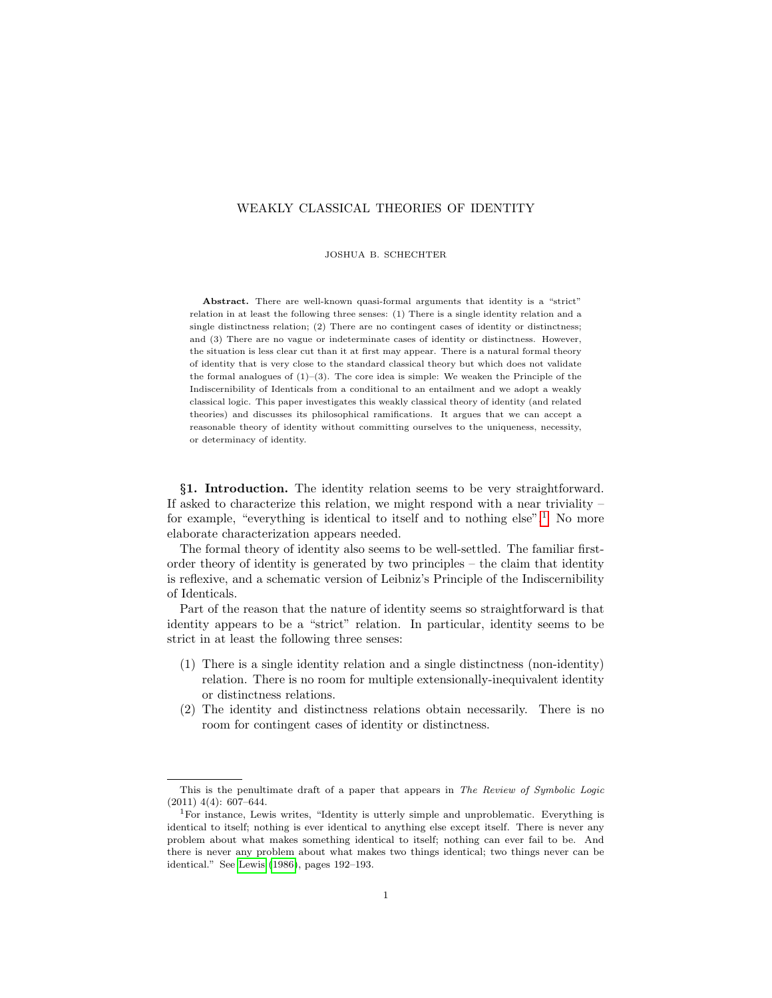## WEAKLY CLASSICAL THEORIES OF IDENTITY

#### JOSHUA B. SCHECHTER

Abstract. There are well-known quasi-formal arguments that identity is a "strict" relation in at least the following three senses: (1) There is a single identity relation and a single distinctness relation; (2) There are no contingent cases of identity or distinctness; and (3) There are no vague or indeterminate cases of identity or distinctness. However, the situation is less clear cut than it at first may appear. There is a natural formal theory of identity that is very close to the standard classical theory but which does not validate the formal analogues of  $(1)-(3)$ . The core idea is simple: We weaken the Principle of the Indiscernibility of Identicals from a conditional to an entailment and we adopt a weakly classical logic. This paper investigates this weakly classical theory of identity (and related theories) and discusses its philosophical ramifications. It argues that we can accept a reasonable theory of identity without committing ourselves to the uniqueness, necessity, or determinacy of identity.

§1. Introduction. The identity relation seems to be very straightforward. If asked to characterize this relation, we might respond with a near triviality  $-$ for example, "everything is identical to itself and to nothing else".<sup>[1](#page-0-0)</sup> No more elaborate characterization appears needed.

The formal theory of identity also seems to be well-settled. The familiar firstorder theory of identity is generated by two principles – the claim that identity is reflexive, and a schematic version of Leibniz's Principle of the Indiscernibility of Identicals.

Part of the reason that the nature of identity seems so straightforward is that identity appears to be a "strict" relation. In particular, identity seems to be strict in at least the following three senses:

- (1) There is a single identity relation and a single distinctness (non-identity) relation. There is no room for multiple extensionally-inequivalent identity or distinctness relations.
- (2) The identity and distinctness relations obtain necessarily. There is no room for contingent cases of identity or distinctness.

This is the penultimate draft of a paper that appears in The Review of Symbolic Logic (2011) 4(4): 607–644.

<span id="page-0-0"></span><sup>1</sup>For instance, Lewis writes, "Identity is utterly simple and unproblematic. Everything is identical to itself; nothing is ever identical to anything else except itself. There is never any problem about what makes something identical to itself; nothing can ever fail to be. And there is never any problem about what makes two things identical; two things never can be identical." See [Lewis](#page-39-0) [\(1986\)](#page-39-0), pages 192–193.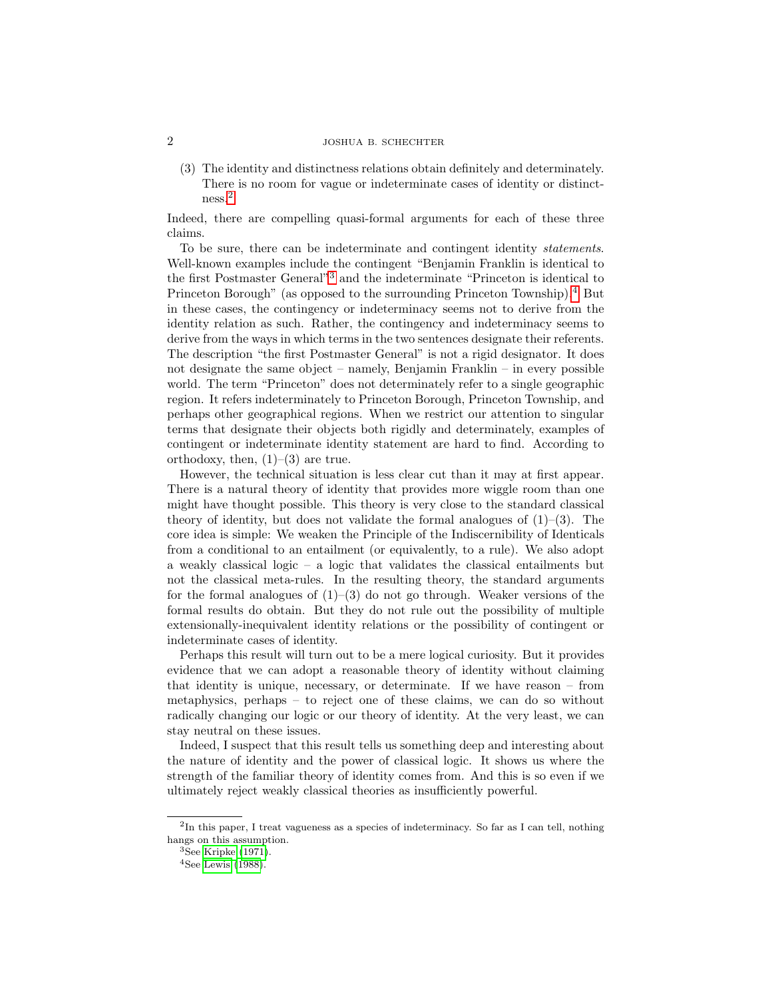# 2 JOSHUA B. SCHECHTER

(3) The identity and distinctness relations obtain definitely and determinately. There is no room for vague or indeterminate cases of identity or distinct- $\mathrm{ness.}^2$  $\mathrm{ness.}^2$ 

Indeed, there are compelling quasi-formal arguments for each of these three claims.

To be sure, there can be indeterminate and contingent identity statements. Well-known examples include the contingent "Benjamin Franklin is identical to the first Postmaster General"[3](#page-1-1) and the indeterminate "Princeton is identical to Princeton Borough" (as opposed to the surrounding Princeton Township).<sup>[4](#page-1-2)</sup> But in these cases, the contingency or indeterminacy seems not to derive from the identity relation as such. Rather, the contingency and indeterminacy seems to derive from the ways in which terms in the two sentences designate their referents. The description "the first Postmaster General" is not a rigid designator. It does not designate the same object – namely, Benjamin Franklin – in every possible world. The term "Princeton" does not determinately refer to a single geographic region. It refers indeterminately to Princeton Borough, Princeton Township, and perhaps other geographical regions. When we restrict our attention to singular terms that designate their objects both rigidly and determinately, examples of contingent or indeterminate identity statement are hard to find. According to orthodoxy, then,  $(1)-(3)$  are true.

However, the technical situation is less clear cut than it may at first appear. There is a natural theory of identity that provides more wiggle room than one might have thought possible. This theory is very close to the standard classical theory of identity, but does not validate the formal analogues of  $(1)$ – $(3)$ . The core idea is simple: We weaken the Principle of the Indiscernibility of Identicals from a conditional to an entailment (or equivalently, to a rule). We also adopt a weakly classical logic – a logic that validates the classical entailments but not the classical meta-rules. In the resulting theory, the standard arguments for the formal analogues of  $(1)$ – $(3)$  do not go through. Weaker versions of the formal results do obtain. But they do not rule out the possibility of multiple extensionally-inequivalent identity relations or the possibility of contingent or indeterminate cases of identity.

Perhaps this result will turn out to be a mere logical curiosity. But it provides evidence that we can adopt a reasonable theory of identity without claiming that identity is unique, necessary, or determinate. If we have reason – from metaphysics, perhaps – to reject one of these claims, we can do so without radically changing our logic or our theory of identity. At the very least, we can stay neutral on these issues.

Indeed, I suspect that this result tells us something deep and interesting about the nature of identity and the power of classical logic. It shows us where the strength of the familiar theory of identity comes from. And this is so even if we ultimately reject weakly classical theories as insufficiently powerful.

<span id="page-1-0"></span><sup>&</sup>lt;sup>2</sup>In this paper, I treat vagueness as a species of indeterminacy. So far as I can tell, nothing hangs on this assumption.

<span id="page-1-1"></span> $3$ See [Kripke](#page-38-0) [\(1971\)](#page-38-0).

<span id="page-1-2"></span><sup>4</sup>See [Lewis](#page-39-1) [\(1988\)](#page-39-1).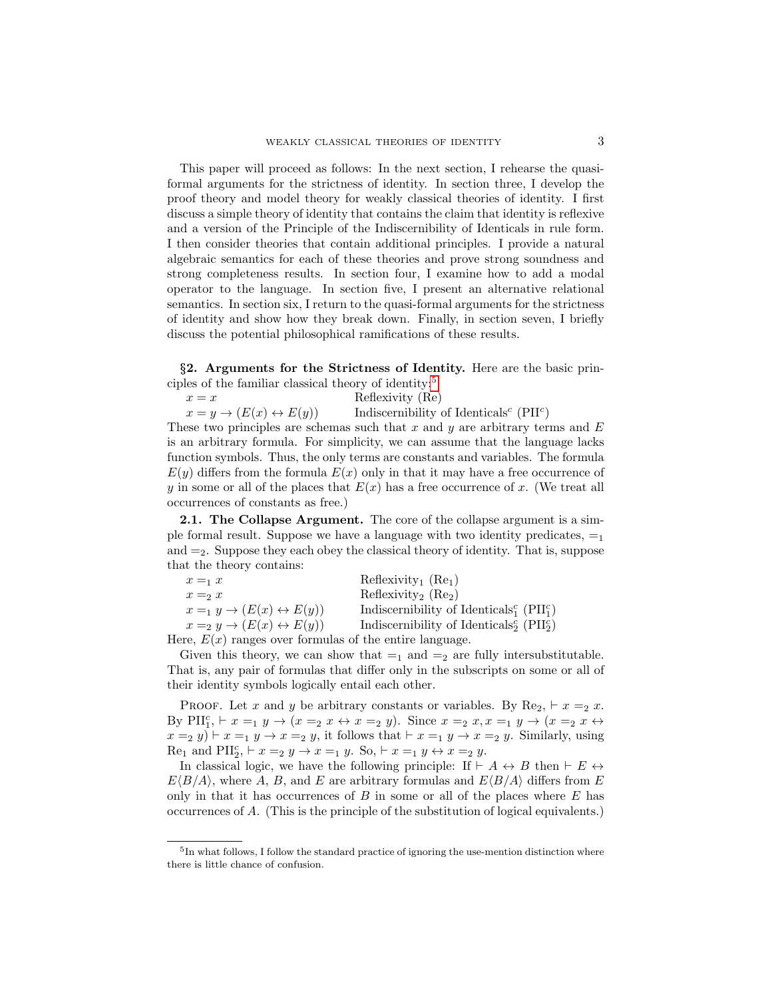This paper will proceed as follows: In the next section, I rehearse the quasiformal arguments for the strictness of identity. In section three, I develop the proof theory and model theory for weakly classical theories of identity. I first discuss a simple theory of identity that contains the claim that identity is reflexive and a version of the Principle of the Indiscernibility of Identicals in rule form. I then consider theories that contain additional principles. I provide a natural algebraic semantics for each of these theories and prove strong soundness and strong completeness results. In section four, I examine how to add a modal operator to the language. In section five, I present an alternative relational semantics. In section six, I return to the quasi-formal arguments for the strictness of identity and show how they break down. Finally, in section seven, I briefly discuss the potential philosophical ramifications of these results.

§2. Arguments for the Strictness of Identity. Here are the basic principles of the familiar classical theory of identity:[5](#page-2-0)

 $x = x$  Reflexivity (Re)  $x = y \rightarrow (E(x) \leftrightarrow E(y))$  Indiscernibility of Identicals<sup>c</sup> (PII<sup>c</sup>) These two principles are schemas such that x and y are arbitrary terms and  $E$ is an arbitrary formula. For simplicity, we can assume that the language lacks function symbols. Thus, the only terms are constants and variables. The formula  $E(y)$  differs from the formula  $E(x)$  only in that it may have a free occurrence of y in some or all of the places that  $E(x)$  has a free occurrence of x. (We treat all occurrences of constants as free.)

2.1. The Collapse Argument. The core of the collapse argument is a simple formal result. Suppose we have a language with two identity predicates,  $=_1$ and  $=_2$ . Suppose they each obey the classical theory of identity. That is, suppose that the theory contains:

| $x =_1 x$                                         | $Reflexivity_1 (Re_1)$                                                                    |
|---------------------------------------------------|-------------------------------------------------------------------------------------------|
| $x =_2 x$                                         | Reflexivity <sub>2</sub> $(Re2)$                                                          |
| $x=_1 y \rightarrow (E(x) \leftrightarrow E(y))$  | Indiscernibility of Identicals <sup><math>c</math></sup> (PII <sup><math>c</math></sup> ) |
| $x =_2 y \rightarrow (E(x) \leftrightarrow E(y))$ | Indiscernibility of Identicals <sup>c</sup> (PII <sup>c</sup> )                           |
|                                                   |                                                                                           |

Here,  $E(x)$  ranges over formulas of the entire language.

Given this theory, we can show that  $=1$  and  $=2$  are fully intersubstitutable. That is, any pair of formulas that differ only in the subscripts on some or all of their identity symbols logically entail each other.

PROOF. Let x and y be arbitrary constants or variables. By Re<sub>2</sub>,  $\vdash x =_2 x$ . By PII<sup>c</sup><sub>1</sub>,  $\vdash x =_1 y \rightarrow (x =_2 x \leftrightarrow x =_2 y)$ . Since  $x =_2 x, x =_1 y \rightarrow (x =_2 x \leftrightarrow x)$  $x =_2 y$   $\vdash x =_1 y \rightarrow x =_2 y$ , it follows that  $\vdash x =_1 y \rightarrow x =_2 y$ . Similarly, using  $\text{Re}_1 \text{ and } \text{PII}_2^c, \vdash x =_2 y \to x =_1 y. \text{ So}, \vdash x =_1 y \leftrightarrow x =_2 y.$ 

In classical logic, we have the following principle: If  $\vdash A \leftrightarrow B$  then  $\vdash E \leftrightarrow$  $E\langle B/A \rangle$ , where A, B, and E are arbitrary formulas and  $E\langle B/A \rangle$  differs from E only in that it has occurrences of  $B$  in some or all of the places where  $E$  has occurrences of A. (This is the principle of the substitution of logical equivalents.)

<span id="page-2-0"></span><sup>&</sup>lt;sup>5</sup>In what follows, I follow the standard practice of ignoring the use-mention distinction where there is little chance of confusion.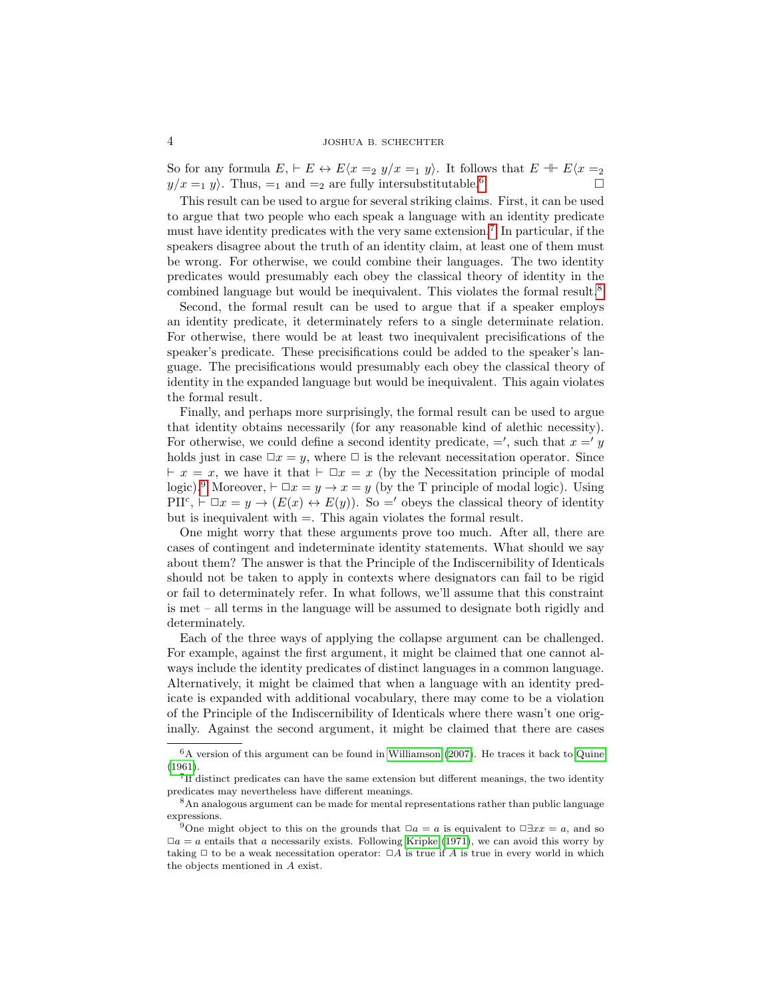So for any formula  $E, \vdash E \leftrightarrow E\langle x =_2 y/x =_1 y \rangle$ . It follows that  $E + E\langle x =_2$  $y/x =_1 y$ . Thus,  $=_1$  and  $=_2$  are fully intersubstitutable.<sup>[6](#page-3-0)</sup>

This result can be used to argue for several striking claims. First, it can be used to argue that two people who each speak a language with an identity predicate must have identity predicates with the very same extension.<sup>[7](#page-3-1)</sup> In particular, if the speakers disagree about the truth of an identity claim, at least one of them must be wrong. For otherwise, we could combine their languages. The two identity predicates would presumably each obey the classical theory of identity in the combined language but would be inequivalent. This violates the formal result.<sup>[8](#page-3-2)</sup>

Second, the formal result can be used to argue that if a speaker employs an identity predicate, it determinately refers to a single determinate relation. For otherwise, there would be at least two inequivalent precisifications of the speaker's predicate. These precisifications could be added to the speaker's language. The precisifications would presumably each obey the classical theory of identity in the expanded language but would be inequivalent. This again violates the formal result.

Finally, and perhaps more surprisingly, the formal result can be used to argue that identity obtains necessarily (for any reasonable kind of alethic necessity). For otherwise, we could define a second identity predicate,  $=$ ', such that  $x = y$ holds just in case  $\Box x = y$ , where  $\Box$  is the relevant necessitation operator. Since  $\vdash x = x$ , we have it that  $\vdash \Box x = x$  (by the Necessitation principle of modal logic).<sup>[9](#page-3-3)</sup> Moreover,  $\vdash \Box x = y \rightarrow x = y$  (by the T principle of modal logic). Using  $PII^c$ ,  $\vdash \Box x = y \rightarrow (E(x) \leftrightarrow E(y))$ . So =' obeys the classical theory of identity but is inequivalent with =. This again violates the formal result.

One might worry that these arguments prove too much. After all, there are cases of contingent and indeterminate identity statements. What should we say about them? The answer is that the Principle of the Indiscernibility of Identicals should not be taken to apply in contexts where designators can fail to be rigid or fail to determinately refer. In what follows, we'll assume that this constraint is met – all terms in the language will be assumed to designate both rigidly and determinately.

Each of the three ways of applying the collapse argument can be challenged. For example, against the first argument, it might be claimed that one cannot always include the identity predicates of distinct languages in a common language. Alternatively, it might be claimed that when a language with an identity predicate is expanded with additional vocabulary, there may come to be a violation of the Principle of the Indiscernibility of Identicals where there wasn't one originally. Against the second argument, it might be claimed that there are cases

<span id="page-3-0"></span> ${}^{6}$ A version of this argument can be found in [Williamson](#page-39-2) [\(2007\)](#page-39-2). He traces it back to [Quine](#page-39-3) [\(1961\)](#page-39-3).

<span id="page-3-1"></span><sup>&</sup>lt;sup>7</sup>If distinct predicates can have the same extension but different meanings, the two identity predicates may nevertheless have different meanings.

<span id="page-3-2"></span><sup>8</sup>An analogous argument can be made for mental representations rather than public language expressions.

<span id="page-3-3"></span><sup>&</sup>lt;sup>9</sup>One might object to this on the grounds that  $\square a = a$  is equivalent to  $\square \exists xx = a$ , and so  $\Box a = a$  entails that a necessarily exists. Following [Kripke](#page-38-0) [\(1971\)](#page-38-0), we can avoid this worry by taking  $\Box$  to be a weak necessitation operator:  $\Box A$  is true if A is true in every world in which the objects mentioned in A exist.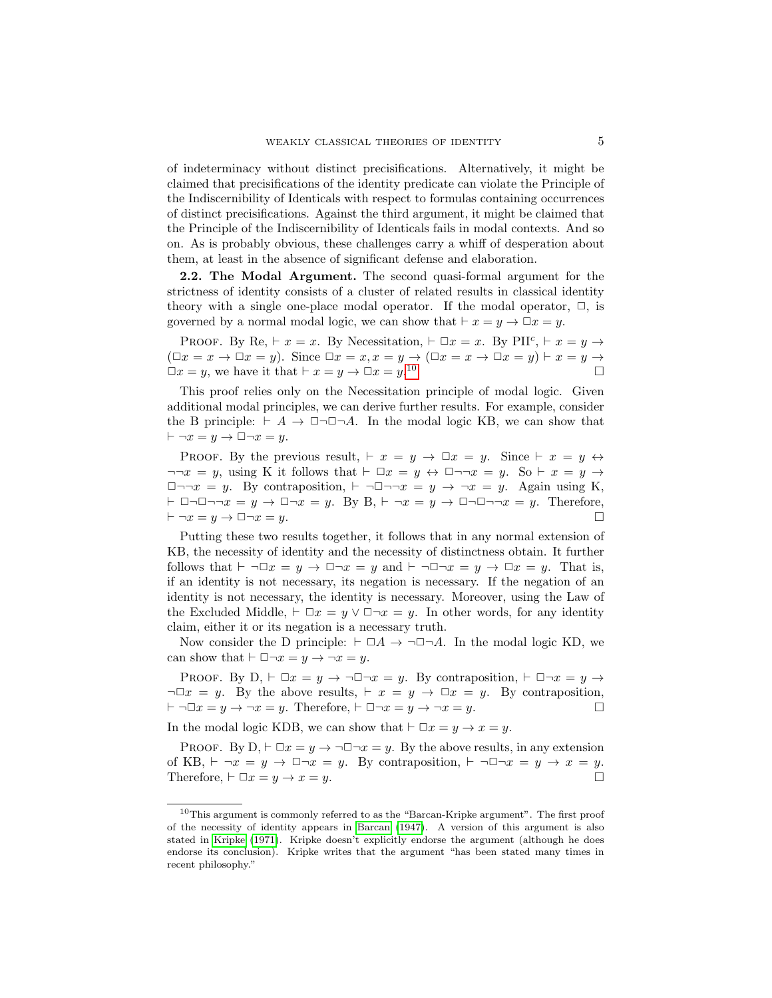of indeterminacy without distinct precisifications. Alternatively, it might be claimed that precisifications of the identity predicate can violate the Principle of the Indiscernibility of Identicals with respect to formulas containing occurrences of distinct precisifications. Against the third argument, it might be claimed that the Principle of the Indiscernibility of Identicals fails in modal contexts. And so on. As is probably obvious, these challenges carry a whiff of desperation about them, at least in the absence of significant defense and elaboration.

2.2. The Modal Argument. The second quasi-formal argument for the strictness of identity consists of a cluster of related results in classical identity theory with a single one-place modal operator. If the modal operator,  $\Box$ , is governed by a normal modal logic, we can show that  $\vdash x = y \rightarrow \Box x = y$ .

PROOF. By Re,  $\vdash x = x$ . By Necessitation,  $\vdash \Box x = x$ . By PII<sup>c</sup>,  $\vdash x = y \rightarrow$  $(\Box x = x \to \Box x = y)$ . Since  $\Box x = x, x = y \to (\Box x = x \to \Box x = y) \vdash x = y \to x$  $\Box x = y$ , we have it that  $\vdash x = y \rightarrow \Box x = y$ .<sup>10</sup> [10](#page-4-0)

This proof relies only on the Necessitation principle of modal logic. Given additional modal principles, we can derive further results. For example, consider the B principle:  $\vdash A \to \Box \neg \Box \neg A$ . In the modal logic KB, we can show that  $\vdash \neg x = y \rightarrow \Box \neg x = y.$ 

PROOF. By the previous result,  $\vdash x = y \rightarrow \Box x = y$ . Since  $\vdash x = y \leftrightarrow$  $\neg\neg x = y$ , using K it follows that  $\vdash \Box x = y \leftrightarrow \Box \neg \neg x = y$ . So  $\vdash x = y \rightarrow \Box$  $\Box \neg \neg x = y$ . By contraposition,  $\vdash \neg \Box \neg \neg x = y \rightarrow \neg x = y$ . Again using K,  $\vdash \Box \neg \Box \neg \neg x = y \rightarrow \Box \neg x = y$ . By B,  $\vdash \neg x = y \rightarrow \Box \neg \Box \neg \neg x = y$ . Therefore,  $\vdash \neg x = y \rightarrow \Box \neg x = y.$ 

Putting these two results together, it follows that in any normal extension of KB, the necessity of identity and the necessity of distinctness obtain. It further follows that  $\vdash \neg \Box x = y \rightarrow \Box \neg x = y$  and  $\vdash \neg \Box \neg x = y \rightarrow \Box x = y$ . That is, if an identity is not necessary, its negation is necessary. If the negation of an identity is not necessary, the identity is necessary. Moreover, using the Law of the Excluded Middle,  $\vdash \Box x = y \lor \Box \neg x = y$ . In other words, for any identity claim, either it or its negation is a necessary truth.

Now consider the D principle:  $\vdash \Box A \rightarrow \neg \Box \neg A$ . In the modal logic KD, we can show that  $\vdash \Box \neg x = y \rightarrow \neg x = y$ .

PROOF. By D,  $\vdash \Box x = y \rightarrow \neg \Box \neg x = y$ . By contraposition,  $\vdash \Box \neg x = y \rightarrow \bot$  $\neg \Box x = y$ . By the above results,  $\vdash x = y \rightarrow \Box x = y$ . By contraposition,  $\vdash \neg \Box x = y \rightarrow \neg x = y.$  Therefore,  $\vdash \Box \neg x = y \rightarrow \neg x = y.$ 

In the modal logic KDB, we can show that  $\vdash \Box x = y \rightarrow x = y$ .

PROOF. By D,  $\vdash \Box x = y \rightarrow \neg \Box \neg x = y$ . By the above results, in any extension of KB,  $\vdash \neg x = y \rightarrow \Box \neg x = y$ . By contraposition,  $\vdash \neg \Box \neg x = y \rightarrow x = y$ . Therefore,  $\vdash \Box x = y \rightarrow x = y$ .

<span id="page-4-0"></span> $10$ This argument is commonly referred to as the "Barcan-Kripke argument". The first proof of the necessity of identity appears in [Barcan](#page-38-1) [\(1947\)](#page-38-1). A version of this argument is also stated in [Kripke](#page-38-0) [\(1971\)](#page-38-0). Kripke doesn't explicitly endorse the argument (although he does endorse its conclusion). Kripke writes that the argument "has been stated many times in recent philosophy."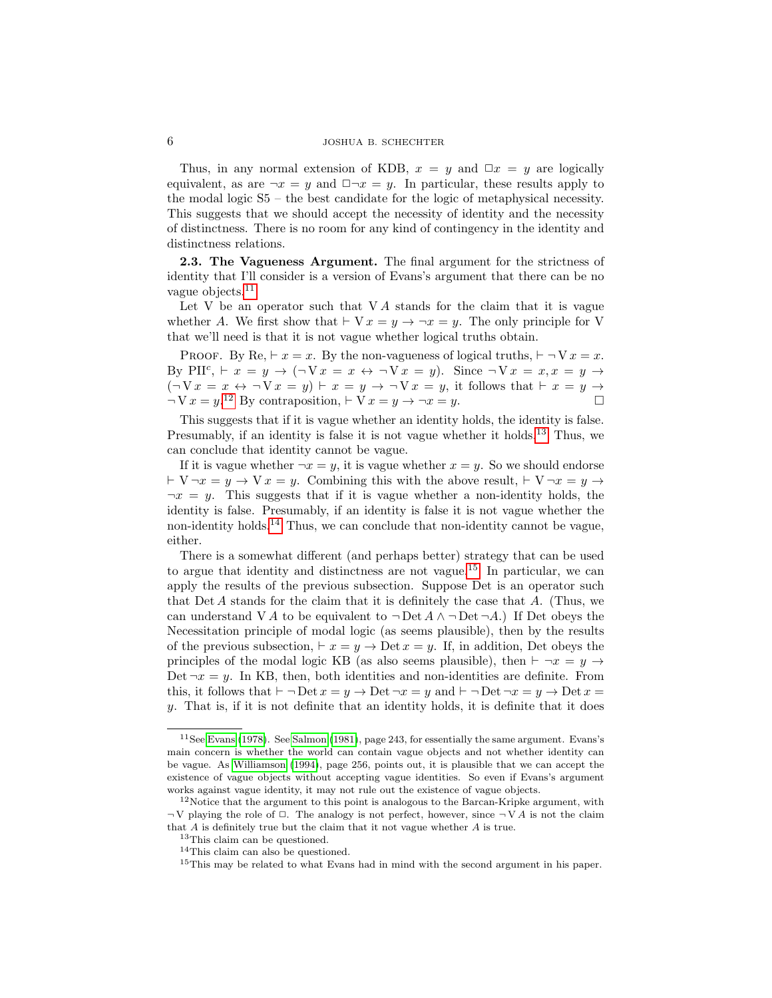Thus, in any normal extension of KDB,  $x = y$  and  $\Box x = y$  are logically equivalent, as are  $\neg x = y$  and  $\Box \neg x = y$ . In particular, these results apply to the modal logic S5 – the best candidate for the logic of metaphysical necessity. This suggests that we should accept the necessity of identity and the necessity of distinctness. There is no room for any kind of contingency in the identity and distinctness relations.

2.3. The Vagueness Argument. The final argument for the strictness of identity that I'll consider is a version of Evans's argument that there can be no vague objects. $11$ 

Let V be an operator such that  $VA$  stands for the claim that it is vague whether A. We first show that  $\vdash \nabla x = y \rightarrow \neg x = y$ . The only principle for V that we'll need is that it is not vague whether logical truths obtain.

PROOF. By Re,  $\vdash x = x$ . By the non-vagueness of logical truths,  $\vdash \neg V x = x$ . By PII<sup>c</sup>,  $\vdash x = y \rightarrow (\neg \nabla x = x \leftrightarrow \neg \nabla x = y)$ . Since  $\neg \nabla x = x, x = y \rightarrow$  $(\neg \nabla x = x \leftrightarrow \neg \nabla x = y) \vdash x = y \rightarrow \neg \nabla x = y$ , it follows that  $\vdash x = y \rightarrow$  $\neg \nabla x = y$ <sup>[12](#page-5-1)</sup> By contraposition,  $\neg \nabla x = y \rightarrow \neg x = y$ .

This suggests that if it is vague whether an identity holds, the identity is false. Presumably, if an identity is false it is not vague whether it holds.<sup>[13](#page-5-2)</sup> Thus, we can conclude that identity cannot be vague.

If it is vague whether  $\neg x = y$ , it is vague whether  $x = y$ . So we should endorse  $\vdash V \neg x = y \rightarrow V x = y$ . Combining this with the above result,  $\vdash V \neg x = y \rightarrow$  $\neg x = y$ . This suggests that if it is vague whether a non-identity holds, the identity is false. Presumably, if an identity is false it is not vague whether the non-identity holds.<sup>[14](#page-5-3)</sup> Thus, we can conclude that non-identity cannot be vague, either.

There is a somewhat different (and perhaps better) strategy that can be used to argue that identity and distinctness are not vague.<sup>[15](#page-5-4)</sup> In particular, we can apply the results of the previous subsection. Suppose Det is an operator such that  $Det A$  stands for the claim that it is definitely the case that  $A$ . (Thus, we can understand V A to be equivalent to  $\neg$ Det  $A \wedge \neg$ Det  $\neg A$ .) If Det obeys the Necessitation principle of modal logic (as seems plausible), then by the results of the previous subsection,  $\vdash x = y \rightarrow$  Det  $x = y$ . If, in addition, Det obeys the principles of the modal logic KB (as also seems plausible), then  $\vdash \neg x = y \rightarrow$ Det  $\neg x = y$ . In KB, then, both identities and non-identities are definite. From this, it follows that  $\vdash \neg \text{Det } x = y \rightarrow \text{Det } \neg x = y$  and  $\vdash \neg \text{Det } \neg x = y \rightarrow \text{Det } x =$ y. That is, if it is not definite that an identity holds, it is definite that it does

<span id="page-5-0"></span><sup>&</sup>lt;sup>11</sup>See [Evans](#page-38-2) [\(1978\)](#page-38-2). See [Salmon](#page-39-4) [\(1981\)](#page-39-4), page 243, for essentially the same argument. Evans's main concern is whether the world can contain vague objects and not whether identity can be vague. As [Williamson](#page-39-5) [\(1994\)](#page-39-5), page 256, points out, it is plausible that we can accept the existence of vague objects without accepting vague identities. So even if Evans's argument works against vague identity, it may not rule out the existence of vague objects.

<span id="page-5-1"></span> $12$ Notice that the argument to this point is analogous to the Barcan-Kripke argument, with  $\neg V$  playing the role of  $\Box$ . The analogy is not perfect, however, since  $\neg VA$  is not the claim that A is definitely true but the claim that it not vague whether A is true.

<span id="page-5-2"></span><sup>13</sup>This claim can be questioned.

<span id="page-5-3"></span><sup>&</sup>lt;sup>14</sup>This claim can also be questioned.

<span id="page-5-4"></span><sup>15</sup>This may be related to what Evans had in mind with the second argument in his paper.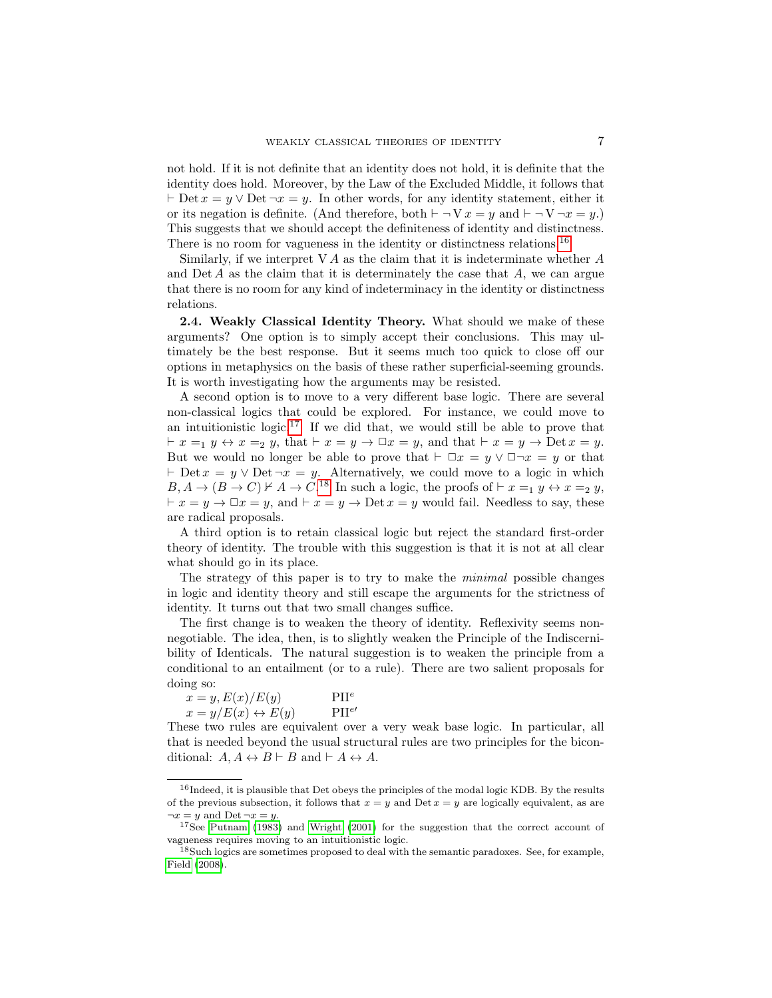not hold. If it is not definite that an identity does not hold, it is definite that the identity does hold. Moreover, by the Law of the Excluded Middle, it follows that  $\vdash$  Det  $x = y \lor$  Det  $\neg x = y$ . In other words, for any identity statement, either it or its negation is definite. (And therefore, both  $\vdash \neg V x = y$  and  $\vdash \neg V \neg x = y$ .) This suggests that we should accept the definiteness of identity and distinctness. There is no room for vagueness in the identity or distinctness relations.<sup>[16](#page-6-0)</sup>

Similarly, if we interpret  $V A$  as the claim that it is indeterminate whether  $A$ and Det A as the claim that it is determinately the case that  $A$ , we can argue that there is no room for any kind of indeterminacy in the identity or distinctness relations.

2.4. Weakly Classical Identity Theory. What should we make of these arguments? One option is to simply accept their conclusions. This may ultimately be the best response. But it seems much too quick to close off our options in metaphysics on the basis of these rather superficial-seeming grounds. It is worth investigating how the arguments may be resisted.

A second option is to move to a very different base logic. There are several non-classical logics that could be explored. For instance, we could move to an intuitionistic logic.<sup>[17](#page-6-1)</sup> If we did that, we would still be able to prove that  $\vdash x =_1 y \leftrightarrow x =_2 y$ , that  $\vdash x = y \rightarrow \Box x = y$ , and that  $\vdash x = y \rightarrow \overline{\mathrm{Det}} x = y$ . But we would no longer be able to prove that  $\vdash \Box x = y \lor \Box \neg x = y$  or that  $\vdash$  Det  $x = y \lor$  Det  $\neg x = y$ . Alternatively, we could move to a logic in which  $B, A \to (B \to C) \nvdash A \to C^{18}$  $B, A \to (B \to C) \nvdash A \to C^{18}$  $B, A \to (B \to C) \nvdash A \to C^{18}$  In such a logic, the proofs of  $\vdash x=_1 y \leftrightarrow x=_2 y$ ,  $\vdash x = y \rightarrow \Box x = y$ , and  $\vdash x = y \rightarrow \Box y = y$  would fail. Needless to say, these are radical proposals.

A third option is to retain classical logic but reject the standard first-order theory of identity. The trouble with this suggestion is that it is not at all clear what should go in its place.

The strategy of this paper is to try to make the *minimal* possible changes in logic and identity theory and still escape the arguments for the strictness of identity. It turns out that two small changes suffice.

The first change is to weaken the theory of identity. Reflexivity seems nonnegotiable. The idea, then, is to slightly weaken the Principle of the Indiscernibility of Identicals. The natural suggestion is to weaken the principle from a conditional to an entailment (or to a rule). There are two salient proposals for doing so:

$$
x = y, E(x)/E(y) \qquad \text{PII}^e
$$
  

$$
x = y/E(x) \leftrightarrow E(y) \qquad \text{PII}^{e'}
$$

These two rules are equivalent over a very weak base logic. In particular, all that is needed beyond the usual structural rules are two principles for the biconditional:  $A, A \leftrightarrow B \vdash B$  and  $\vdash A \leftrightarrow A$ .

<span id="page-6-0"></span> $16$ Indeed, it is plausible that Det obeys the principles of the modal logic KDB. By the results of the previous subsection, it follows that  $x = y$  and Det  $x = y$  are logically equivalent, as are  $\neg x = y$  and Det  $\neg x = y$ .

<span id="page-6-1"></span><sup>17</sup>See [Putnam](#page-39-6) [\(1983\)](#page-39-6) and [Wright](#page-39-7) [\(2001\)](#page-39-7) for the suggestion that the correct account of vagueness requires moving to an intuitionistic logic.

<span id="page-6-2"></span> $18$ Such logics are sometimes proposed to deal with the semantic paradoxes. See, for example, [Field](#page-38-3) [\(2008\)](#page-38-3).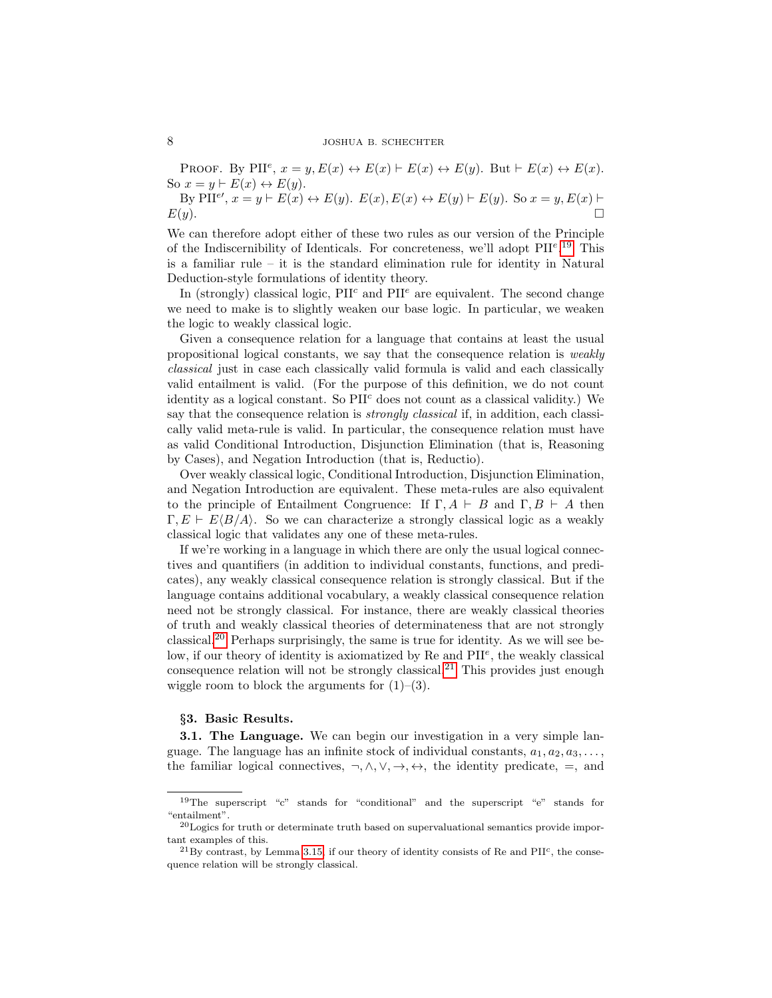### 8 JOSHUA B. SCHECHTER

PROOF. By PII<sup>e</sup>,  $x = y$ ,  $E(x) \leftrightarrow E(x) \vdash E(x) \leftrightarrow E(y)$ . But  $\vdash E(x) \leftrightarrow E(x)$ . So  $x = y \vdash E(x) \leftrightarrow E(y)$ .

By  $PII^{e'}, x = y \vdash E(x) \leftrightarrow E(y)$ .  $E(x), E(x) \leftrightarrow E(y) \vdash E(y)$ . So  $x = y, E(x) \vdash$  $E(y).$ 

We can therefore adopt either of these two rules as our version of the Principle of the Indiscernibility of Identicals. For concreteness, we'll adopt  $PII<sup>e,19</sup>$  $PII<sup>e,19</sup>$  $PII<sup>e,19</sup>$  This is a familiar rule – it is the standard elimination rule for identity in Natural Deduction-style formulations of identity theory.

In (strongly) classical logic,  $PII<sup>c</sup>$  and  $PII<sup>e</sup>$  are equivalent. The second change we need to make is to slightly weaken our base logic. In particular, we weaken the logic to weakly classical logic.

Given a consequence relation for a language that contains at least the usual propositional logical constants, we say that the consequence relation is weakly classical just in case each classically valid formula is valid and each classically valid entailment is valid. (For the purpose of this definition, we do not count identity as a logical constant. So  $PIC<sup>c</sup>$  does not count as a classical validity.) We say that the consequence relation is *strongly classical* if, in addition, each classically valid meta-rule is valid. In particular, the consequence relation must have as valid Conditional Introduction, Disjunction Elimination (that is, Reasoning by Cases), and Negation Introduction (that is, Reductio).

Over weakly classical logic, Conditional Introduction, Disjunction Elimination, and Negation Introduction are equivalent. These meta-rules are also equivalent to the principle of Entailment Congruence: If  $\Gamma, A \vdash B$  and  $\Gamma, B \vdash A$  then  $\Gamma, E \vdash E\langle B/A \rangle$ . So we can characterize a strongly classical logic as a weakly classical logic that validates any one of these meta-rules.

If we're working in a language in which there are only the usual logical connectives and quantifiers (in addition to individual constants, functions, and predicates), any weakly classical consequence relation is strongly classical. But if the language contains additional vocabulary, a weakly classical consequence relation need not be strongly classical. For instance, there are weakly classical theories of truth and weakly classical theories of determinateness that are not strongly classical.<sup>[20](#page-7-1)</sup> Perhaps surprisingly, the same is true for identity. As we will see below, if our theory of identity is axiomatized by Re and PII<sup>e</sup>, the weakly classical consequence relation will not be strongly classical.<sup>[21](#page-7-2)</sup> This provides just enough wiggle room to block the arguments for  $(1)$ – $(3)$ .

# §3. Basic Results.

3.1. The Language. We can begin our investigation in a very simple language. The language has an infinite stock of individual constants,  $a_1, a_2, a_3, \ldots$ , the familiar logical connectives,  $\neg, \wedge, \vee, \rightarrow, \leftrightarrow$ , the identity predicate,  $=$ , and

<span id="page-7-0"></span><sup>19</sup>The superscript "c" stands for "conditional" and the superscript "e" stands for "entailment".

<span id="page-7-1"></span> $^{20}$ Logics for truth or determinate truth based on supervaluational semantics provide important examples of this.

<span id="page-7-2"></span> $^{21}$ By contrast, by Lemma [3.15,](#page-15-0) if our theory of identity consists of Re and PII<sup>c</sup>, the consequence relation will be strongly classical.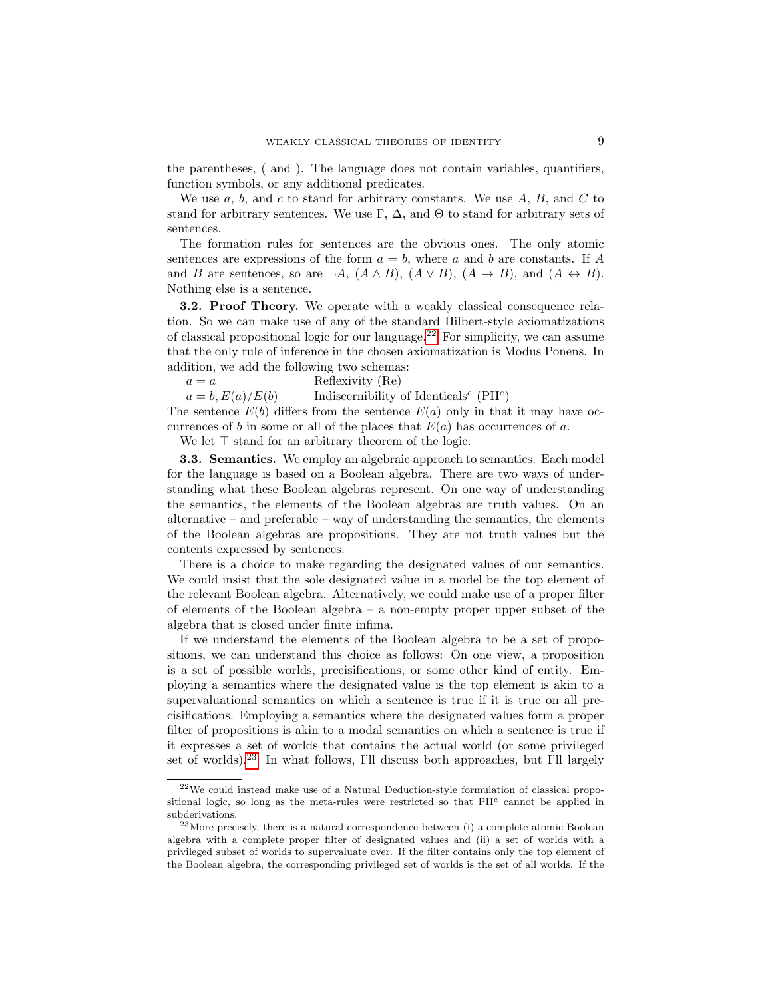the parentheses, ( and ). The language does not contain variables, quantifiers, function symbols, or any additional predicates.

We use  $a, b$ , and c to stand for arbitrary constants. We use  $A, B$ , and C to stand for arbitrary sentences. We use  $\Gamma$ ,  $\Delta$ , and  $\Theta$  to stand for arbitrary sets of sentences.

The formation rules for sentences are the obvious ones. The only atomic sentences are expressions of the form  $a = b$ , where a and b are constants. If A and B are sentences, so are  $\neg A$ ,  $(A \wedge B)$ ,  $(A \vee B)$ ,  $(A \rightarrow B)$ , and  $(A \leftrightarrow B)$ . Nothing else is a sentence.

3.2. Proof Theory. We operate with a weakly classical consequence relation. So we can make use of any of the standard Hilbert-style axiomatizations of classical propositional logic for our language.<sup>[22](#page-8-0)</sup> For simplicity, we can assume that the only rule of inference in the chosen axiomatization is Modus Ponens. In addition, we add the following two schemas:

| $a = a$ | Reflexivity (Re) |
|---------|------------------|
|---------|------------------|

 $a = b, E(a)/E(b)$  Indiscernibility of Identicals<sup>e</sup> (PII<sup>e</sup>)

The sentence  $E(b)$  differs from the sentence  $E(a)$  only in that it may have occurrences of b in some or all of the places that  $E(a)$  has occurrences of a.

We let  $\top$  stand for an arbitrary theorem of the logic.

3.3. Semantics. We employ an algebraic approach to semantics. Each model for the language is based on a Boolean algebra. There are two ways of understanding what these Boolean algebras represent. On one way of understanding the semantics, the elements of the Boolean algebras are truth values. On an alternative – and preferable – way of understanding the semantics, the elements of the Boolean algebras are propositions. They are not truth values but the contents expressed by sentences.

There is a choice to make regarding the designated values of our semantics. We could insist that the sole designated value in a model be the top element of the relevant Boolean algebra. Alternatively, we could make use of a proper filter of elements of the Boolean algebra – a non-empty proper upper subset of the algebra that is closed under finite infima.

If we understand the elements of the Boolean algebra to be a set of propositions, we can understand this choice as follows: On one view, a proposition is a set of possible worlds, precisifications, or some other kind of entity. Employing a semantics where the designated value is the top element is akin to a supervaluational semantics on which a sentence is true if it is true on all precisifications. Employing a semantics where the designated values form a proper filter of propositions is akin to a modal semantics on which a sentence is true if it expresses a set of worlds that contains the actual world (or some privileged set of worlds).<sup>[23](#page-8-1)</sup> In what follows, I'll discuss both approaches, but I'll largely

<span id="page-8-0"></span><sup>22</sup>We could instead make use of a Natural Deduction-style formulation of classical propositional logic, so long as the meta-rules were restricted so that  $PII^e$  cannot be applied in subderivations.

<span id="page-8-1"></span> $^{23}$ More precisely, there is a natural correspondence between (i) a complete atomic Boolean algebra with a complete proper filter of designated values and (ii) a set of worlds with a privileged subset of worlds to supervaluate over. If the filter contains only the top element of the Boolean algebra, the corresponding privileged set of worlds is the set of all worlds. If the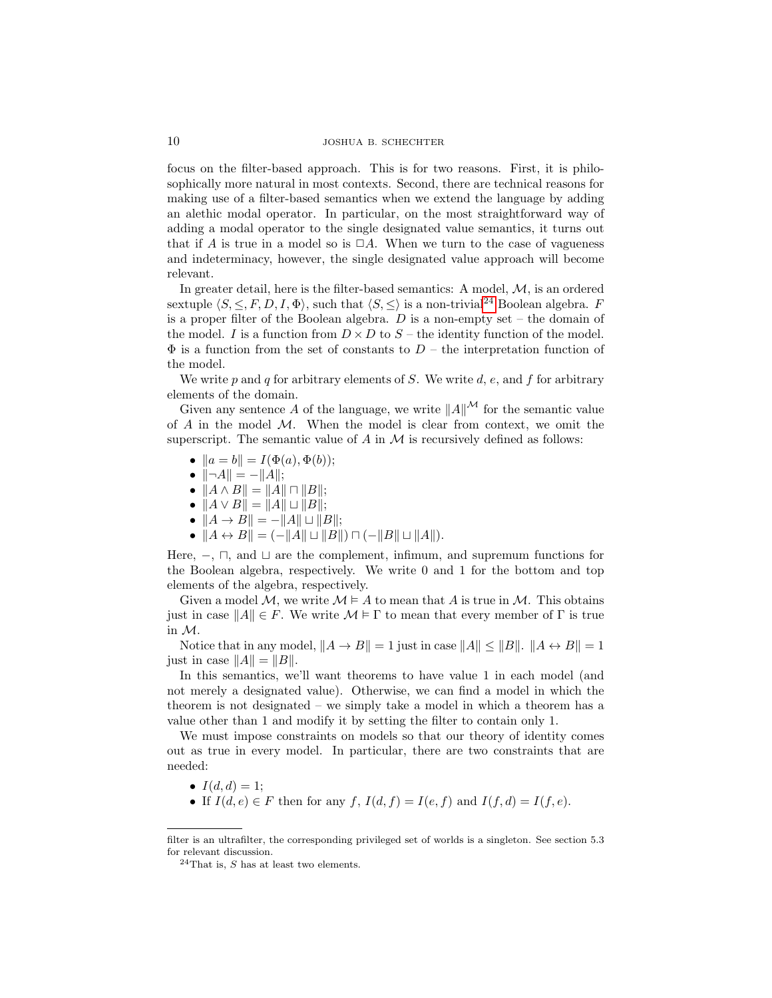focus on the filter-based approach. This is for two reasons. First, it is philosophically more natural in most contexts. Second, there are technical reasons for making use of a filter-based semantics when we extend the language by adding an alethic modal operator. In particular, on the most straightforward way of adding a modal operator to the single designated value semantics, it turns out that if A is true in a model so is  $\Box A$ . When we turn to the case of vagueness and indeterminacy, however, the single designated value approach will become relevant.

In greater detail, here is the filter-based semantics: A model,  $M$ , is an ordered sextuple  $\langle S, \leq, F, D, I, \Phi \rangle$ , such that  $\langle S, \leq \rangle$  is a non-trivial<sup>[24](#page-9-0)</sup> Boolean algebra. F is a proper filter of the Boolean algebra.  $D$  is a non-empty set – the domain of the model. I is a function from  $D \times D$  to  $S$  – the identity function of the model.  $\Phi$  is a function from the set of constants to  $D$  – the interpretation function of the model.

We write p and q for arbitrary elements of S. We write d, e, and f for arbitrary elements of the domain.

Given any sentence A of the language, we write  $||A||^{\mathcal{M}}$  for the semantic value of  $A$  in the model  $M$ . When the model is clear from context, we omit the superscript. The semantic value of  $A$  in  $M$  is recursively defined as follows:

- $\|a = b\| = I(\Phi(a), \Phi(b));$
- $\|\neg A\| = -\|A\|;$
- $||A \wedge B|| = ||A|| \cap ||B||;$
- $||A \vee B|| = ||A|| \sqcup ||B||;$
- $||A \to B|| = -||A|| \sqcup ||B||;$
- $||A \leftrightarrow B|| = (-||A|| \sqcup ||B||) \sqcap (-||B|| \sqcup ||A||).$

Here,  $\vdash$ ,  $\sqcap$ , and  $\sqcup$  are the complement, infimum, and supremum functions for the Boolean algebra, respectively. We write 0 and 1 for the bottom and top elements of the algebra, respectively.

Given a model M, we write  $\mathcal{M} \models A$  to mean that A is true in M. This obtains just in case  $||A|| \in F$ . We write  $\mathcal{M} \models \Gamma$  to mean that every member of  $\Gamma$  is true in M.

Notice that in any model,  $||A \rightarrow B|| = 1$  just in case  $||A|| \le ||B||$ .  $||A \leftrightarrow B|| = 1$ just in case  $||A|| = ||B||$ .

In this semantics, we'll want theorems to have value 1 in each model (and not merely a designated value). Otherwise, we can find a model in which the theorem is not designated – we simply take a model in which a theorem has a value other than 1 and modify it by setting the filter to contain only 1.

We must impose constraints on models so that our theory of identity comes out as true in every model. In particular, there are two constraints that are needed:

- $I(d, d) = 1$ ;
- If  $I(d, e) \in F$  then for any f,  $I(d, f) = I(e, f)$  and  $I(f, d) = I(f, e)$ .

filter is an ultrafilter, the corresponding privileged set of worlds is a singleton. See section 5.3 for relevant discussion.

<span id="page-9-0"></span> $24$ That is, S has at least two elements.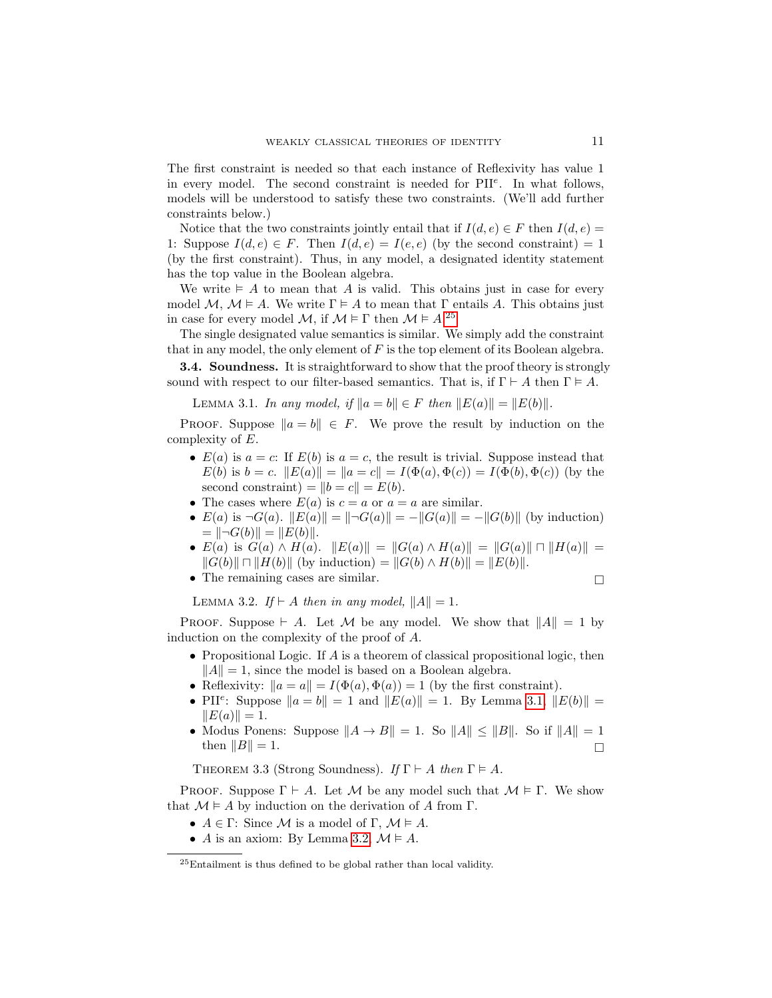The first constraint is needed so that each instance of Reflexivity has value 1 in every model. The second constraint is needed for  $PII<sup>e</sup>$ . In what follows, models will be understood to satisfy these two constraints. (We'll add further constraints below.)

Notice that the two constraints jointly entail that if  $I(d, e) \in F$  then  $I(d, e) =$ 1: Suppose  $I(d, e) \in F$ . Then  $I(d, e) = I(e, e)$  (by the second constraint) = 1 (by the first constraint). Thus, in any model, a designated identity statement has the top value in the Boolean algebra.

We write  $\models A$  to mean that A is valid. This obtains just in case for every model M,  $\mathcal{M} \models A$ . We write  $\Gamma \models A$  to mean that  $\Gamma$  entails A. This obtains just in case for every model  $\mathcal{M}$ , if  $\mathcal{M} \models \Gamma$  then  $\mathcal{M} \models A$ .<sup>[25](#page-10-0)</sup>

The single designated value semantics is similar. We simply add the constraint that in any model, the only element of  $F$  is the top element of its Boolean algebra.

3.4. Soundness. It is straightforward to show that the proof theory is strongly sound with respect to our filter-based semantics. That is, if  $\Gamma \vdash A$  then  $\Gamma \vDash A$ .

<span id="page-10-1"></span>LEMMA 3.1. In any model, if  $||a = b|| \in F$  then  $||E(a)|| = ||E(b)||$ .

PROOF. Suppose  $||a = b|| \in F$ . We prove the result by induction on the complexity of E.

- $E(a)$  is  $a = c$ : If  $E(b)$  is  $a = c$ , the result is trivial. Suppose instead that  $E(b)$  is  $b = c$ .  $||E(a)|| = ||a = c|| = I(\Phi(a), \Phi(c)) = I(\Phi(b), \Phi(c))$  (by the second constraint) =  $||b = c|| = E(b)$ .
- The cases where  $E(a)$  is  $c = a$  or  $a = a$  are similar.
- $E(a)$  is  $\neg G(a)$ .  $||E(a)|| = ||\neg G(a)|| = -||G(a)|| = -||G(b)||$  (by induction)  $= ||\neg G(b)|| = ||E(b)||.$
- $E(a)$  is  $G(a) \wedge H(a)$ .  $||E(a)|| = ||G(a) \wedge H(a)|| = ||G(a)|| \cap ||H(a)||$  $||G(b)|| \cap ||H(b)||$  (by induction) =  $||G(b) \wedge H(b)|| = ||E(b)||$ .
- <span id="page-10-2"></span>• The remaining cases are similar.

$$
\Box
$$

LEMMA 3.2. If  $\vdash A$  then in any model,  $||A|| = 1$ .

PROOF. Suppose  $\vdash A$ . Let M be any model. We show that  $||A|| = 1$  by induction on the complexity of the proof of A.

- Propositional Logic. If A is a theorem of classical propositional logic, then  $||A|| = 1$ , since the model is based on a Boolean algebra.
- Reflexivity:  $||a = a|| = I(\Phi(a), \Phi(a)) = 1$  (by the first constraint).
- PII<sup>e</sup>: Suppose  $||a = b|| = 1$  and  $||E(a)|| = 1$ . By Lemma [3.1,](#page-10-1)  $||E(b)|| =$  $||E(a)|| = 1.$
- Modus Ponens: Suppose  $||A \rightarrow B|| = 1$ . So  $||A|| \le ||B||$ . So if  $||A|| = 1$ then  $||B|| = 1$ .

THEOREM 3.3 (Strong Soundness). If  $\Gamma \vdash A$  then  $\Gamma \models A$ .

PROOF. Suppose  $\Gamma \vdash A$ . Let M be any model such that  $\mathcal{M} \models \Gamma$ . We show that  $\mathcal{M} \models A$  by induction on the derivation of A from  $\Gamma$ .

- $A \in \Gamma$ : Since M is a model of  $\Gamma$ ,  $\mathcal{M} \models A$ .
- A is an axiom: By Lemma [3.2,](#page-10-2)  $\mathcal{M} \models A$ .

<span id="page-10-0"></span><sup>25</sup>Entailment is thus defined to be global rather than local validity.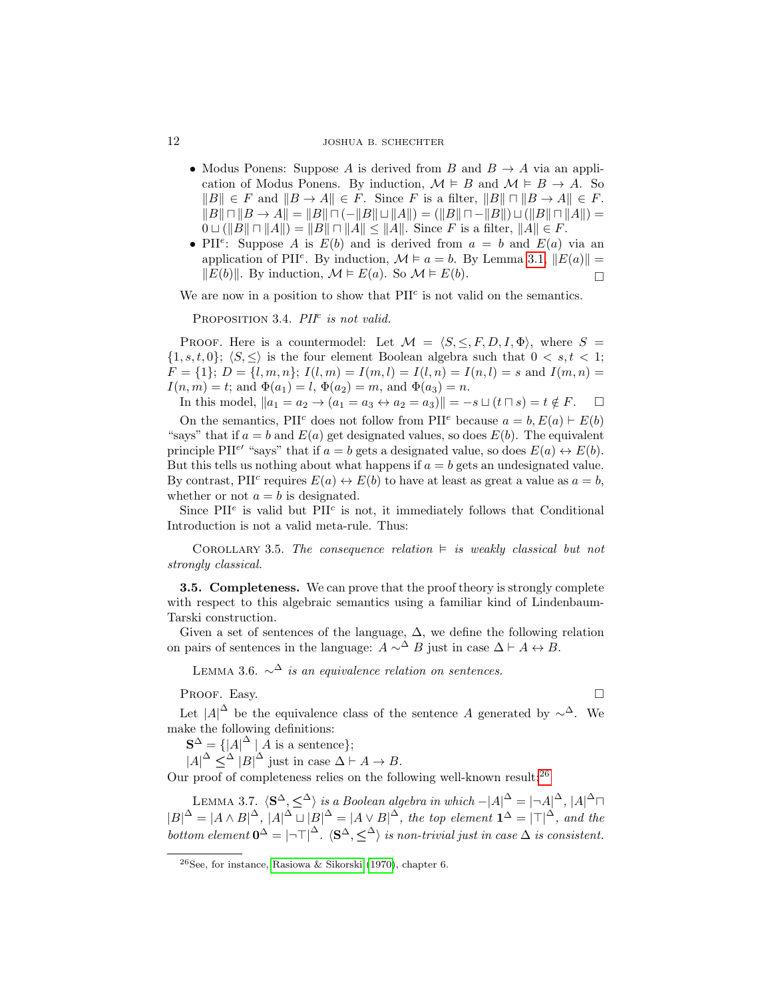### 12 JOSHUA B. SCHECHTER

- Modus Ponens: Suppose A is derived from B and  $B \to A$  via an application of Modus Ponens. By induction,  $\mathcal{M} \models B$  and  $\mathcal{M} \models B \rightarrow A$ . So  $||B|| \in F$  and  $||B \to A|| \in F$ . Since F is a filter,  $||B|| \cap ||B \to A|| \in F$ .  $||B|| \cap ||B \to A|| = ||B|| \cap (-||B|| \sqcup ||A||) = (||B|| \cap -||B||) \sqcup (||B|| \cap ||A||) =$  $0 \sqcup (\|B\| \sqcap \|A\|) = \|B\| \sqcap \|A\| \le \|A\|$ . Since F is a filter,  $\|A\| \in F$ .
- PII<sup>e</sup>: Suppose A is  $E(b)$  and is derived from  $a = b$  and  $E(a)$  via an application of PII<sup>e</sup>. By induction,  $\mathcal{M} \models a = b$ . By Lemma [3.1,](#page-10-1)  $\|\hat{E}(a)\|$  =  $||E(b)||$ . By induction,  $\mathcal{M} \models E(a)$ . So  $\mathcal{M} \models E(b)$ .

We are now in a position to show that  $PII<sup>c</sup>$  is not valid on the semantics.

PROPOSITION 3.4. PII<sup>c</sup> is not valid.

PROOF. Here is a countermodel: Let  $\mathcal{M} = \langle S, \leq, F, D, I, \Phi \rangle$ , where  $S =$  $\{1, s, t, 0\}; \langle S, \leq \rangle$  is the four element Boolean algebra such that  $0 < s, t < 1;$  $F = \{1\}; D = \{l, m, n\}; I(l, m) = I(m, l) = I(l, n) = I(n, l) = s \text{ and } I(m, n) = s$  $I(n, m) = t$ ; and  $\Phi(a_1) = l$ ,  $\Phi(a_2) = m$ , and  $\Phi(a_3) = n$ .

In this model,  $||a_1 = a_2 \rightarrow (a_1 = a_3 \leftrightarrow a_2 = a_3)|| = -s \sqcup (t \sqcap s) = t \notin F$ .  $\Box$ 

On the semantics, PII<sup>c</sup> does not follow from PII<sup>e</sup> because  $a = b, E(a) \vdash E(b)$ "says" that if  $a = b$  and  $E(a)$  get designated values, so does  $E(b)$ . The equivalent principle PII<sup>e</sup> "says" that if  $a = b$  gets a designated value, so does  $E(a) \leftrightarrow E(b)$ . But this tells us nothing about what happens if  $a = b$  gets an undesignated value. By contrast, PII<sup>c</sup> requires  $E(a) \leftrightarrow E(b)$  to have at least as great a value as  $a = b$ , whether or not  $a = b$  is designated.

Since  $PII^e$  is valid but  $PII^c$  is not, it immediately follows that Conditional Introduction is not a valid meta-rule. Thus:

COROLLARY 3.5. The consequence relation  $\models$  is weakly classical but not strongly classical.

**3.5. Completeness.** We can prove that the proof theory is strongly complete with respect to this algebraic semantics using a familiar kind of Lindenbaum-Tarski construction.

Given a set of sentences of the language,  $\Delta$ , we define the following relation on pairs of sentences in the language:  $A \sim^{\Delta} B$  just in case  $\Delta \vdash A \leftrightarrow B$ .

LEMMA 3.6.  $\sim^{\Delta}$  is an equivalence relation on sentences.

PROOF. Easy.

Let  $|A|^{\Delta}$  be the equivalence class of the sentence A generated by  $\sim^{\Delta}$ . We make the following definitions:

 $S^{\Delta} = \{|A|^{\Delta} | A \text{ is a sentence}\};$ 

 $|A|^{\Delta} \leq^{\Delta} |B|^{\Delta}$  just in case  $\Delta \vdash A \to B$ .

Our proof of completeness relies on the following well-known result:[26](#page-11-0)

<span id="page-11-1"></span>LEMMA 3.7.  $\langle S^{\Delta}, \leq^{\Delta} \rangle$  is a Boolean algebra in which  $-|A|^{\Delta} = |\neg A|^{\Delta}, |A|^{\Delta} \Box$  $|B|^{\Delta} = |A \wedge B|^{\Delta}, |A|^{\Delta} \sqcup |B|^{\Delta} = |A \vee B|^{\Delta},$  the top element  $\mathbf{1}^{\Delta} = |\mathcal{T}|^{\Delta}$ , and the bottom element  $\mathbf{0}^{\Delta} = |\neg \top|^{\Delta}$ .  $\langle \mathbf{S}^{\Delta}, \leq^{\Delta} \rangle$  is non-trivial just in case  $\Delta$  is consistent.

<span id="page-11-0"></span> $26$ See, for instance, [Rasiowa & Sikorski](#page-39-8) [\(1970\)](#page-39-8), chapter 6.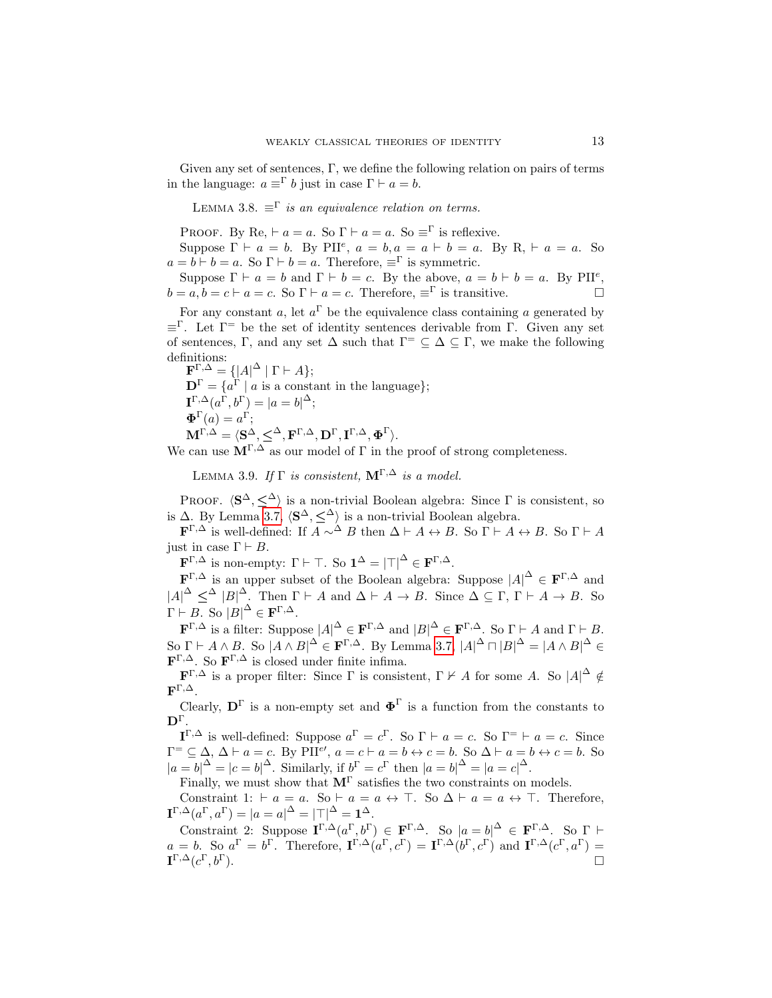Given any set of sentences,  $\Gamma$ , we define the following relation on pairs of terms in the language:  $a \equiv \Gamma b$  just in case  $\Gamma \vdash a = b$ .

LEMMA 3.8.  $\equiv^{\Gamma}$  is an equivalence relation on terms.

PROOF. By Re,  $\vdash a = a$ . So  $\Gamma \vdash a = a$ . So  $\equiv^{\Gamma}$  is reflexive.

Suppose  $\Gamma \vdash a = b$ . By PII<sup>e</sup>,  $a = b, a = a \vdash b = a$ . By R,  $\vdash a = a$ . So  $a = b \vdash b = a$ . So  $\Gamma \vdash b = a$ . Therefore,  $\equiv^{\Gamma}$  is symmetric.

Suppose  $\Gamma \vdash a = b$  and  $\Gamma \vdash b = c$ . By the above,  $a = b \vdash b = a$ . By PII<sup>e</sup>,  $b = a, b = c \vdash a = c$ . So  $\Gamma \vdash a = c$ . Therefore,  $\equiv^{\Gamma}$  is transitive.

For any constant a, let  $a^{\Gamma}$  be the equivalence class containing a generated by  $\equiv$ <sup>Γ</sup>. Let Γ<sup>=</sup> be the set of identity sentences derivable from Γ. Given any set of sentences, Γ, and any set  $\Delta$  such that  $\Gamma^{\pm} \subseteq \Delta \subseteq \Gamma$ , we make the following definitions:

 $\mathbf{F}^{\Gamma,\Delta} = \{ |A|^\Delta \mid \Gamma \vdash A \};$  $\mathbf{D}^{\Gamma} = \{a^{\Gamma} \mid a \text{ is a constant in the language}\};$  $\mathbf{I}^{\Gamma,\Delta}(a^{\Gamma},b^{\Gamma}) = |a=b|^{\Delta};$  $\mathbf{\Phi}^{\Gamma}(a) = a^{\Gamma};$  $\mathbf{M}^{\Gamma,\Delta} = \langle \mathbf{S}^\Delta, \mathbf{\leq}^\Delta, \mathbf{F}^{\Gamma,\Delta}, \mathbf{D}^\Gamma, \mathbf{I}^{\Gamma,\Delta}, \mathbf{\Phi}^\Gamma \rangle.$ 

<span id="page-12-0"></span>We can use  $M^{\Gamma,\Delta}$  as our model of  $\Gamma$  in the proof of strong completeness.

LEMMA 3.9. If  $\Gamma$  is consistent,  $\mathbf{M}^{\Gamma,\Delta}$  is a model.

PROOF.  $\langle S^{\Delta}, \leq^{\Delta} \rangle$  is a non-trivial Boolean algebra: Since  $\Gamma$  is consistent, so is  $\Delta$ . By Lemma [3.7,](#page-11-1)  $\langle S^{\Delta}, \leq^{\Delta} \rangle$  is a non-trivial Boolean algebra.

 $\mathbf{F}^{\Gamma,\Delta}$  is well-defined: If  $A \sim^{\Delta} B$  then  $\Delta \vdash A \leftrightarrow B$ . So  $\Gamma \vdash A \leftrightarrow B$ . So  $\Gamma \vdash A$ just in case  $\Gamma \vdash B$ .

 $\mathbf{F}^{\Gamma,\Delta}$  is non-empty:  $\Gamma \vdash \top$ . So  $\mathbf{1}^{\Delta} = |\top|^{\Delta} \in \mathbf{F}^{\Gamma,\Delta}$ .

 $\mathbf{F}^{\Gamma,\Delta}$  is an upper subset of the Boolean algebra: Suppose  $|A|^{\Delta} \in \mathbf{F}^{\Gamma,\Delta}$  and  $|A|^{\Delta} \leq^{\Delta} |B|^{\Delta}$ . Then  $\Gamma \vdash A$  and  $\Delta \vdash A \to B$ . Since  $\Delta \subseteq \Gamma$ ,  $\Gamma \vdash A \to B$ . So  $\Gamma \vdash B$ . So  $|B|^{\Delta} \in \mathbf{F}^{\Gamma,\Delta}$ .

 $\mathbf{F}^{\Gamma,\Delta}$  is a filter: Suppose  $|A|^{\Delta} \in \mathbf{F}^{\Gamma,\Delta}$  and  $|B|^{\Delta} \in \mathbf{F}^{\Gamma,\Delta}$ . So  $\Gamma \vdash A$  and  $\Gamma \vdash B$ . So  $\Gamma \vdash A \wedge B$ . So  $\left| A \wedge B \right|^\Delta \in \mathbf{F}^{\Gamma, \Delta}$ . By Lemma [3.7,](#page-11-1)  $\left| A \right|^\Delta \sqcap \left| B \right|^\Delta = \left| A \wedge B \right|^\Delta \in$  $\mathbf{F}^{\Gamma,\Delta}$ . So  $\mathbf{F}^{\Gamma,\Delta}$  is closed under finite infima.

 $\mathbf{F}^{\Gamma,\Delta}$  is a proper filter: Since  $\Gamma$  is consistent,  $\Gamma \nvdash A$  for some A. So  $|A|^{\Delta} \notin$  $\mathbf{F}^{\Gamma,\Delta}.$ 

Clearly,  $\mathbf{D}^{\Gamma}$  is a non-empty set and  $\mathbf{\Phi}^{\Gamma}$  is a function from the constants to  $\mathbf{D}^{\Gamma}$ 

 ${\bf I}^{\Gamma,\Delta}$  is well-defined: Suppose  $a^{\Gamma} = c^{\Gamma}$ . So Γ + a = c. So Γ = + a = c. Since  $\Gamma^{\pm} \subseteq \Delta, \Delta \vdash a = c.$  By  $\text{PII}^{e}, a = c \vdash a = b \leftrightarrow c = b.$  So  $\Delta \vdash a = b \leftrightarrow c = b.$  So  $|a = b|^{\Delta} = |c = b|^{\Delta}$ . Similarly, if  $b^{\Gamma} = c^{\Gamma}$  then  $|a = b|^{\Delta} = |a = c|^{\Delta}$ .

Finally, we must show that  $M^{\Gamma}$  satisfies the two constraints on models.

Constraint 1:  $\vdash a = a$ . So  $\vdash a = a \leftrightarrow \top$ . So  $\Delta \vdash a = a \leftrightarrow \top$ . Therefore,  $\mathbf{I}^{\Gamma,\Delta}(a^\Gamma,a^\Gamma)=|a=a|^\Delta=|\top|^\Delta=\mathbf{1}^\Delta.$ 

<span id="page-12-1"></span>Constraint 2: Suppose  $\mathbf{I}^{\Gamma,\Delta}(a^{\Gamma},b^{\Gamma}) \in \mathbf{F}^{\Gamma,\Delta}$ . So  $|a=b|^{\Delta} \in \mathbf{F}^{\Gamma,\Delta}$ . So  $\Gamma \vdash$  $a = b$ . So  $a^{\Gamma} = b^{\Gamma}$ . Therefore,  $\mathbf{I}^{\Gamma,\Delta}(a^{\Gamma},c^{\Gamma}) = \mathbf{I}^{\Gamma,\Delta}(b^{\Gamma},c^{\Gamma})$  and  $\mathbf{I}^{\Gamma,\Delta}(c^{\Gamma},a^{\Gamma}) =$  $\mathbf{I}^{\Gamma,\Delta}(c$  $\Gamma, b^{\Gamma}$ ).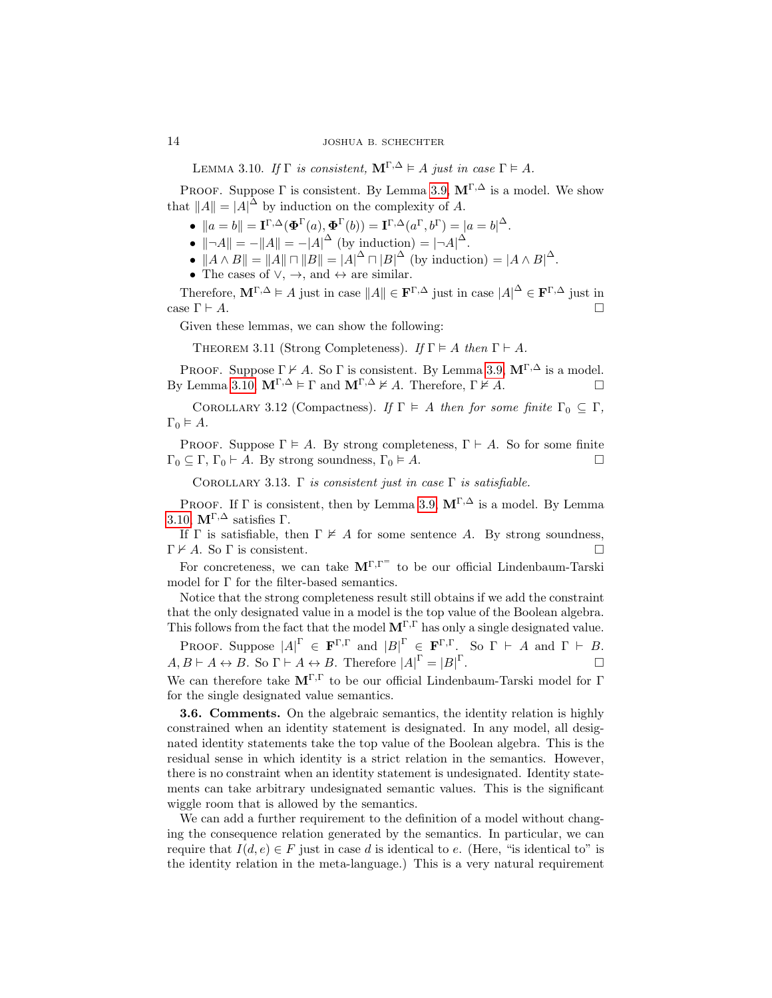LEMMA 3.10. If  $\Gamma$  is consistent,  $\mathbf{M}^{\Gamma,\Delta} \models A$  just in case  $\Gamma \models A$ .

PROOF. Suppose  $\Gamma$  is consistent. By Lemma [3.9,](#page-12-0)  $\mathbf{M}^{\Gamma,\Delta}$  is a model. We show that  $||A|| = |A|^{\Delta}$  by induction on the complexity of A.

- $||a = b|| = \mathbf{I}^{\Gamma,\Delta}(\mathbf{\Phi}^{\Gamma}(a), \mathbf{\Phi}^{\Gamma}(b)) = \mathbf{I}^{\Gamma,\Delta}(a^{\Gamma}, b^{\Gamma}) = |a = b|^{\Delta}.$
- $\|\neg A\| = -\|A\|^{\Delta}$  (by induction) =  $|\neg A|^{\Delta}$ .
- $||A \wedge B|| = ||A|| \cap ||B|| = |A|^{2} \cap |B|^{2}$  (by induction) =  $|A \wedge B|^{2}$ .
- The cases of  $\vee$ ,  $\rightarrow$ , and  $\leftrightarrow$  are similar.

Therefore,  $\mathbf{M}^{\Gamma,\Delta} \models A$  just in case  $||A|| \in \mathbf{F}^{\Gamma,\Delta}$  just in case  $|A|^\Delta \in \mathbf{F}^{\Gamma,\Delta}$  just in case  $\Gamma \vdash A$ .

Given these lemmas, we can show the following:

THEOREM 3.11 (Strong Completeness). If  $\Gamma \models A$  then  $\Gamma \vdash A$ .

PROOF. Suppose  $\Gamma \nvdash A$ . So  $\Gamma$  is consistent. By Lemma [3.9,](#page-12-0)  $\mathbf{M}^{\Gamma,\Delta}$  is a model. By Lemma [3.10,](#page-12-1)  $\mathbf{M}^{\Gamma,\Delta} \models \Gamma$  and  $\mathbf{M}^{\Gamma,\Delta} \not\models A$ . Therefore,  $\Gamma \not\models A$ .

COROLLARY 3.12 (Compactness). If  $\Gamma \models A$  then for some finite  $\Gamma_0 \subseteq \Gamma$ ,  $\Gamma_0 \models A$ .

PROOF. Suppose  $\Gamma \models A$ . By strong completeness,  $\Gamma \vdash A$ . So for some finite  $\Gamma_0 \subseteq \Gamma$ ,  $\Gamma_0 \vdash A$ . By strong soundness,  $\Gamma_0 \models A$ .

COROLLARY 3.13. Γ is consistent just in case  $\Gamma$  is satisfiable.

PROOF. If  $\Gamma$  is consistent, then by Lemma [3.9,](#page-12-0)  $\mathbf{M}^{\Gamma,\Delta}$  is a model. By Lemma [3.10,](#page-12-1)  $\mathbf{M}^{\Gamma,\Delta}$  satisfies  $\Gamma$ .

If  $\Gamma$  is satisfiable, then  $\Gamma \not\vdash A$  for some sentence A. By strong soundness,  $\Gamma \nvdash A$ . So  $\Gamma$  is consistent.

For concreteness, we can take  $M^{\Gamma,\Gamma^-}$  to be our official Lindenbaum-Tarski model for  $\Gamma$  for the filter-based semantics.

Notice that the strong completeness result still obtains if we add the constraint that the only designated value in a model is the top value of the Boolean algebra. This follows from the fact that the model  $M^{\Gamma,\Gamma}$  has only a single designated value.

PROOF. Suppose  $|A|^{\Gamma} \in \mathbf{F}^{\Gamma,\Gamma}$  and  $|B|^{\Gamma} \in \mathbf{F}^{\Gamma,\Gamma}$ . So  $\Gamma \vdash A$  and  $\Gamma \vdash B$ .  $A, B \vdash A \leftrightarrow B$ . So  $\Gamma \vdash A \leftrightarrow B$ . Therefore  $|A|^{\Gamma} = |B|^{\Gamma}$ .

We can therefore take  $M^{\Gamma,\Gamma}$  to be our official Lindenbaum-Tarski model for  $\Gamma$ for the single designated value semantics.

3.6. Comments. On the algebraic semantics, the identity relation is highly constrained when an identity statement is designated. In any model, all designated identity statements take the top value of the Boolean algebra. This is the residual sense in which identity is a strict relation in the semantics. However, there is no constraint when an identity statement is undesignated. Identity statements can take arbitrary undesignated semantic values. This is the significant wiggle room that is allowed by the semantics.

We can add a further requirement to the definition of a model without changing the consequence relation generated by the semantics. In particular, we can require that  $I(d, e) \in F$  just in case d is identical to e. (Here, "is identical to" is the identity relation in the meta-language.) This is a very natural requirement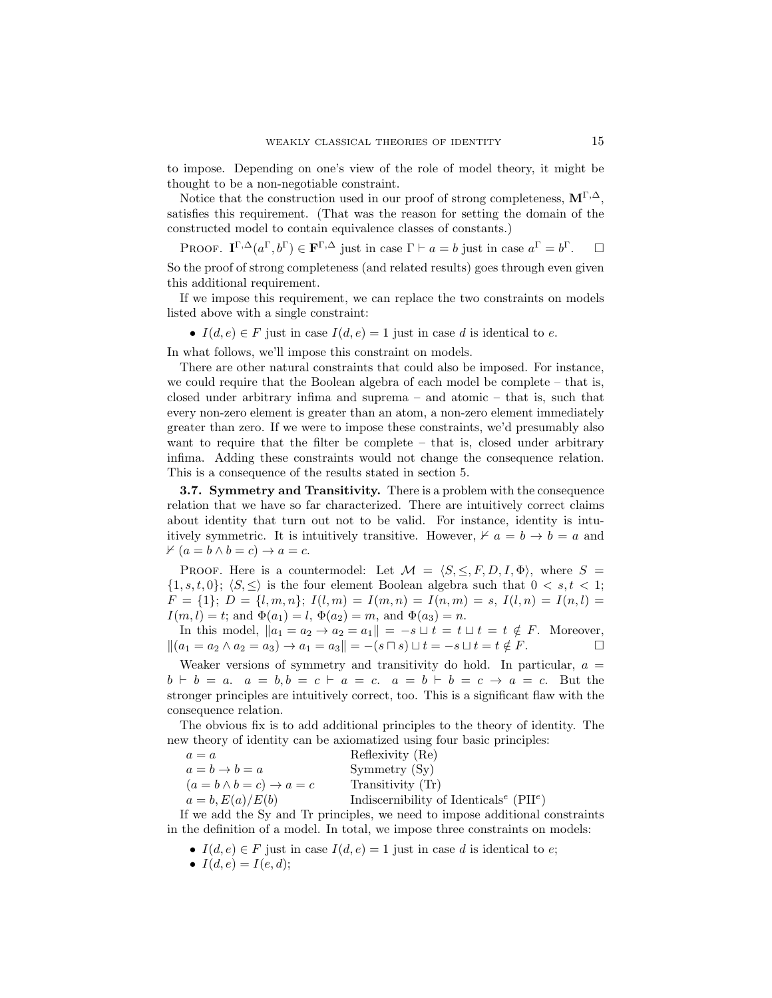to impose. Depending on one's view of the role of model theory, it might be thought to be a non-negotiable constraint.

Notice that the construction used in our proof of strong completeness,  $\mathbf{M}^{\Gamma,\Delta}$ , satisfies this requirement. (That was the reason for setting the domain of the constructed model to contain equivalence classes of constants.)

PROOF.  $\mathbf{I}^{\Gamma,\Delta}(a^{\Gamma},b^{\Gamma}) \in \mathbf{F}^{\Gamma,\Delta}$  just in case  $\Gamma \vdash a = b$  just in case  $a^{\Gamma} = b$ <sup>Γ</sup>.

So the proof of strong completeness (and related results) goes through even given this additional requirement.

If we impose this requirement, we can replace the two constraints on models listed above with a single constraint:

•  $I(d, e) \in F$  just in case  $I(d, e) = 1$  just in case d is identical to e.

In what follows, we'll impose this constraint on models.

There are other natural constraints that could also be imposed. For instance, we could require that the Boolean algebra of each model be complete – that is, closed under arbitrary infima and suprema – and atomic – that is, such that every non-zero element is greater than an atom, a non-zero element immediately greater than zero. If we were to impose these constraints, we'd presumably also want to require that the filter be complete – that is, closed under arbitrary infima. Adding these constraints would not change the consequence relation. This is a consequence of the results stated in section 5.

3.7. Symmetry and Transitivity. There is a problem with the consequence relation that we have so far characterized. There are intuitively correct claims about identity that turn out not to be valid. For instance, identity is intuitively symmetric. It is intuitively transitive. However,  $\nvdash a = b \rightarrow b = a$  and  $\nvdash (a = b \land b = c) \rightarrow a = c.$ 

PROOF. Here is a countermodel: Let  $\mathcal{M} = \langle S, \leq, F, D, I, \Phi \rangle$ , where  $S =$  $\{1, s, t, 0\}; \langle S, \leq \rangle$  is the four element Boolean algebra such that  $0 < s, t < 1;$  $F = \{1\}; D = \{l, m, n\}; I(l, m) = I(m, n) = I(n, m) = s, I(l, n) = I(n, l) = s$  $I(m, l) = t$ ; and  $\Phi(a_1) = l$ ,  $\Phi(a_2) = m$ , and  $\Phi(a_3) = n$ .

In this model,  $||a_1 = a_2 \rightarrow a_2 = a_1|| = -s \sqcup t = t \sqcup t = t \notin F$ . Moreover,  $||(a_1 = a_2 \wedge a_2 = a_3) \rightarrow a_1 = a_3|| = -(s \sqcap s) \sqcup t = -s \sqcup t = t \notin F.$ 

Weaker versions of symmetry and transitivity do hold. In particular,  $a =$  $b \vdash b = a. \ a = b, b = c \vdash a = c. \ a = b \vdash b = c \rightarrow a = c.$  But the stronger principles are intuitively correct, too. This is a significant flaw with the consequence relation.

The obvious fix is to add additional principles to the theory of identity. The new theory of identity can be axiomatized using four basic principles:

| $a = a$                                  | Reflexivity (Re)                                                |
|------------------------------------------|-----------------------------------------------------------------|
| $a = b \rightarrow b = a$                | Symmetry (Sy)                                                   |
| $(a = b \wedge b = c) \rightarrow a = c$ | Transitivity (Tr)                                               |
| $a=b, E(a)/E(b)$                         | Indiscernibility of Identicals <sup>e</sup> (PII <sup>e</sup> ) |

If we add the Sy and Tr principles, we need to impose additional constraints in the definition of a model. In total, we impose three constraints on models:

- $I(d, e) \in F$  just in case  $I(d, e) = 1$  just in case d is identical to e;
- $I(d, e) = I(e, d);$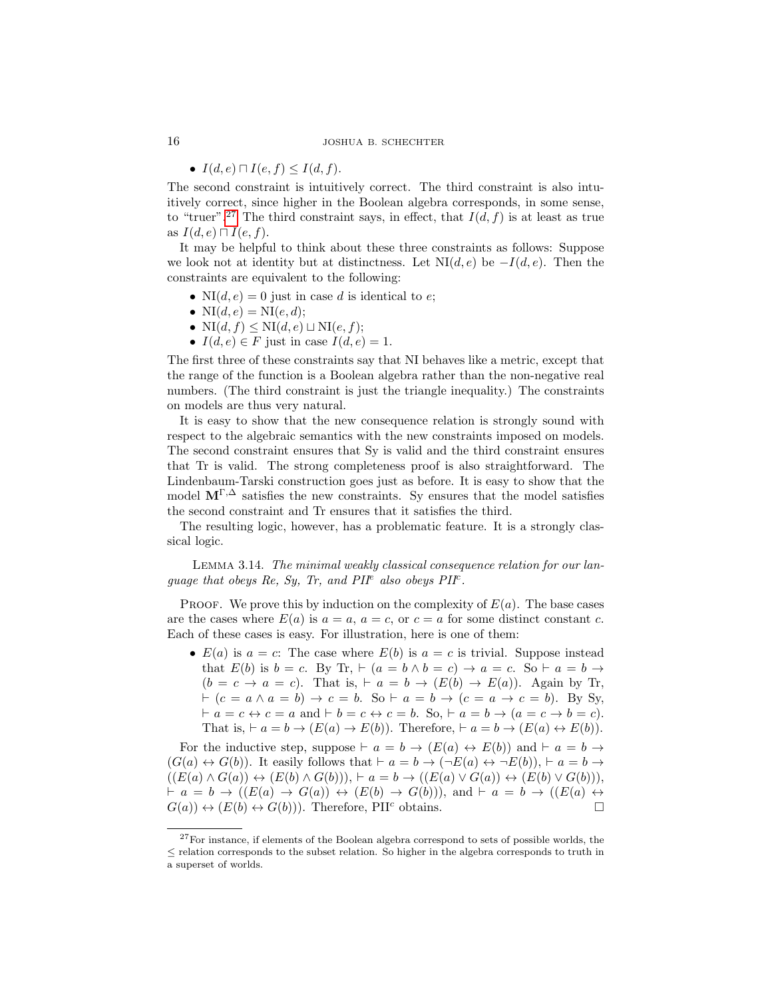# •  $I(d, e) \sqcap I(e, f) \leq I(d, f)$ .

The second constraint is intuitively correct. The third constraint is also intuitively correct, since higher in the Boolean algebra corresponds, in some sense, to "truer".<sup>[27](#page-15-1)</sup> The third constraint says, in effect, that  $I(d, f)$  is at least as true as  $I(d, e) \sqcap I(e, f)$ .

It may be helpful to think about these three constraints as follows: Suppose we look not at identity but at distinctness. Let  $N I(d, e)$  be  $-I(d, e)$ . Then the constraints are equivalent to the following:

- NI $(d, e) = 0$  just in case d is identical to e;
- $\text{NI}(d, e) = \text{NI}(e, d);$
- $\text{NI}(d, f) \leq \text{NI}(d, e) \sqcup \text{NI}(e, f);$
- $I(d, e) \in F$  just in case  $I(d, e) = 1$ .

The first three of these constraints say that NI behaves like a metric, except that the range of the function is a Boolean algebra rather than the non-negative real numbers. (The third constraint is just the triangle inequality.) The constraints on models are thus very natural.

It is easy to show that the new consequence relation is strongly sound with respect to the algebraic semantics with the new constraints imposed on models. The second constraint ensures that Sy is valid and the third constraint ensures that Tr is valid. The strong completeness proof is also straightforward. The Lindenbaum-Tarski construction goes just as before. It is easy to show that the model  $M^{\Gamma,\Delta}$  satisfies the new constraints. Sy ensures that the model satisfies the second constraint and Tr ensures that it satisfies the third.

The resulting logic, however, has a problematic feature. It is a strongly classical logic.

Lemma 3.14. The minimal weakly classical consequence relation for our language that obeys Re, Sy, Tr, and PII<sup>e</sup> also obeys PII<sup>c</sup>.

**PROOF.** We prove this by induction on the complexity of  $E(a)$ . The base cases are the cases where  $E(a)$  is  $a = a, a = c$ , or  $c = a$  for some distinct constant c. Each of these cases is easy. For illustration, here is one of them:

•  $E(a)$  is  $a = c$ : The case where  $E(b)$  is  $a = c$  is trivial. Suppose instead that  $E(b)$  is  $b = c$ . By Tr,  $\vdash (a = b \land b = c) \rightarrow a = c$ . So  $\vdash a = b \rightarrow a$  $(b = c \rightarrow a = c)$ . That is,  $\vdash a = b \rightarrow (E(b) \rightarrow E(a))$ . Again by Tr,  $\vdash$   $(c = a \land a = b) \rightarrow c = b$ . So  $\vdash$   $a = b \rightarrow (c = a \rightarrow c = b)$ . By Sy,  $\vdash a = c \leftrightarrow c = a$  and  $\vdash b = c \leftrightarrow c = b$ . So,  $\vdash a = b \rightarrow (a = c \rightarrow b = c)$ . That is,  $\vdash a = b \rightarrow (E(a) \rightarrow E(b))$ . Therefore,  $\vdash a = b \rightarrow (E(a) \leftrightarrow E(b))$ .

For the inductive step, suppose  $\vdash a = b \rightarrow (E(a) \leftrightarrow E(b))$  and  $\vdash a = b \rightarrow$  $(G(a) \leftrightarrow G(b))$ . It easily follows that  $\vdash a = b \rightarrow (\neg E(a) \leftrightarrow \neg E(b))$ ,  $\vdash a = b \rightarrow$  $((E(a) \wedge G(a)) \leftrightarrow (E(b) \wedge G(b))), \vdash a = b \rightarrow ((E(a) \vee G(a)) \leftrightarrow (E(b) \vee G(b))),$  $\vdash a = b \rightarrow ((E(a) \rightarrow G(a)) \leftrightarrow (E(b) \rightarrow G(b))),$  and  $\vdash a = b \rightarrow ((E(a) \leftrightarrow$  $G(a) \leftrightarrow (E(b) \leftrightarrow G(b))$ . Therefore, PII<sup>c</sup> obtains.

<span id="page-15-1"></span><span id="page-15-0"></span> $27$  For instance, if elements of the Boolean algebra correspond to sets of possible worlds, the ≤ relation corresponds to the subset relation. So higher in the algebra corresponds to truth in a superset of worlds.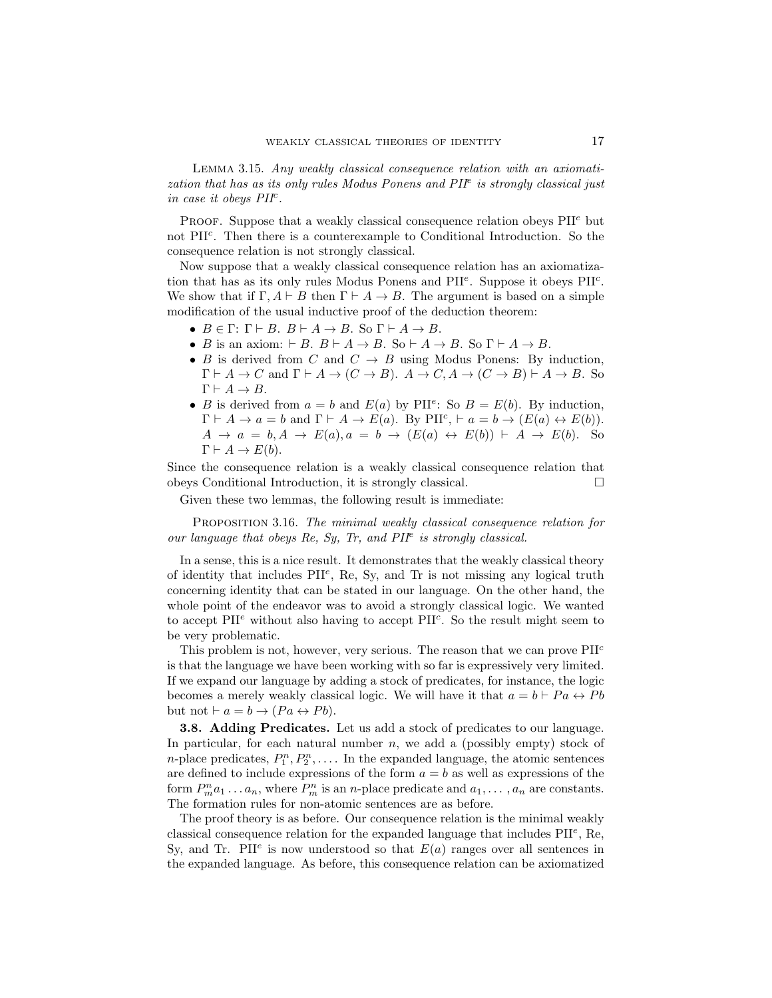Lemma 3.15. Any weakly classical consequence relation with an axiomatization that has as its only rules Modus Ponens and PII<sup>e</sup> is strongly classical just in case it obeys PII<sup>c</sup>.

PROOF. Suppose that a weakly classical consequence relation obeys  $PII<sup>e</sup>$  but not PII<sup>c</sup> . Then there is a counterexample to Conditional Introduction. So the consequence relation is not strongly classical.

Now suppose that a weakly classical consequence relation has an axiomatization that has as its only rules Modus Ponens and  $PII<sup>e</sup>$ . Suppose it obeys  $PII<sup>c</sup>$ . We show that if  $\Gamma, A \vdash B$  then  $\Gamma \vdash A \rightarrow B$ . The argument is based on a simple modification of the usual inductive proof of the deduction theorem:

- $B \in \Gamma: \Gamma \vdash B$ .  $B \vdash A \rightarrow B$ . So  $\Gamma \vdash A \rightarrow B$ .
- B is an axiom:  $\vdash B$ .  $B \vdash A \to B$ . So  $\vdash A \to B$ . So  $\Gamma \vdash A \to B$ .
- B is derived from C and  $C \rightarrow B$  using Modus Ponens: By induction,  $\Gamma \vdash A \to C$  and  $\Gamma \vdash A \to (C \to B)$ .  $A \to C$ ,  $A \to (C \to B) \vdash A \to B$ . So  $\Gamma \vdash A \to B$ .
- B is derived from  $a = b$  and  $E(a)$  by PII<sup>e</sup>: So  $B = E(b)$ . By induction,  $\Gamma \vdash A \to a = b$  and  $\Gamma \vdash A \to E(a)$ . By  $\text{PII}^c$ ,  $\vdash a = b \to (E(a) \leftrightarrow E(b))$ .  $A \rightarrow a = b, A \rightarrow E(a), a = b \rightarrow (E(a) \leftrightarrow E(b)) \vdash A \rightarrow E(b).$  So  $\Gamma \vdash A \rightarrow E(b).$

Since the consequence relation is a weakly classical consequence relation that obeys Conditional Introduction, it is strongly classical.

Given these two lemmas, the following result is immediate:

<span id="page-16-0"></span>PROPOSITION 3.16. The minimal weakly classical consequence relation for our language that obeys Re, Sy, Tr, and  $PII<sup>e</sup>$  is strongly classical.

In a sense, this is a nice result. It demonstrates that the weakly classical theory of identity that includes  $PII<sup>e</sup>$ , Re, Sy, and Tr is not missing any logical truth concerning identity that can be stated in our language. On the other hand, the whole point of the endeavor was to avoid a strongly classical logic. We wanted to accept  $PII<sup>e</sup>$  without also having to accept  $PII<sup>c</sup>$ . So the result might seem to be very problematic.

This problem is not, however, very serious. The reason that we can prove  $PII<sup>c</sup>$ is that the language we have been working with so far is expressively very limited. If we expand our language by adding a stock of predicates, for instance, the logic becomes a merely weakly classical logic. We will have it that  $a = b \vdash Pa \leftrightarrow Pb$ but not  $\vdash a = b \rightarrow (Pa \leftrightarrow Pb)$ .

3.8. Adding Predicates. Let us add a stock of predicates to our language. In particular, for each natural number  $n$ , we add a (possibly empty) stock of *n*-place predicates,  $P_1^n, P_2^n, \ldots$  In the expanded language, the atomic sentences are defined to include expressions of the form  $a = b$  as well as expressions of the form  $P_m^n a_1 \ldots a_n$ , where  $P_m^n$  is an *n*-place predicate and  $a_1, \ldots, a_n$  are constants. The formation rules for non-atomic sentences are as before.

The proof theory is as before. Our consequence relation is the minimal weakly classical consequence relation for the expanded language that includes  $PII<sup>e</sup>$ , Re, Sy, and Tr. PII<sup>e</sup> is now understood so that  $E(a)$  ranges over all sentences in the expanded language. As before, this consequence relation can be axiomatized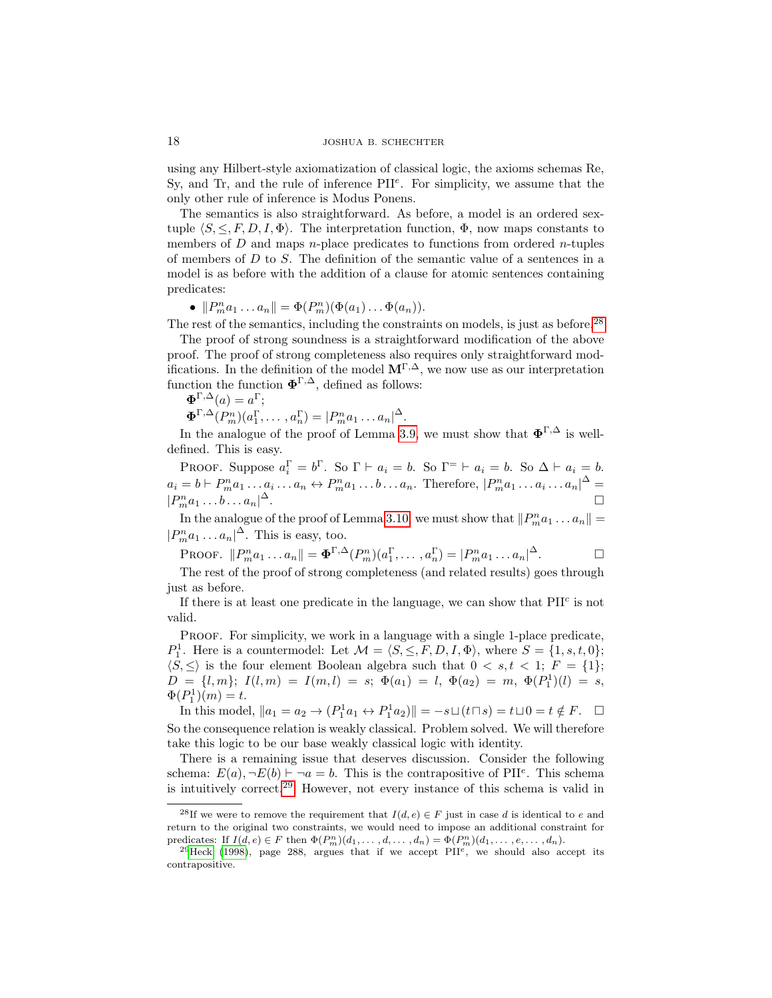using any Hilbert-style axiomatization of classical logic, the axioms schemas Re, Sy, and Tr, and the rule of inference  $PII<sup>e</sup>$ . For simplicity, we assume that the only other rule of inference is Modus Ponens.

The semantics is also straightforward. As before, a model is an ordered sextuple  $\langle S, \leq, F, D, I, \Phi \rangle$ . The interpretation function,  $\Phi$ , now maps constants to members of  $D$  and maps *n*-place predicates to functions from ordered *n*-tuples of members of  $D$  to  $S$ . The definition of the semantic value of a sentences in a model is as before with the addition of a clause for atomic sentences containing predicates:

•  $||P_m^n a_1 ... a_n|| = \Phi(P_m^n)(\Phi(a_1) ... \Phi(a_n)).$ 

The rest of the semantics, including the constraints on models, is just as before.<sup>[28](#page-17-0)</sup>

The proof of strong soundness is a straightforward modification of the above proof. The proof of strong completeness also requires only straightforward modifications. In the definition of the model  $M^{\Gamma,\Delta}$ , we now use as our interpretation function the function  $\mathbf{\Phi}^{\Gamma,\Delta}$ , defined as follows:

 $\mathbf{\Phi}^{\Gamma,\Delta}(a)=a^{\Gamma};$ 

 $\pmb{\Phi}^{\Gamma,\Delta}(P_m^n)(a_1^{\Gamma},\ldots,a_n^{\Gamma})=|P_m^n a_1\ldots a_n|^{\Delta}.$ 

In the analogue of the proof of Lemma [3.9,](#page-12-0) we must show that  $\Phi^{\Gamma,\Delta}$  is welldefined. This is easy.

PROOF. Suppose  $a_i^{\Gamma} = b^{\Gamma}$ . So  $\Gamma \vdash a_i = b$ . So  $\Gamma = \vdash a_i = b$ . So  $\Delta \vdash a_i = b$ .  $a_i = b \vdash P_m^m a_1 \ldots a_i \ldots a_n \leftrightarrow P_m^m a_1 \ldots b \ldots a_n$ . Therefore,  $|P_m^m a_1 \ldots a_i \ldots a_n|^{\Delta} =$  $|P_m^n a_1 \dots b \dots a_n|^{\Delta}$ . В последните поставите на селото на селото на селото на селото на селото на селото на селото на селото на се<br>Селото на селото на селото на селото на селото на селото на селото на селото на селото на селото на селото на

In the analogue of the proof of Lemma [3.10,](#page-12-1) we must show that  $||P_m^n a_1 ... a_n|| =$  $|P_m^n a_1 \dots a_n|^{\Delta}$ . This is easy, too.

PROOF.  $||P_m^n a_1 ... a_n|| = \Phi^{\Gamma,\Delta}(P_m^n)(a_1^{\Gamma}, ..., a_n^{\Gamma}) = |P_m^n a_1 ... a_n|^{\Delta}$  $\Box$ 

The rest of the proof of strong completeness (and related results) goes through just as before.

If there is at least one predicate in the language, we can show that  $PII<sup>c</sup>$  is not valid.

PROOF. For simplicity, we work in a language with a single 1-place predicate,  $P_1^1$ . Here is a countermodel: Let  $\mathcal{M} = \langle S, \leq, F, D, I, \Phi \rangle$ , where  $S = \{1, s, t, 0\}$ ;  $\langle S, \leq \rangle$  is the four element Boolean algebra such that  $0 < s, t < 1$ ;  $F = \{1\}$ ;  $D = \{l, m\}; I(l, m) = I(m, l) = s; \Phi(a_1) = l, \Phi(a_2) = m, \Phi(P_1^1)(l) = s,$  $\Phi(P_1^1)(m) = t.$ 

In this model,  $||a_1 = a_2 \to (P_1^1 a_1 \leftrightarrow P_1^1 a_2)|| = -s \sqcup (t \sqcap s) = t \sqcup 0 = t \notin F$ .  $\Box$ So the consequence relation is weakly classical. Problem solved. We will therefore take this logic to be our base weakly classical logic with identity.

There is a remaining issue that deserves discussion. Consider the following schema:  $E(a)$ ,  $\neg E(b) \vdash \neg a = b$ . This is the contrapositive of PII<sup>e</sup>. This schema is intuitively correct.<sup>[29](#page-17-1)</sup> However, not every instance of this schema is valid in

<span id="page-17-0"></span><sup>&</sup>lt;sup>28</sup>If we were to remove the requirement that  $I(d, e) \in F$  just in case d is identical to e and return to the original two constraints, we would need to impose an additional constraint for predicates: If  $I(d, e) \in F$  then  $\Phi(P_m^n)(d_1, \ldots, d, \ldots, d_n) = \Phi(P_m^n)(d_1, \ldots, e, \ldots, d_n)$ .

<span id="page-17-1"></span><sup>&</sup>lt;sup>29</sup>[Heck](#page-38-4) [\(1998\)](#page-38-4), page 288, argues that if we accept  $PII^e$ , we should also accept its contrapositive.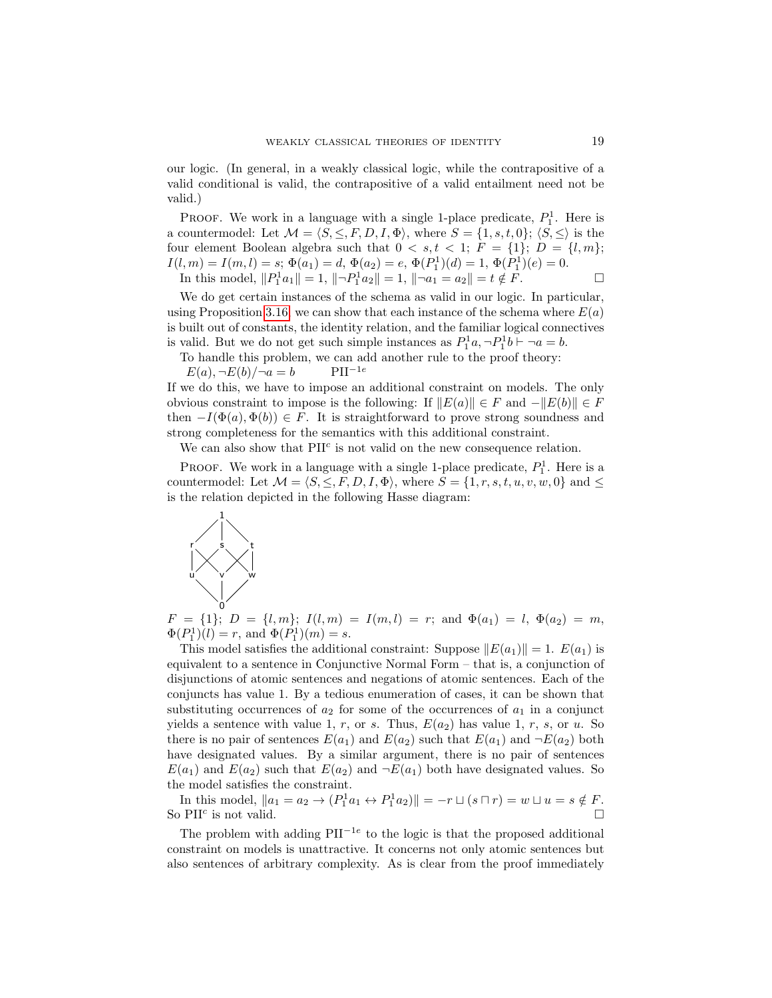our logic. (In general, in a weakly classical logic, while the contrapositive of a valid conditional is valid, the contrapositive of a valid entailment need not be valid.)

PROOF. We work in a language with a single 1-place predicate,  $P_1^1$ . Here is a countermodel: Let  $\mathcal{M} = \langle S, \leq, F, D, I, \Phi \rangle$ , where  $S = \{1, s, t, 0\}; \langle S, \leq \rangle$  is the four element Boolean algebra such that  $0 < s, t < 1$ ;  $F = \{1\}$ ;  $D = \{l, m\}$ ;  $I(l,m) = I(m,l) = s; \Phi(a_1) = d, \Phi(a_2) = e, \Phi(P_1^1)(d) = 1, \Phi(P_1^1)(e) = 0.$ 

In this model, 
$$
||P_1^1a_1|| = 1
$$
,  $||\neg P_1^1a_2|| = 1$ ,  $||\neg a_1 = a_2|| = t \notin \overline{F}$ .

We do get certain instances of the schema as valid in our logic. In particular, using Proposition [3.16,](#page-16-0) we can show that each instance of the schema where  $E(a)$ is built out of constants, the identity relation, and the familiar logical connectives is valid. But we do not get such simple instances as  $P_1^1a, \neg P_1^1b \vdash \neg a = b$ .

To handle this problem, we can add another rule to the proof theory:<br> $E(a), \neg E(b)/\neg a = b$  PII<sup>-1e</sup>  $E(a), \neg E(b)/\neg a = b$ 

If we do this, we have to impose an additional constraint on models. The only obvious constraint to impose is the following: If  $||E(a)|| \in F$  and  $-||E(b)|| \in F$ then  $-I(\Phi(a), \Phi(b)) \in F$ . It is straightforward to prove strong soundness and strong completeness for the semantics with this additional constraint.

We can also show that PII<sup>c</sup> is not valid on the new consequence relation.

PROOF. We work in a language with a single 1-place predicate,  $P_1^1$ . Here is a countermodel: Let  $\mathcal{M} = \langle S, \leq, F, D, I, \Phi \rangle$ , where  $S = \{1, r, s, t, u, v, w, 0\}$  and  $\leq$ is the relation depicted in the following Hasse diagram:



 $F = \{1\}; D = \{l, m\}; I(l, m) = I(m, l) = r; \text{ and } \Phi(a_1) = l, \Phi(a_2) = m,$  $\Phi(P_1^1)(l) = r$ , and  $\Phi(P_1^1)(m) = s$ .

This model satisfies the additional constraint: Suppose  $||E(a_1)|| = 1$ .  $E(a_1)$  is equivalent to a sentence in Conjunctive Normal Form – that is, a conjunction of disjunctions of atomic sentences and negations of atomic sentences. Each of the conjuncts has value 1. By a tedious enumeration of cases, it can be shown that substituting occurrences of  $a_2$  for some of the occurrences of  $a_1$  in a conjunct yields a sentence with value 1, r, or s. Thus,  $E(a_2)$  has value 1, r, s, or u. So there is no pair of sentences  $E(a_1)$  and  $E(a_2)$  such that  $E(a_1)$  and  $\neg E(a_2)$  both have designated values. By a similar argument, there is no pair of sentences  $E(a_1)$  and  $E(a_2)$  such that  $E(a_2)$  and  $\neg E(a_1)$  both have designated values. So the model satisfies the constraint.

In this model,  $||a_1 = a_2 \to (P_1^1 a_1 \leftrightarrow P_1^1 a_2)|| = -r \sqcup (s \sqcap r) = w \sqcup u = s \notin F$ . So  $PII<sup>c</sup>$  is not valid. is not valid.  $\square$ 

The problem with adding  $\text{PII}^{-1e}$  to the logic is that the proposed additional constraint on models is unattractive. It concerns not only atomic sentences but also sentences of arbitrary complexity. As is clear from the proof immediately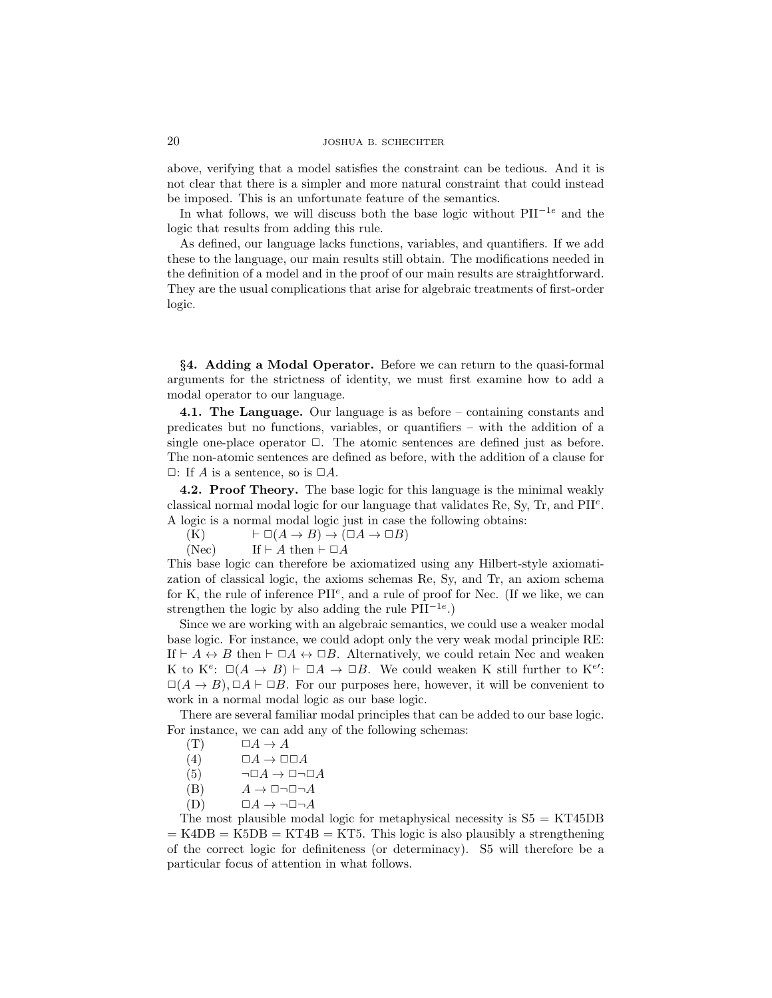### 20 JOSHUA B. SCHECHTER

above, verifying that a model satisfies the constraint can be tedious. And it is not clear that there is a simpler and more natural constraint that could instead be imposed. This is an unfortunate feature of the semantics.

In what follows, we will discuss both the base logic without  $PII^{-1e}$  and the logic that results from adding this rule.

As defined, our language lacks functions, variables, and quantifiers. If we add these to the language, our main results still obtain. The modifications needed in the definition of a model and in the proof of our main results are straightforward. They are the usual complications that arise for algebraic treatments of first-order logic.

§4. Adding a Modal Operator. Before we can return to the quasi-formal arguments for the strictness of identity, we must first examine how to add a modal operator to our language.

4.1. The Language. Our language is as before – containing constants and predicates but no functions, variables, or quantifiers – with the addition of a single one-place operator  $\Box$ . The atomic sentences are defined just as before. The non-atomic sentences are defined as before, with the addition of a clause for  $\Box$ : If A is a sentence, so is  $\Box A$ .

4.2. Proof Theory. The base logic for this language is the minimal weakly classical normal modal logic for our language that validates Re, Sy, Tr, and PII<sup>e</sup>. A logic is a normal modal logic just in case the following obtains:

 $(K) \qquad \vdash \Box(A \to B) \to (\Box A \to \Box B)$ 

(Nec) If  $\vdash A$  then  $\vdash \Box A$ 

This base logic can therefore be axiomatized using any Hilbert-style axiomatization of classical logic, the axioms schemas Re, Sy, and Tr, an axiom schema for K, the rule of inference  $PII^e$ , and a rule of proof for Nec. (If we like, we can strengthen the logic by also adding the rule  $\text{PII}^{-1e}$ .)

Since we are working with an algebraic semantics, we could use a weaker modal base logic. For instance, we could adopt only the very weak modal principle RE: If  $\vdash A \leftrightarrow B$  then  $\vdash \Box A \leftrightarrow \Box B$ . Alternatively, we could retain Nec and weaken K to  $K^e: \Box(A \to B) \vdash \Box A \to \Box B$ . We could weaken K still further to  $K^{e'}$ :  $\Box(A \to B), \Box A \vdash \Box B$ . For our purposes here, however, it will be convenient to work in a normal modal logic as our base logic.

There are several familiar modal principles that can be added to our base logic. For instance, we can add any of the following schemas:

- $(T)$   $\Box A \rightarrow A$
- (4)  $\Box A \rightarrow \Box \Box A$
- $(5) \qquad \neg \Box A \rightarrow \Box \neg \Box A$
- $(B)$   $A \rightarrow \Box \neg \Box \neg A$
- $(D)$   $\Box A \rightarrow \neg \Box \neg A$

The most plausible modal logic for metaphysical necessity is  $S5 = KT45DB$  $=$  K4DB  $=$  K5DB  $=$  KT4B  $=$  KT5. This logic is also plausibly a strengthening of the correct logic for definiteness (or determinacy). S5 will therefore be a particular focus of attention in what follows.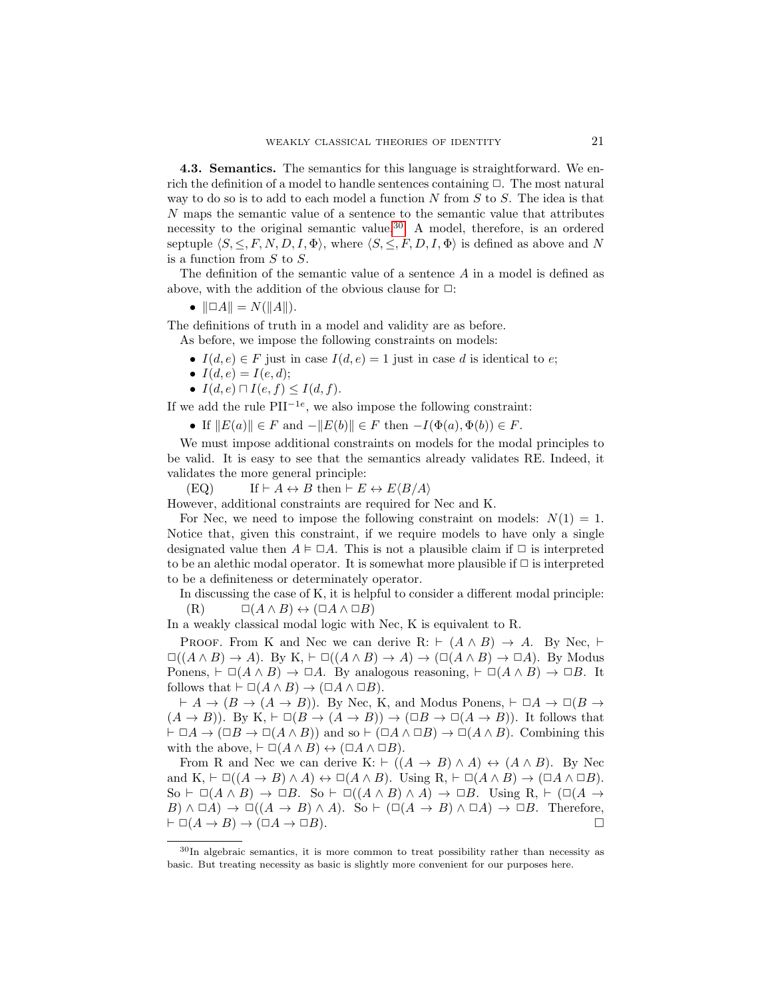4.3. Semantics. The semantics for this language is straightforward. We enrich the definition of a model to handle sentences containing  $\Box$ . The most natural way to do so is to add to each model a function  $N$  from  $S$  to  $S$ . The idea is that N maps the semantic value of a sentence to the semantic value that attributes necessity to the original semantic value.<sup>[30](#page-20-0)</sup> A model, therefore, is an ordered septuple  $\langle S, \leq F, N, D, I, \Phi \rangle$ , where  $\langle S, \leq F, D, I, \Phi \rangle$  is defined as above and N is a function from S to S.

The definition of the semantic value of a sentence A in a model is defined as above, with the addition of the obvious clause for  $\Box$ :

$$
\bullet \|\Box A\| = N(\|A\|).
$$

The definitions of truth in a model and validity are as before.

As before, we impose the following constraints on models:

- $I(d, e) \in F$  just in case  $I(d, e) = 1$  just in case d is identical to e;
- $I(d, e) = I(e, d);$
- $I(d, e) \sqcap I(e, f) \leq I(d, f)$ .

If we add the rule  $PII^{-1e}$ , we also impose the following constraint:

• If  $||E(a)|| \in F$  and  $-||E(b)|| \in F$  then  $-I(\Phi(a), \Phi(b)) \in F$ .

We must impose additional constraints on models for the modal principles to be valid. It is easy to see that the semantics already validates RE. Indeed, it validates the more general principle:

 $(EQ)$  If  $\vdash A \leftrightarrow B$  then  $\vdash E \leftrightarrow E\langle B/A \rangle$ 

However, additional constraints are required for Nec and K.

For Nec, we need to impose the following constraint on models:  $N(1) = 1$ . Notice that, given this constraint, if we require models to have only a single designated value then  $A \models \Box A$ . This is not a plausible claim if  $\Box$  is interpreted to be an alethic modal operator. It is somewhat more plausible if  $\Box$  is interpreted to be a definiteness or determinately operator.

In discussing the case of K, it is helpful to consider a different modal principle:  $(R) \qquad \Box(A \wedge B) \leftrightarrow (\Box A \wedge \Box B)$ 

In a weakly classical modal logic with Nec, K is equivalent to R.

PROOF. From K and Nec we can derive R:  $\vdash (A \land B) \rightarrow A$ . By Nec,  $\vdash$  $\Box((A \land B) \to A)$ . By K,  $\vdash \Box((A \land B) \to A) \to (\Box(A \land B) \to \Box A)$ . By Modus Ponens,  $\vdash \Box(A \land B) \to \Box A$ . By analogous reasoning,  $\vdash \Box(A \land B) \to \Box B$ . It follows that  $\vdash \Box(A \land B) \rightarrow (\Box A \land \Box B)$ .

 $\vdash A \to (B \to (A \to B))$ . By Nec, K, and Modus Ponens,  $\vdash \Box A \to \Box (B \to$  $(A \rightarrow B)$ ). By K,  $\vdash \Box(B \rightarrow (A \rightarrow B)) \rightarrow (\Box B \rightarrow \Box(A \rightarrow B))$ . It follows that  $\vdash \Box A \to (\Box B \to \Box(A \land B))$  and so  $\vdash (\Box A \land \Box B) \to \Box(A \land B)$ . Combining this with the above,  $\vdash \Box(A \land B) \leftrightarrow (\Box A \land \Box B)$ .

From R and Nec we can derive K:  $\vdash ((A \rightarrow B) \land A) \leftrightarrow (A \land B)$ . By Nec and  $K, \vdash \Box((A \to B) \land A) \leftrightarrow \Box(A \land B)$ . Using  $R, \vdash \Box(A \land B) \rightarrow (\Box A \land \Box B)$ .  $\text{So } \vdash \Box(A \land B) \to \Box B$ . So  $\vdash \Box((A \land B) \land A) \to \Box B$ . Using R,  $\vdash (\Box(A \rightarrow$  $B) \wedge \Box A$   $\rightarrow \Box((A \rightarrow B) \wedge A)$ . So  $\vdash (\Box(A \rightarrow B) \wedge \Box A) \rightarrow \Box B$ . Therefore,  $\vdash \Box(A \to B) \to (\Box A \to \Box B).$ 

<span id="page-20-0"></span> $30$ In algebraic semantics, it is more common to treat possibility rather than necessity as basic. But treating necessity as basic is slightly more convenient for our purposes here.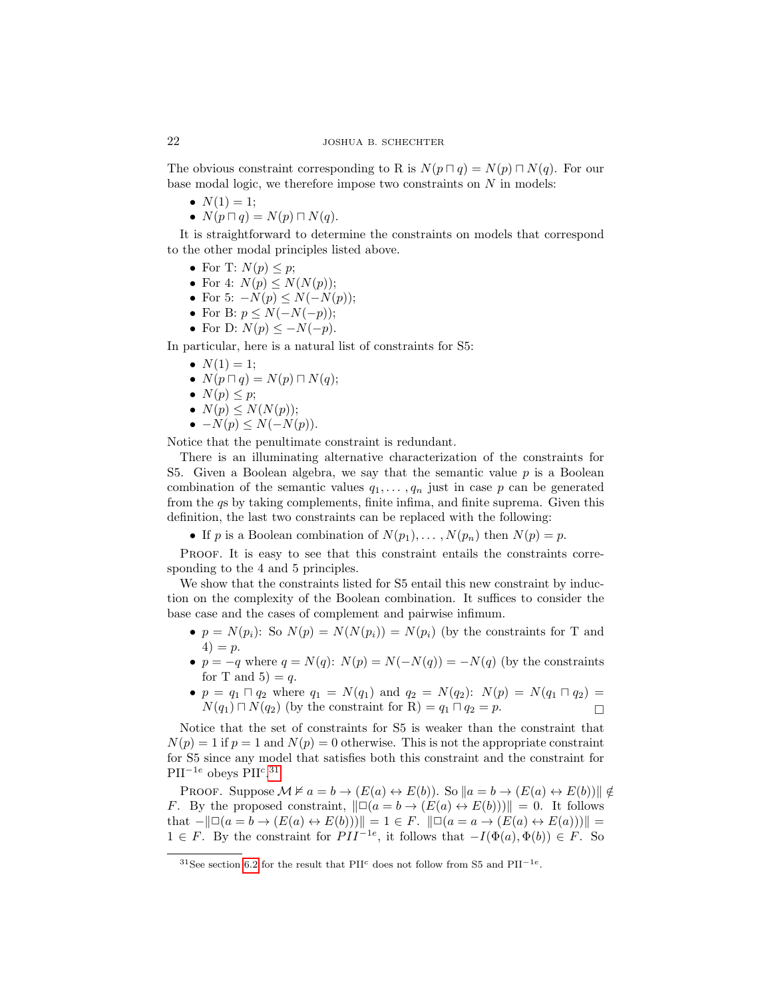The obvious constraint corresponding to R is  $N(p \sqcap q) = N(p) \sqcap N(q)$ . For our base modal logic, we therefore impose two constraints on  $N$  in models:

- $N(1) = 1$ ;
- $N(p \sqcap q) = N(p) \sqcap N(q)$ .

It is straightforward to determine the constraints on models that correspond to the other modal principles listed above.

- For T:  $N(p) \leq p$ ;
- For 4:  $N(p) \leq N(N(p));$
- For 5:  $-N(p) \le N(-N(p));$
- For B:  $p \leq N(-N(-p));$
- For D:  $N(p) \leq -N(-p)$ .

In particular, here is a natural list of constraints for S5:

- $N(1) = 1$ :
- $N(p \sqcap q) = N(p) \sqcap N(q);$
- $N(p) \leq p$ ;
- $N(p) \leq N(N(p));$
- $\bullet$  –N(p)  $\leq N(-N(p)).$

Notice that the penultimate constraint is redundant.

There is an illuminating alternative characterization of the constraints for S5. Given a Boolean algebra, we say that the semantic value  $p$  is a Boolean combination of the semantic values  $q_1, \ldots, q_n$  just in case p can be generated from the qs by taking complements, finite infima, and finite suprema. Given this definition, the last two constraints can be replaced with the following:

• If p is a Boolean combination of  $N(p_1), \ldots, N(p_n)$  then  $N(p) = p$ .

PROOF. It is easy to see that this constraint entails the constraints corresponding to the 4 and 5 principles.

We show that the constraints listed for S5 entail this new constraint by induction on the complexity of the Boolean combination. It suffices to consider the base case and the cases of complement and pairwise infimum.

- $p = N(p_i)$ : So  $N(p) = N(N(p_i)) = N(p_i)$  (by the constraints for T and  $4) = p.$
- $p = -q$  where  $q = N(q)$ :  $N(p) = N(-N(q)) = -N(q)$  (by the constraints for T and  $5$ ) =  $q$ .
- $p = q_1 \sqcap q_2$  where  $q_1 = N(q_1)$  and  $q_2 = N(q_2)$ :  $N(p) = N(q_1 \sqcap q_2)$  =  $N(q_1) \sqcap N(q_2)$  (by the constraint for R) =  $q_1 \sqcap q_2 = p$ .

Notice that the set of constraints for S5 is weaker than the constraint that  $N(p) = 1$  if  $p = 1$  and  $N(p) = 0$  otherwise. This is not the appropriate constraint for S5 since any model that satisfies both this constraint and the constraint for  $\rm{PII^{-1}}$ e obeys  $\rm{PII}^{c.31}$  $\rm{PII}^{c.31}$  $\rm{PII}^{c.31}$ 

PROOF. Suppose  $\mathcal{M} \nvDash a = b \rightarrow (E(a) \leftrightarrow E(b))$ . So  $||a = b \rightarrow (E(a) \leftrightarrow E(b))|| \notin$ F. By the proposed constraint,  $\|\Box(a = b \rightarrow (E(a) \leftrightarrow E(b)))\| = 0$ . It follows that  $-\|\Box(a = b \rightarrow (E(a) \leftrightarrow E(b)))\| = 1 \in F$ .  $\|\Box(a = a \rightarrow (E(a) \leftrightarrow E(a)))\| =$  $1 \in F$ . By the constraint for  $PII^{-1e}$ , it follows that  $-I(\Phi(a), \Phi(b)) \in F$ . So

<span id="page-21-0"></span><sup>&</sup>lt;sup>31</sup>See section [6.2](#page-31-0) for the result that PII<sup>c</sup> does not follow from S5 and PII<sup>-1e</sup>.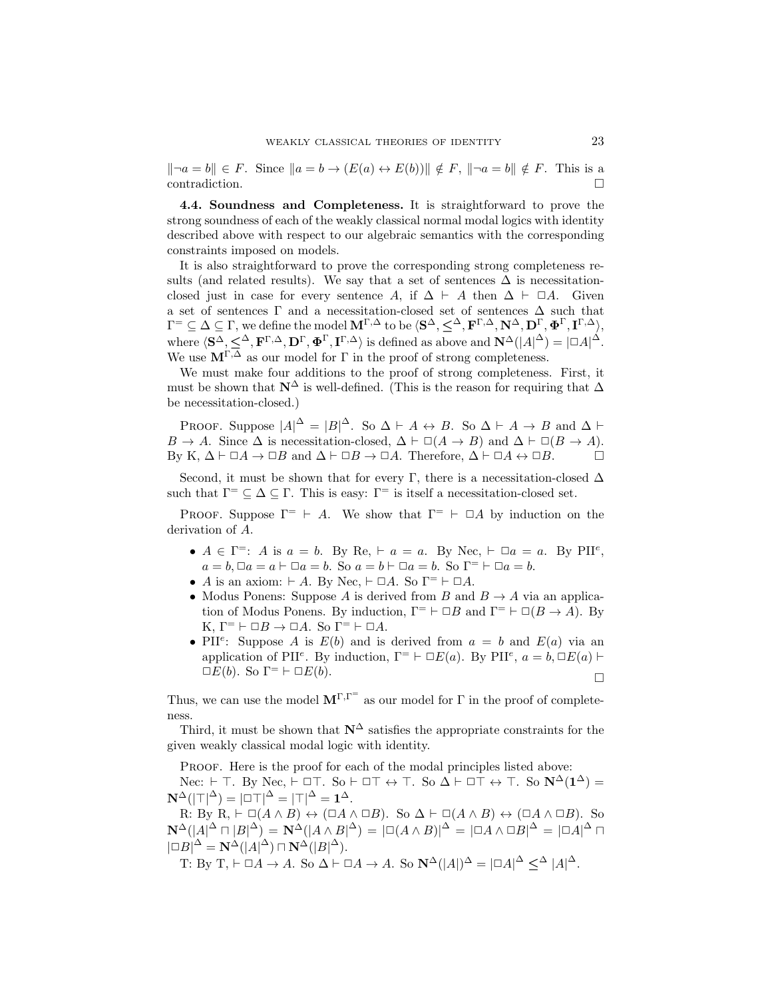$\|\neg a = b\| \in F$ . Since  $\|a = b \to (E(a) \leftrightarrow E(b))\| \notin F$ ,  $\|\neg a = b\| \notin F$ . This is a  $\Box$ contradiction.

4.4. Soundness and Completeness. It is straightforward to prove the strong soundness of each of the weakly classical normal modal logics with identity described above with respect to our algebraic semantics with the corresponding constraints imposed on models.

It is also straightforward to prove the corresponding strong completeness results (and related results). We say that a set of sentences  $\Delta$  is necessitationclosed just in case for every sentence A, if  $\Delta \vdash A$  then  $\Delta \vdash \Box A$ . Given a set of sentences  $\Gamma$  and a necessitation-closed set of sentences  $\Delta$  such that  $\Gamma^{\pm} \subseteq \Delta \subseteq \Gamma$ , we define the model  $\mathbf{M}^{\Gamma,\Delta}$  to be  $\langle \mathbf{S}^{\Delta}, \leq^{\Delta}, \mathbf{F}^{\Gamma,\Delta}, \mathbf{N}^{\Delta}, \mathbf{D}^{\Gamma}, \mathbf{\Phi}^{\Gamma}, \mathbf{I}^{\Gamma,\Delta} \rangle$ , where  $\langle S^{\Delta}, \leq^{\Delta}, \mathbf{F}^{\Gamma, \Delta}, \mathbf{D}^{\Gamma}, \mathbf{\Phi}^{\Gamma}, \mathbf{I}^{\Gamma, \Delta} \rangle$  is defined as above and  $\mathbf{N}^{\Delta}(|A|^{\Delta}) = |\Box A|^{\Delta}$ . We use  $M^{\Gamma,\Delta}$  as our model for  $\Gamma$  in the proof of strong completeness.

We must make four additions to the proof of strong completeness. First, it must be shown that  $\mathbb{N}^{\Delta}$  is well-defined. (This is the reason for requiring that  $\Delta$ be necessitation-closed.)

PROOF. Suppose  $|A|^{\Delta} = |B|^{\Delta}$ . So  $\Delta \vdash A \leftrightarrow B$ . So  $\Delta \vdash A \to B$  and  $\Delta \vdash$  $B \to A$ . Since  $\Delta$  is necessitation-closed,  $\Delta \vdash \Box(A \to B)$  and  $\Delta \vdash \Box(B \to A)$ . By K,  $\Delta \vdash \Box A \rightarrow \Box B$  and  $\Delta \vdash \Box B \rightarrow \Box A$ . Therefore,  $\Delta \vdash \Box A \leftrightarrow \Box B$ .  $\Box$ 

Second, it must be shown that for every Γ, there is a necessitation-closed  $\Delta$ such that  $\Gamma^{\pm} \subseteq \Delta \subseteq \Gamma$ . This is easy:  $\Gamma^{\pm}$  is itself a necessitation-closed set.

PROOF. Suppose  $\Gamma^{\pm} \vdash A$ . We show that  $\Gamma^{\pm} \vdash \Box A$  by induction on the derivation of A.

- $A \in \Gamma^{\pm}$ : A is  $a = b$ . By Re,  $\vdash a = a$ . By Nec,  $\vdash \Box a = a$ . By PII<sup>e</sup>,  $a = b, \Box a = a \vdash \Box a = b.$  So  $a = b \vdash \Box a = b.$  So  $\Gamma^{\pm} \vdash \Box a = b.$
- A is an axiom:  $\vdash A$ . By Nec,  $\vdash \Box A$ . So  $\Gamma = \vdash \Box A$ .
- Modus Ponens: Suppose A is derived from B and  $B \to A$  via an application of Modus Ponens. By induction,  $\Gamma^- \vdash \Box B$  and  $\Gamma^- \vdash \Box (B \to A)$ . By K,  $\Gamma$ <sup>=</sup>  $\vdash$   $\Box$ *B*  $\rightarrow$   $\Box$ *A*. So  $\Gamma$ <sup>=</sup>  $\vdash$   $\Box$ *A*.
- PII<sup>e</sup>: Suppose A is  $E(b)$  and is derived from  $a = b$  and  $E(a)$  via an application of PII<sup>e</sup>. By induction,  $\Gamma^{\pm} \vdash \Box E(a)$ . By PII<sup>e</sup>,  $a = b, \Box E(a) \vdash$  $\Box E(b)$ . So  $\Gamma$ <sup>=</sup>  $\vdash \Box E(b)$ .

Thus, we can use the model  $M^{\Gamma,\Gamma^-}$  as our model for  $\Gamma$  in the proof of completeness.

Third, it must be shown that  $N^{\Delta}$  satisfies the appropriate constraints for the given weakly classical modal logic with identity.

PROOF. Here is the proof for each of the modal principles listed above: Nec:  $\vdash$  T. By Nec,  $\vdash$   $\Box$ T. So  $\vdash$   $\Box$ T  $\leftrightarrow$  T. So  $\Delta$   $\vdash$   $\Box$ T  $\leftrightarrow$  T. So  $\mathbf{N}^{\Delta}(\mathbf{1}^{\Delta})$  =  $N^{\Delta}(|\top|^{\Delta}) = |\square \top|^{\Delta} = |\top|^{\Delta} = 1^{\Delta}.$ 

R: By R,  $\vdash \Box(A \land B) \leftrightarrow (\Box A \land \Box B)$ . So  $\Delta \vdash \Box(A \land B) \leftrightarrow (\Box A \land \Box B)$ . So  $\mathbf{N}^{\Delta}(|A|^{\Delta}\sqcap |B|^{\Delta}) = \mathbf{N}^{\Delta}(|A\wedge B|^{\Delta}) = \left|\Box(A\wedge B)\right|^{\Delta} = \left|\Box A\wedge\Box B\right|^{\Delta} = \left|\Box A\right|^{\Delta}\sqcap$  $|\Box B|^{\Delta} = \mathbf{N}^{\Delta}(|A|^{\Delta}) \cap \mathbf{N}^{\Delta}(|B|^{\Delta}).$ 

T: By T,  $\vdash \Box A \to A$ . So  $\Delta \vdash \Box A \to A$ . So  $\mathbf{N}^{\Delta}(|A|)^{\Delta} = |\Box A|^{\Delta} \leq^{\Delta} |A|^{\Delta}$ .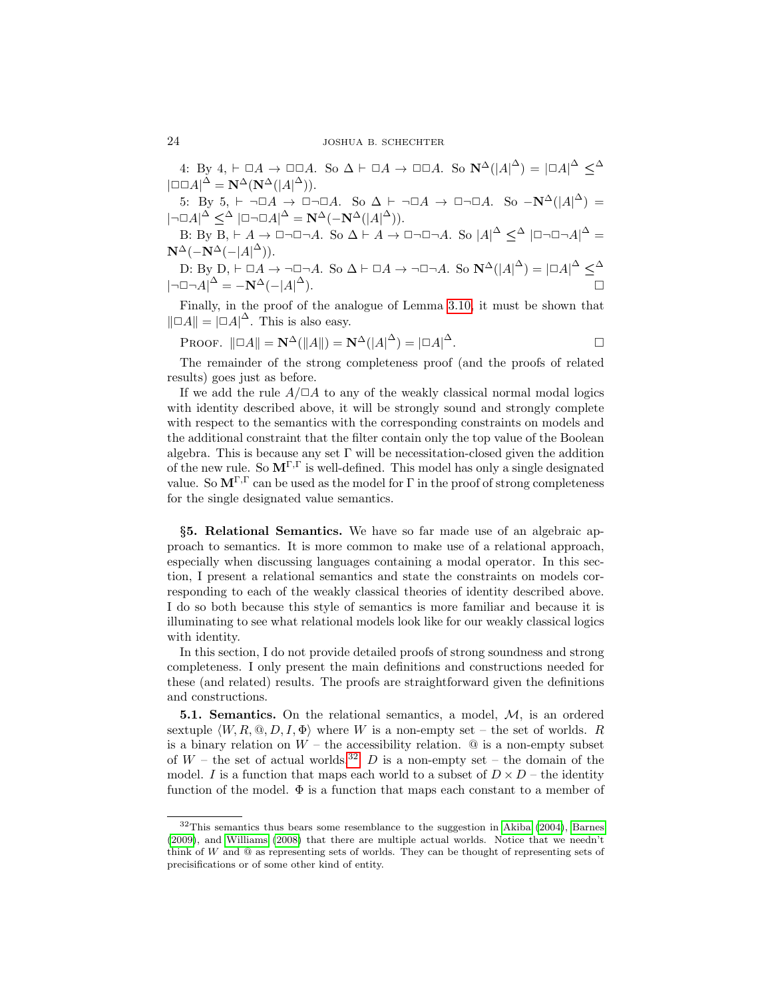4: By  $4$ ,  $\vdash \Box A \rightarrow \Box \Box A$ . So  $\Delta \vdash \Box A \rightarrow \Box \Box A$ . So  $\mathbf{N}^{\Delta}(|A|^{\Delta}) = |\Box A|^{\Delta} \leq^{\Delta}$  $|\Box\Box A|^{\Delta} = \mathbf{N}^{\Delta}(\mathbf{N}^{\Delta}(|A|^{\Delta})).$ 5: By  $5, \vdash \neg \Box A \rightarrow \Box \neg \Box A$ . So  $\Delta \vdash \neg \Box A \rightarrow \Box \neg \Box A$ . So  $-\mathbf{N}^{\Delta}(|A|^{\Delta}) =$  $|\neg \Box A|^{\Delta} \leq^{\Delta} |\Box \neg \Box A|^{\Delta} = \mathbf{N}^{\Delta}(-\mathbf{N}^{\Delta}(|A|^{\Delta})).$ B: By B,  $\vdash A \to \Box \neg \Box \neg A$ . So  $\Delta \vdash A \to \Box \neg \Box \neg A$ . So  $\left| A \right|^{\Delta} \leq^{\Delta} \left| \Box \neg \Box \neg A \right|^{\Delta} =$  $\mathbf{N}^{\Delta}(-\mathbf{N}^{\Delta}(-|A|^{\Delta})).$  ${\bf N}^{\Delta}(-{\bf N}^{\Delta}(-|A|^{\Delta})).$ D: By D,  $\vdash \Box A \to \neg \Box \neg A$ . So  $\Delta \vdash \Box A \to \neg \Box \neg A$ . So  $\mathbf{N}^{\Delta}(|A|^{\Delta}) = |\Box A|^{\Delta} \leq^{\Delta}$  $|\neg \Box \neg A|^{\Delta} = -\mathbf{N}^{\Delta}(-|A|^{\Delta}).$ 

Finally, in the proof of the analogue of Lemma [3.10,](#page-12-1) it must be shown that  $\|\Box A\| = |\Box A|^{\Delta}$ . This is also easy.

Proof.  $\|\Box A\| = \mathbf{N}^{\Delta}(\|A\|) = \mathbf{N}^{\Delta}(|A|^{\Delta}) = |\Box A|^{\Delta}$ . — Процессиональные производствование и производствование и производствование и производствование и производс<br>В 1990 году в 1990 году в 1990 году в 1990 году в 1990 году в 1990 году в 1990 году в 1990 году в 1990 году в<br>

The remainder of the strong completeness proof (and the proofs of related results) goes just as before.

If we add the rule  $A/\Box A$  to any of the weakly classical normal modal logics with identity described above, it will be strongly sound and strongly complete with respect to the semantics with the corresponding constraints on models and the additional constraint that the filter contain only the top value of the Boolean algebra. This is because any set  $\Gamma$  will be necessitation-closed given the addition of the new rule. So  $M^{\Gamma,\Gamma}$  is well-defined. This model has only a single designated value. So  $M^{\Gamma,\Gamma}$  can be used as the model for  $\Gamma$  in the proof of strong completeness for the single designated value semantics.

§5. Relational Semantics. We have so far made use of an algebraic approach to semantics. It is more common to make use of a relational approach, especially when discussing languages containing a modal operator. In this section, I present a relational semantics and state the constraints on models corresponding to each of the weakly classical theories of identity described above. I do so both because this style of semantics is more familiar and because it is illuminating to see what relational models look like for our weakly classical logics with identity.

In this section, I do not provide detailed proofs of strong soundness and strong completeness. I only present the main definitions and constructions needed for these (and related) results. The proofs are straightforward given the definitions and constructions.

5.1. Semantics. On the relational semantics, a model, M, is an ordered sextuple  $\langle W, R, \mathbb{Q}, D, I, \Phi \rangle$  where W is a non-empty set – the set of worlds. R is a binary relation on  $W$  – the accessibility relation.  $\omega$  is a non-empty subset of  $W$  – the set of actual worlds.<sup>[32](#page-23-0)</sup> D is a non-empty set – the domain of the model. I is a function that maps each world to a subset of  $D \times D$  – the identity function of the model.  $\Phi$  is a function that maps each constant to a member of

<span id="page-23-0"></span><sup>32</sup>This semantics thus bears some resemblance to the suggestion in [Akiba](#page-38-5) [\(2004\)](#page-38-5), [Barnes](#page-38-6) [\(2009\)](#page-38-6), and [Williams](#page-39-9) [\(2008\)](#page-39-9) that there are multiple actual worlds. Notice that we needn't think of  $W$  and  $@$  as representing sets of worlds. They can be thought of representing sets of precisifications or of some other kind of entity.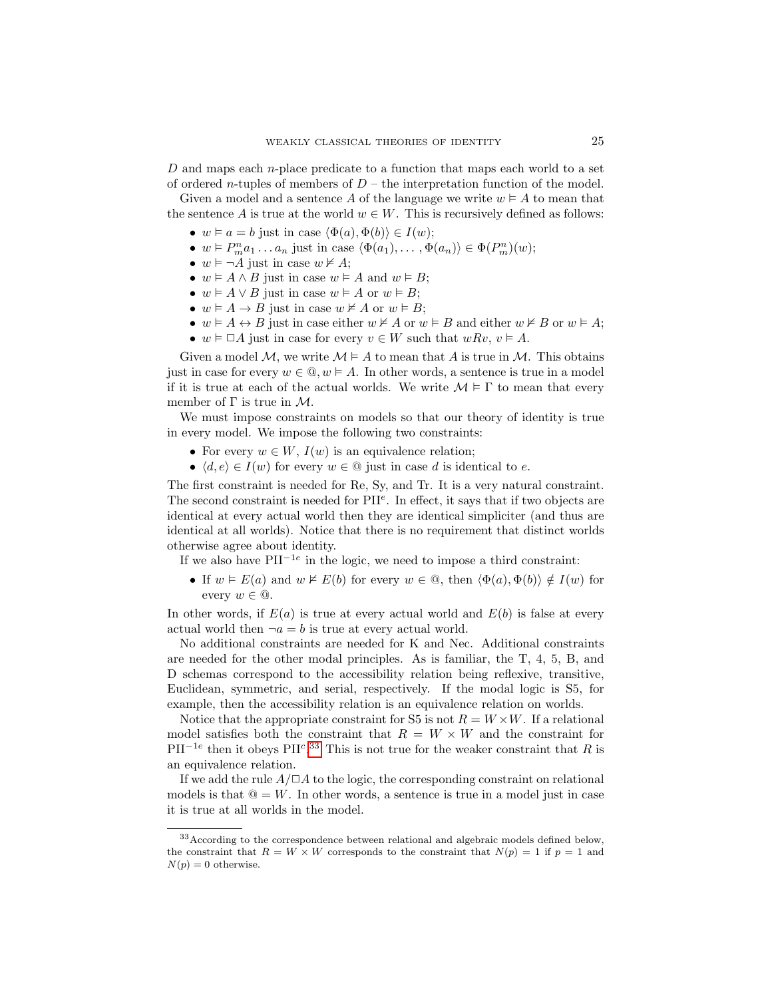D and maps each n-place predicate to a function that maps each world to a set of ordered *n*-tuples of members of  $D$  – the interpretation function of the model.

Given a model and a sentence A of the language we write  $w \in A$  to mean that the sentence A is true at the world  $w \in W$ . This is recursively defined as follows:

- $w \vDash a = b$  just in case  $\langle \Phi(a), \Phi(b) \rangle \in I(w);$
- $w \models P_m^n a_1 \dots a_n$  just in case  $\langle \Phi(a_1), \dots, \Phi(a_n) \rangle \in \Phi(P_m^n)(w);$
- $w \vDash \neg A$  just in case  $w \not\models A$ ;
- $w \models A \land B$  just in case  $w \models A$  and  $w \models B$ ;
- $w \models A \lor B$  just in case  $w \models A$  or  $w \models B$ ;
- $w \models A \rightarrow B$  just in case  $w \not\models A$  or  $w \models B$ ;
- w  $\vdash A \leftrightarrow B$  just in case either  $w \not\models A$  or  $w \models B$  and either  $w \not\models B$  or  $w \models A$ ;
- $w \models \Box A$  just in case for every  $v \in W$  such that  $wRv, v \models A$ .

Given a model M, we write  $M \models A$  to mean that A is true in M. This obtains just in case for every  $w \in \mathbb{Q}, w \models A$ . In other words, a sentence is true in a model if it is true at each of the actual worlds. We write  $\mathcal{M} \models \Gamma$  to mean that every member of  $\Gamma$  is true in  $\mathcal{M}$ .

We must impose constraints on models so that our theory of identity is true in every model. We impose the following two constraints:

- For every  $w \in W$ ,  $I(w)$  is an equivalence relation;
- $\langle d, e \rangle \in I(w)$  for every  $w \in \mathbb{Q}$  just in case d is identical to e.

The first constraint is needed for Re, Sy, and Tr. It is a very natural constraint. The second constraint is needed for PII<sup>e</sup>. In effect, it says that if two objects are identical at every actual world then they are identical simpliciter (and thus are identical at all worlds). Notice that there is no requirement that distinct worlds otherwise agree about identity.

If we also have  $\text{PII}^{-1e}$  in the logic, we need to impose a third constraint:

• If  $w \in E(a)$  and  $w \not\in E(b)$  for every  $w \in \mathcal{Q}$ , then  $\langle \Phi(a), \Phi(b) \rangle \notin I(w)$  for every  $w \in \mathbb{Q}$ .

In other words, if  $E(a)$  is true at every actual world and  $E(b)$  is false at every actual world then  $\neg a = b$  is true at every actual world.

No additional constraints are needed for K and Nec. Additional constraints are needed for the other modal principles. As is familiar, the T, 4, 5, B, and D schemas correspond to the accessibility relation being reflexive, transitive, Euclidean, symmetric, and serial, respectively. If the modal logic is S5, for example, then the accessibility relation is an equivalence relation on worlds.

Notice that the appropriate constraint for S5 is not  $R = W \times W$ . If a relational model satisfies both the constraint that  $R = W \times W$  and the constraint for PII<sup>-1e</sup> then it obeys PII<sup>c</sup>.<sup>[33](#page-24-0)</sup> This is not true for the weaker constraint that R is an equivalence relation.

If we add the rule  $A/\Box A$  to the logic, the corresponding constraint on relational models is that  $\mathbb{Q} = W$ . In other words, a sentence is true in a model just in case it is true at all worlds in the model.

<span id="page-24-0"></span><sup>&</sup>lt;sup>33</sup> According to the correspondence between relational and algebraic models defined below, the constraint that  $R = W \times W$  corresponds to the constraint that  $N(p) = 1$  if  $p = 1$  and  $N(p) = 0$  otherwise.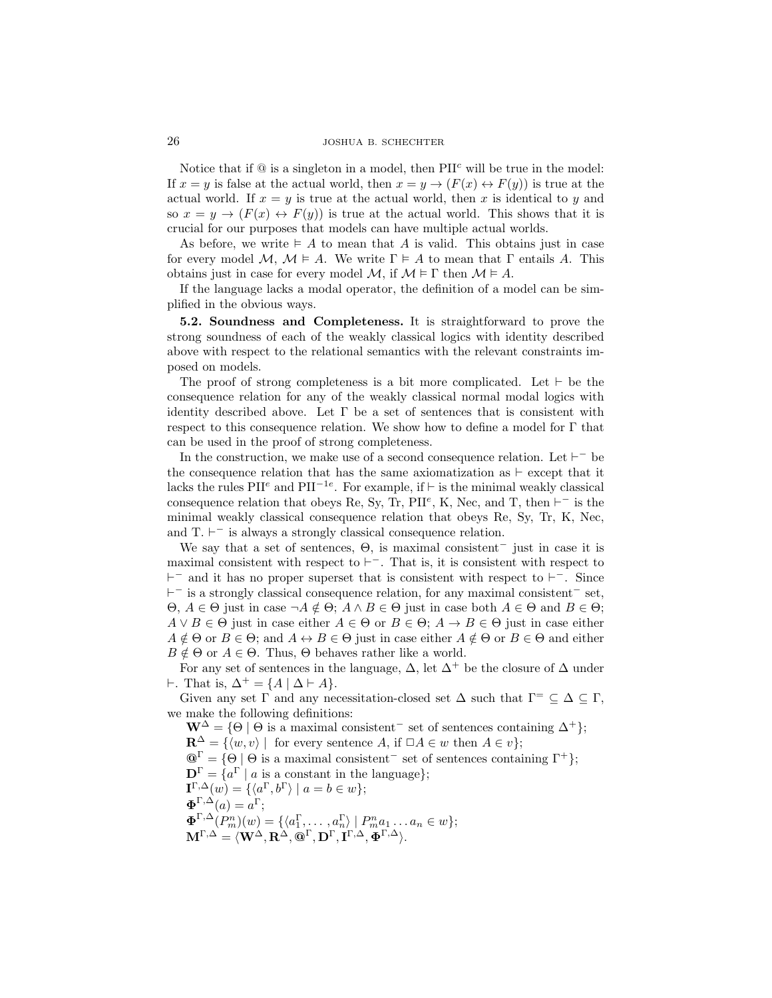Notice that if  $\omega$  is a singleton in a model, then PII<sup>c</sup> will be true in the model: If  $x = y$  is false at the actual world, then  $x = y \rightarrow (F(x) \leftrightarrow F(y))$  is true at the actual world. If  $x = y$  is true at the actual world, then x is identical to y and so  $x = y \rightarrow (F(x) \leftrightarrow F(y))$  is true at the actual world. This shows that it is crucial for our purposes that models can have multiple actual worlds.

As before, we write  $\models A$  to mean that A is valid. This obtains just in case for every model  $\mathcal{M}, \mathcal{M} \models A$ . We write  $\Gamma \models A$  to mean that  $\Gamma$  entails A. This obtains just in case for every model  $\mathcal{M}$ , if  $\mathcal{M} \models \Gamma$  then  $\mathcal{M} \models A$ .

If the language lacks a modal operator, the definition of a model can be simplified in the obvious ways.

5.2. Soundness and Completeness. It is straightforward to prove the strong soundness of each of the weakly classical logics with identity described above with respect to the relational semantics with the relevant constraints imposed on models.

The proof of strong completeness is a bit more complicated. Let  $\vdash$  be the consequence relation for any of the weakly classical normal modal logics with identity described above. Let  $\Gamma$  be a set of sentences that is consistent with respect to this consequence relation. We show how to define a model for Γ that can be used in the proof of strong completeness.

In the construction, we make use of a second consequence relation. Let  $\vdash^{-}$  be the consequence relation that has the same axiomatization as  $\vdash$  except that it lacks the rules PII<sup>e</sup> and PII<sup>-1e</sup>. For example, if  $\vdash$  is the minimal weakly classical consequence relation that obeys Re, Sy, Tr, PII<sup>e</sup>, K, Nec, and T, then  $\vdash^{-}$  is the minimal weakly classical consequence relation that obeys Re, Sy, Tr, K, Nec, and  $T. \vdash^-$  is always a strongly classical consequence relation.

We say that a set of sentences,  $\Theta$ , is maximal consistent<sup>-</sup> just in case it is maximal consistent with respect to  $\vdash^{-}$ . That is, it is consistent with respect to  $\vdash$  and it has no proper superset that is consistent with respect to  $\vdash$ . Since ` <sup>−</sup> is a strongly classical consequence relation, for any maximal consistent<sup>−</sup> set,  $\Theta$ ,  $A \in \Theta$  just in case  $\neg A \notin \Theta$ ;  $A \wedge B \in \Theta$  just in case both  $A \in \Theta$  and  $B \in \Theta$ ;  $A \vee B \in \Theta$  just in case either  $A \in \Theta$  or  $B \in \Theta$ ;  $A \to B \in \Theta$  just in case either  $A \notin \Theta$  or  $B \in \Theta$ ; and  $A \leftrightarrow B \in \Theta$  just in case either  $A \notin \Theta$  or  $B \in \Theta$  and either  $B \notin \Theta$  or  $A \in \Theta$ . Thus,  $\Theta$  behaves rather like a world.

For any set of sentences in the language,  $\Delta$ , let  $\Delta^+$  be the closure of  $\Delta$  under  $\vdash$ . That is,  $\Delta^+ = \{A \mid \Delta \vdash A\}.$ 

Given any set  $\Gamma$  and any necessitation-closed set  $\Delta$  such that  $\Gamma^{\pm} \subseteq \Delta \subseteq \Gamma$ , we make the following definitions:

 $\mathbf{W}^{\Delta} = \{ \Theta \mid \Theta \text{ is a maximal consistent}^{-} \text{ set of sentences containing } \Delta^{+} \};$  $\mathbf{R}^{\Delta} = \{ \langle w, v \rangle \mid \text{ for every sentence } A, \text{ if } \Box A \in w \text{ then } A \in v \};$  $\mathbf{\Theta}^{\Gamma} = \{ \Theta \mid \Theta \text{ is a maximal consistent}^{-} \text{ set of sentences containing } \Gamma^{+} \};$  $\mathbf{D}^{\Gamma} = \{a^{\Gamma} \mid a \text{ is a constant in the language}\};$  $\mathbf{I}^{\Gamma,\Delta}(w) = \{ \langle a^{\Gamma}, b^{\Gamma} \rangle \mid a = b \in w \};$  $\mathbf{\Phi}^{\Gamma,\Delta}(a)=a^{\Gamma};$  $\mathbf{\Phi}^{\Gamma,\Delta}(P_m^n)(w) = \{ \langle a_1^{\Gamma}, \ldots, a_n^{\Gamma} \rangle \mid P_m^n a_1 \ldots a_n \in w \};$  $\mathbf{M}^{\Gamma,\Delta} = \langle \mathbf{W}^{\Delta}, \mathbf{R}^{\Delta}, \mathbf{\Theta}^{\Gamma}, \mathbf{D}^{\Gamma}, \mathbf{I}^{\Gamma,\Delta}, \mathbf{\Phi}^{\Gamma,\Delta} \rangle.$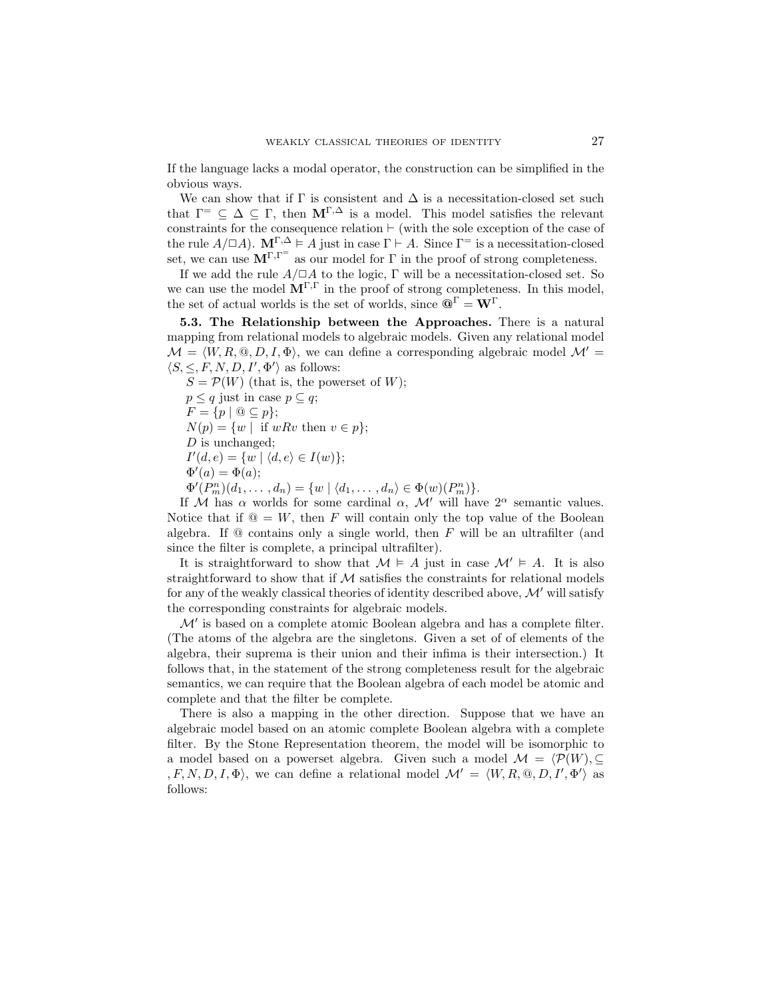If the language lacks a modal operator, the construction can be simplified in the obvious ways.

We can show that if  $\Gamma$  is consistent and  $\Delta$  is a necessitation-closed set such that  $\Gamma^{\pm} \subseteq \Delta \subseteq \Gamma$ , then  $\mathbf{M}^{\Gamma,\Delta}$  is a model. This model satisfies the relevant constraints for the consequence relation  $\vdash$  (with the sole exception of the case of the rule  $A/\Box A$ ).  $\mathbf{M}^{\Gamma,\Delta} \models A$  just in case  $\Gamma \vdash A$ . Since  $\Gamma^{-}$  is a necessitation-closed set, we can use  $M^{\Gamma,\Gamma^=}$  as our model for  $\Gamma$  in the proof of strong completeness.

If we add the rule  $A/\Box A$  to the logic,  $\Gamma$  will be a necessitation-closed set. So we can use the model  $M^{\Gamma,\Gamma}$  in the proof of strong completeness. In this model, the set of actual worlds is the set of worlds, since  $\mathbf{Q}^{\Gamma} = \mathbf{W}^{\Gamma}$ .

5.3. The Relationship between the Approaches. There is a natural mapping from relational models to algebraic models. Given any relational model  $\mathcal{M} = \langle W, R, \mathbb{Q}, D, I, \Phi \rangle$ , we can define a corresponding algebraic model  $\mathcal{M}' =$  $\langle S, \leq, F, N, D, I', \Phi' \rangle$  as follows:

 $S = \mathcal{P}(W)$  (that is, the powerset of W);  $p \leq q$  just in case  $p \subseteq q$ ;  $F = \{p \mid \mathbb{Q} \subseteq p\};$  $N(p) = \{w \mid \text{ if } wRv \text{ then } v \in p\};$ D is unchanged;  $I'(d, e) = \{w \mid \langle d, e \rangle \in I(w)\};$  $\Phi'(a) = \Phi(a);$  $\Phi'(P_m^n)(d_1, \ldots, d_n) = \{w \mid \langle d_1, \ldots, d_n \rangle \in \Phi(w)(P_m^n) \}.$ 

If M has  $\alpha$  worlds for some cardinal  $\alpha$ , M' will have  $2^{\alpha}$  semantic values. Notice that if  $\mathbb{Q} = W$ , then F will contain only the top value of the Boolean algebra. If  $@$  contains only a single world, then  $F$  will be an ultrafilter (and since the filter is complete, a principal ultrafilter).

It is straightforward to show that  $\mathcal{M} \models A$  just in case  $\mathcal{M}' \models A$ . It is also straightforward to show that if  $\mathcal M$  satisfies the constraints for relational models for any of the weakly classical theories of identity described above,  $\mathcal{M}'$  will satisfy the corresponding constraints for algebraic models.

 $\mathcal{M}'$  is based on a complete atomic Boolean algebra and has a complete filter. (The atoms of the algebra are the singletons. Given a set of of elements of the algebra, their suprema is their union and their infima is their intersection.) It follows that, in the statement of the strong completeness result for the algebraic semantics, we can require that the Boolean algebra of each model be atomic and complete and that the filter be complete.

There is also a mapping in the other direction. Suppose that we have an algebraic model based on an atomic complete Boolean algebra with a complete filter. By the Stone Representation theorem, the model will be isomorphic to a model based on a powerset algebra. Given such a model  $\mathcal{M} = \langle \mathcal{P}(W), \subseteq \mathcal{M} \rangle$  $\langle F, N, D, I, \Phi \rangle$ , we can define a relational model  $\mathcal{M}' = \langle W, R, \mathcal{Q}, D, I', \Phi' \rangle$  as follows: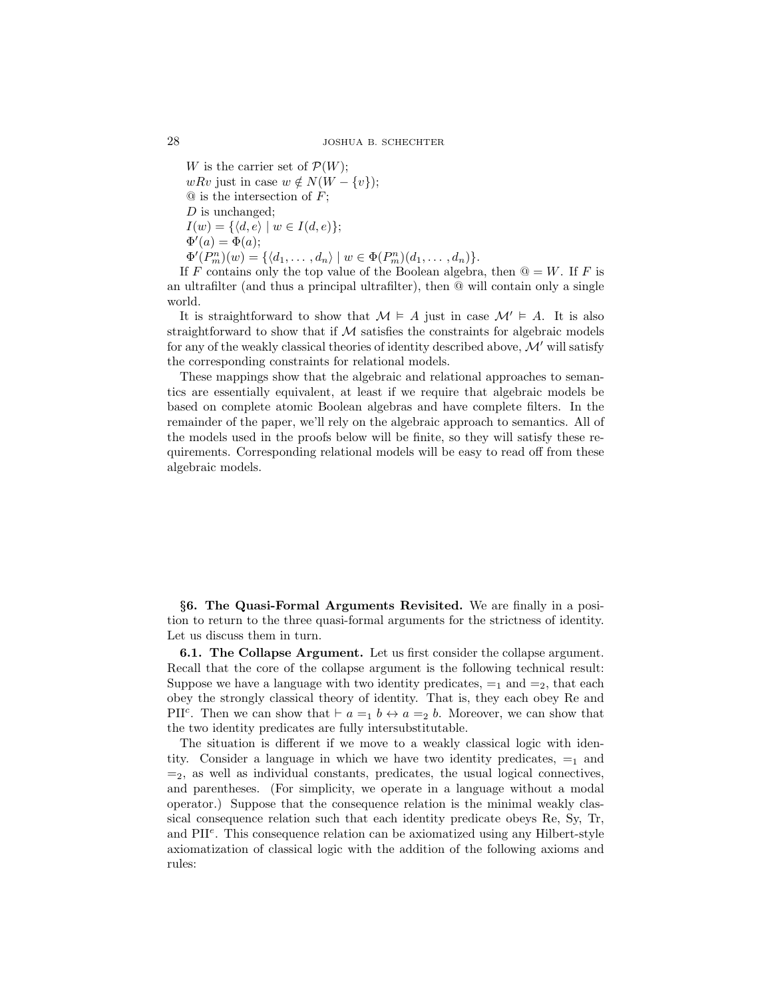W is the carrier set of  $\mathcal{P}(W)$ ; wRv just in case  $w \notin N(W - \{v\})$ ;  $\Omega$  is the intersection of F; D is unchanged:  $I(w) = \{ \langle d, e \rangle \mid w \in I(d, e) \};$  $\Phi'(a) = \overline{\Phi(a)};$  $\Phi'(P_m^n)(w) = \{ \langle d_1, \ldots, d_n \rangle \mid w \in \Phi(P_m^n)(d_1, \ldots, d_n) \}.$ 

If F contains only the top value of the Boolean algebra, then  $@=W$ . If F is an ultrafilter (and thus a principal ultrafilter), then @ will contain only a single world.

It is straightforward to show that  $\mathcal{M} \models A$  just in case  $\mathcal{M}' \models A$ . It is also straightforward to show that if  $M$  satisfies the constraints for algebraic models for any of the weakly classical theories of identity described above,  $\mathcal{M}'$  will satisfy the corresponding constraints for relational models.

These mappings show that the algebraic and relational approaches to semantics are essentially equivalent, at least if we require that algebraic models be based on complete atomic Boolean algebras and have complete filters. In the remainder of the paper, we'll rely on the algebraic approach to semantics. All of the models used in the proofs below will be finite, so they will satisfy these requirements. Corresponding relational models will be easy to read off from these algebraic models.

§6. The Quasi-Formal Arguments Revisited. We are finally in a position to return to the three quasi-formal arguments for the strictness of identity. Let us discuss them in turn.

6.1. The Collapse Argument. Let us first consider the collapse argument. Recall that the core of the collapse argument is the following technical result: Suppose we have a language with two identity predicates,  $=_1$  and  $=_2$ , that each obey the strongly classical theory of identity. That is, they each obey Re and PII<sup>c</sup>. Then we can show that  $\vdash a =_1 b \leftrightarrow a =_2 b$ . Moreover, we can show that the two identity predicates are fully intersubstitutable.

The situation is different if we move to a weakly classical logic with identity. Consider a language in which we have two identity predicates,  $=$ <sub>1</sub> and  $=$ <sub>2</sub>, as well as individual constants, predicates, the usual logical connectives, and parentheses. (For simplicity, we operate in a language without a modal operator.) Suppose that the consequence relation is the minimal weakly classical consequence relation such that each identity predicate obeys Re, Sy, Tr, and PII<sup>e</sup> . This consequence relation can be axiomatized using any Hilbert-style axiomatization of classical logic with the addition of the following axioms and rules: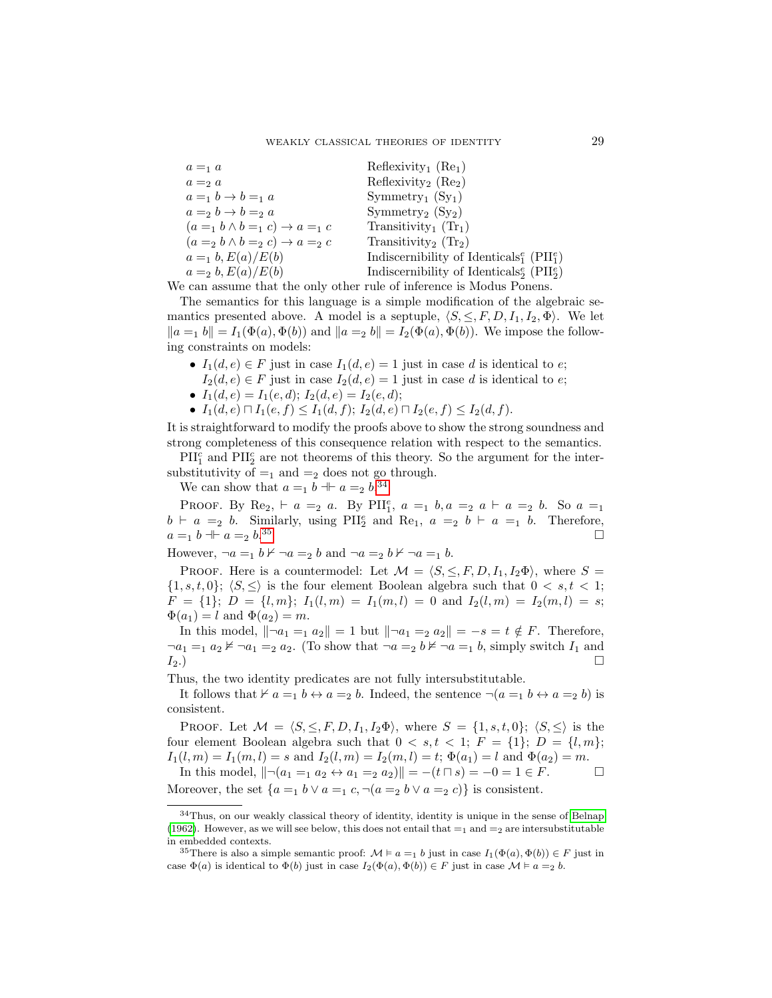| $a = a$                                     | $Reflexivity_1 (Re_1)$                                          |
|---------------------------------------------|-----------------------------------------------------------------|
| $a = a$                                     | Reflexivity <sub>2</sub> $(Re2)$                                |
| $a = b \rightarrow b = a$                   | Symmetry <sub>1</sub> $(Sy_1)$                                  |
| $a = b \rightarrow b = a$                   | Symmetry <sub>2</sub> (Sy <sub>2</sub> )                        |
| $(a=_1 b \wedge b=_1 c) \rightarrow a=_1 c$ | Transitivity <sub>1</sub> $(Tr1)$                               |
| $(a=_2 b \wedge b=_2 c) \rightarrow a=_2 c$ | Transitivity <sub>2</sub> $(Tr2)$                               |
| $a =_1 b, E(a)/E(b)$                        | Indiscernibility of Identicals <sup>e</sup> (PII <sup>e</sup> ) |
| $a =_2 b, E(a)/E(b)$                        | Indiscernibility of Identicals <sup>e</sup> (PII <sup>e</sup> ) |
|                                             |                                                                 |

We can assume that the only other rule of inference is Modus Ponens.

The semantics for this language is a simple modification of the algebraic semantics presented above. A model is a septuple,  $\langle S, \leq, F, D, I_1, I_2, \Phi \rangle$ . We let  $||a = 1 b|| = I_1(\Phi(a), \Phi(b))$  and  $||a = 2 b|| = I_2(\Phi(a), \Phi(b))$ . We impose the following constraints on models:

- $I_1(d, e) \in F$  just in case  $I_1(d, e) = 1$  just in case d is identical to e;  $I_2(d, e) \in F$  just in case  $I_2(d, e) = 1$  just in case d is identical to e;
- $I_1(d, e) = I_1(e, d); I_2(d, e) = I_2(e, d);$
- $I_1(d, e) \sqcap I_1(e, f) \leq I_1(d, f);$   $I_2(d, e) \sqcap I_2(e, f) \leq I_2(d, f).$

It is straightforward to modify the proofs above to show the strong soundness and strong completeness of this consequence relation with respect to the semantics.

 $PII_1^c$  and  $PII_2^c$  are not theorems of this theory. So the argument for the intersubstitutivity of  $=_1$  and  $=_2$  does not go through.

We can show that  $a =_1 b + a =_2 b^{34}$  $a =_1 b + a =_2 b^{34}$  $a =_1 b + a =_2 b^{34}$ 

PROOF. By Re<sub>2</sub>,  $\vdash a =_2 a$ . By PII<sub>1</sub><sup>e</sup>,  $a =_1 b, a =_2 a \vdash a =_2 b$ . So  $a =_1$  $b \vdash a =_2 b$ . Similarly, using PII<sub>2</sub> and Re<sub>1</sub>,  $a =_2 b \vdash a =_1 b$ . Therefore,  $a = 1$   $b + a = 2$   $b^{35}$  $35$ 

However,  $\neg a =_1 b \nvdash \neg a =_2 b$  and  $\neg a =_2 b \nvdash \neg a =_1 b$ .

PROOF. Here is a countermodel: Let  $\mathcal{M} = \langle S, \leq, F, D, I_1, I_2 \Phi \rangle$ , where  $S =$  $\{1, s, t, 0\}; \langle S, \leq \rangle$  is the four element Boolean algebra such that  $0 < s, t < 1;$  $F = \{1\}; D = \{l, m\}; I_1(l, m) = I_1(m, l) = 0 \text{ and } I_2(l, m) = I_2(m, l) = s;$  $\Phi(a_1) = l$  and  $\Phi(a_2) = m$ .

In this model,  $||\neg a_1 =_1 a_2|| = 1$  but  $||\neg a_1 =_2 a_2|| = -s = t \notin F$ . Therefore,  $\neg a_1 =_1 a_2 \nvDash \neg a_1 =_2 a_2$ . (To show that  $\neg a =_2 b \nvDash \neg a =_1 b$ , simply switch  $I_1$  and  $I_2$ .)

Thus, the two identity predicates are not fully intersubstitutable.

It follows that  $\nvdash a =_1 b \leftrightarrow a =_2 b$ . Indeed, the sentence  $\neg(a =_1 b \leftrightarrow a =_2 b)$  is consistent.

PROOF. Let  $\mathcal{M} = \langle S, \leq, F, D, I_1, I_2 \Phi \rangle$ , where  $S = \{1, s, t, 0\}; \langle S, \leq \rangle$  is the four element Boolean algebra such that  $0 \lt s, t \lt 1$ ;  $F = \{1\}$ ;  $D = \{l, m\}$ ;  $I_1(l,m) = I_1(m,l) = s$  and  $I_2(l,m) = I_2(m,l) = t$ ;  $\Phi(a_1) = l$  and  $\Phi(a_2) = m$ . In this model,  $\|\neg(a_1 =_1 a_2 \leftrightarrow a_1 =_2 a_2)\| = -(t \sqcap s) = -0 = 1 \in F.$   $\Box$ 

Moreover, the set  $\{a = 1 \mid b \lor a = 1 \mid c, \neg(a = 2 \mid b \lor a = 2 \mid c)\}$  is consistent.

<span id="page-28-0"></span><sup>&</sup>lt;sup>34</sup>Thus, on our weakly classical theory of identity, identity is unique in the sense of [Belnap](#page-38-7) [\(1962\)](#page-38-7). However, as we will see below, this does not entail that  $=1$  and  $=2$  are intersubstitutable in embedded contexts.

<span id="page-28-1"></span><sup>&</sup>lt;sup>35</sup>There is also a simple semantic proof:  $\mathcal{M} \models a =_1 b$  just in case  $I_1(\Phi(a), \Phi(b)) \in F$  just in case  $\Phi(a)$  is identical to  $\Phi(b)$  just in case  $I_2(\Phi(a), \Phi(b)) \in F$  just in case  $\mathcal{M} \models a =_2 b$ .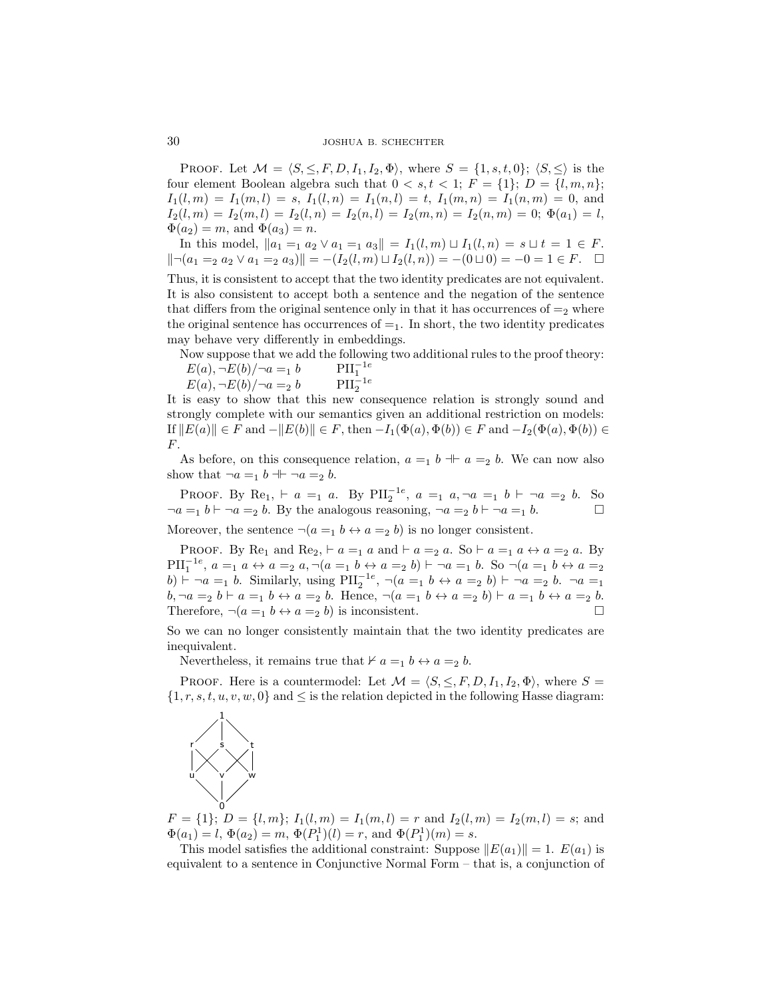PROOF. Let  $\mathcal{M} = \langle S, \leq, F, D, I_1, I_2, \Phi \rangle$ , where  $S = \{1, s, t, 0\}; \langle S, \leq \rangle$  is the four element Boolean algebra such that  $0 < s, t < 1$ ;  $F = \{1\}$ ;  $D = \{l, m, n\}$ ;  $I_1(l,m) = I_1(m,l) = s$ ,  $I_1(l,n) = I_1(n,l) = t$ ,  $I_1(m,n) = I_1(n,m) = 0$ , and  $I_2(l,m) = I_2(m,l) = I_2(l,n) = I_2(n,l) = I_2(m,n) = I_2(n,m) = 0; \ \Phi(a_1) = l,$  $\Phi(a_2) = m$ , and  $\Phi(a_3) = n$ .

In this model,  $||a_1 =_1 a_2 \vee a_1 =_1 a_3|| = I_1(l,m) \sqcup I_1(l,n) = s \sqcup t = 1 \in F$ .  $\|\neg(a_1 =_2 a_2 \vee a_1 =_2 a_3)\| = -(I_2(l,m) \sqcup I_2(l,n)) = -(0 \sqcup 0) = -0 = 1 \in F.$ 

Thus, it is consistent to accept that the two identity predicates are not equivalent. It is also consistent to accept both a sentence and the negation of the sentence that differs from the original sentence only in that it has occurrences of  $=_2$  where the original sentence has occurrences of  $=$ <sub>1</sub>. In short, the two identity predicates may behave very differently in embeddings.

Now suppose that we add the following two additional rules to the proof theory:  $E(a), \neg E(b)/\neg a =_1 b$ 

1  $E(a), \neg E(b)/\neg a =_2 b$ 2

It is easy to show that this new consequence relation is strongly sound and strongly complete with our semantics given an additional restriction on models: If  $||E(a)|| \in F$  and  $-||E(b)|| \in F$ , then  $-I_1(\Phi(a), \Phi(b)) \in F$  and  $-I_2(\Phi(a), \Phi(b)) \in$ F.

As before, on this consequence relation,  $a =_1 b + a =_2 b$ . We can now also show that  $\neg a =_1 b \nightharpoonup \neg a =_2 b$ .

PROOF. By Re<sub>1</sub>,  $\vdash a =_1 a$ . By PII<sub>2</sub><sup>-1e</sup>,  $a =_1 a, \neg a =_1 b \vdash \neg a =_2 b$ . So  $\neg a =_1 b \vdash \neg a =_2 b$ . By the analogous reasoning,  $\neg a =_2 b \vdash \neg a =_1 b$ .

Moreover, the sentence  $\neg(a =_1 b \leftrightarrow a =_2 b)$  is no longer consistent.

PROOF. By Re<sub>1</sub> and Re<sub>2</sub>,  $\vdash a =_1 a$  and  $\vdash a =_2 a$ . So  $\vdash a =_1 a \leftrightarrow a =_2 a$ . By PII<sub>1</sub><sup>-1e</sup>,  $a =_1 a \leftrightarrow a =_2 a, \neg(a =_1 b \leftrightarrow a =_2 b) \vdash \neg a =_1 b$ . So  $\neg(a =_1 b \leftrightarrow a =_2 b)$ b)  $\vdash \neg a =_1 b$ . Similarly, using PII<sub>2</sub><sup>-1e</sup>,  $\neg(a =_1 b \leftrightarrow a =_2 b) \vdash \neg a =_2 b$ .  $\neg a =_1$  $b, \neg a = b \vdash a = b \leftrightarrow a = b$ . Hence,  $\neg(a = b \leftrightarrow a = b) \vdash a = b \leftrightarrow a = b$ . Therefore,  $\neg(a = 1 \, b \leftrightarrow a = 2 \, b)$  is inconsistent.

So we can no longer consistently maintain that the two identity predicates are inequivalent.

Nevertheless, it remains true that  $\nvdash a = b \leftrightarrow a =_2 b$ .

PROOF. Here is a countermodel: Let  $\mathcal{M} = \langle S, \leq, F, D, I_1, I_2, \Phi \rangle$ , where  $S =$  $\{1, r, s, t, u, v, w, 0\}$  and  $\leq$  is the relation depicted in the following Hasse diagram:



 $F = \{1\}; D = \{l, m\}; I_1(l,m) = I_1(m,l) = r$  and  $I_2(l,m) = I_2(m,l) = s$ ; and  $\Phi(a_1) = l, \Phi(a_2) = m, \Phi(P_1^1)(l) = r, \text{ and } \Phi(P_1^1)(m) = s.$ 

This model satisfies the additional constraint: Suppose  $||E(a_1)|| = 1$ .  $E(a_1)$  is equivalent to a sentence in Conjunctive Normal Form – that is, a conjunction of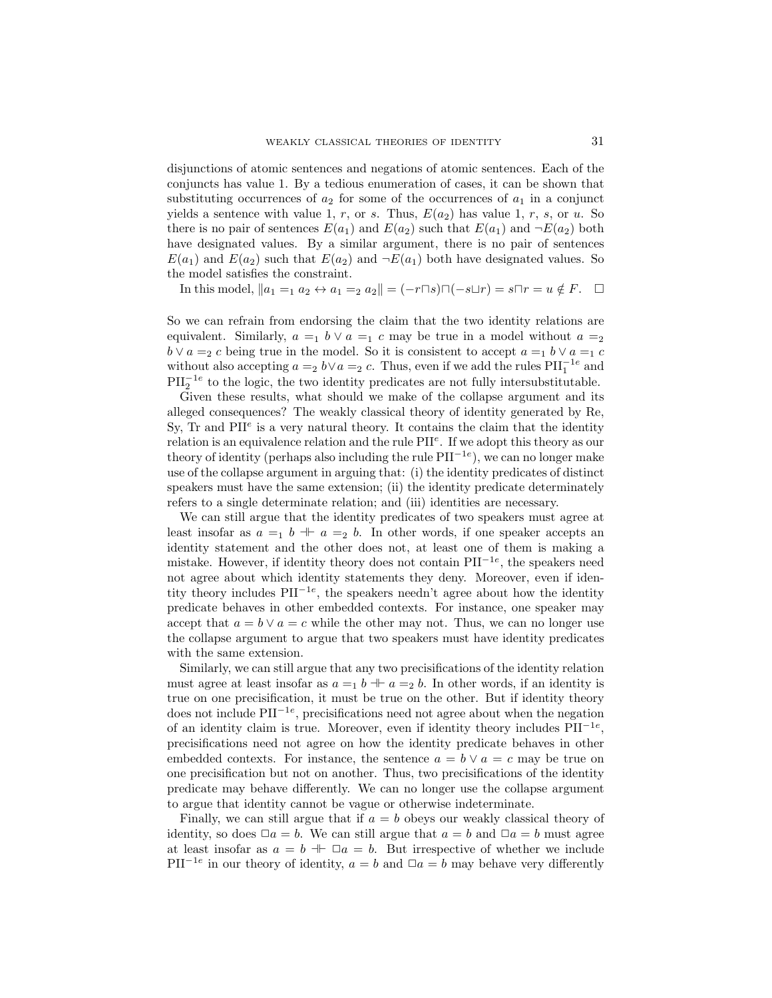disjunctions of atomic sentences and negations of atomic sentences. Each of the conjuncts has value 1. By a tedious enumeration of cases, it can be shown that substituting occurrences of  $a_2$  for some of the occurrences of  $a_1$  in a conjunct yields a sentence with value 1, r, or s. Thus,  $E(a_2)$  has value 1, r, s, or u. So there is no pair of sentences  $E(a_1)$  and  $E(a_2)$  such that  $E(a_1)$  and  $\neg E(a_2)$  both have designated values. By a similar argument, there is no pair of sentences  $E(a_1)$  and  $E(a_2)$  such that  $E(a_2)$  and  $\neg E(a_1)$  both have designated values. So the model satisfies the constraint.

In this model,  $||a_1 =_1 a_2 \leftrightarrow a_1 =_2 a_2|| = (-r \sqcap s) \sqcap (-s \sqcup r) = s \sqcap r = u \notin F$ .  $\Box$ 

So we can refrain from endorsing the claim that the two identity relations are equivalent. Similarly,  $a =_1 b \vee a =_1 c$  may be true in a model without  $a =_2$  $b \vee a =_{2} c$  being true in the model. So it is consistent to accept  $a =_{1} b \vee a =_{1} c$ without also accepting  $a =_2 b \vee a =_2 c$ . Thus, even if we add the rules  $\text{PII}_1^{-1e}$  and  $\text{PII}_{2}^{-1e}$  to the logic, the two identity predicates are not fully intersubstitutable.

Given these results, what should we make of the collapse argument and its alleged consequences? The weakly classical theory of identity generated by Re, Sy, Tr and  $PII^e$  is a very natural theory. It contains the claim that the identity relation is an equivalence relation and the rule  $PII<sup>e</sup>$ . If we adopt this theory as our theory of identity (perhaps also including the rule  $PII^{-1e}$ ), we can no longer make use of the collapse argument in arguing that: (i) the identity predicates of distinct speakers must have the same extension; (ii) the identity predicate determinately refers to a single determinate relation; and (iii) identities are necessary.

We can still argue that the identity predicates of two speakers must agree at least insofar as  $a =_1 b + a =_2 b$ . In other words, if one speaker accepts an identity statement and the other does not, at least one of them is making a mistake. However, if identity theory does not contain PII<sup>−</sup>1<sup>e</sup> , the speakers need not agree about which identity statements they deny. Moreover, even if identity theory includes PII<sup>−</sup>1<sup>e</sup> , the speakers needn't agree about how the identity predicate behaves in other embedded contexts. For instance, one speaker may accept that  $a = b \vee a = c$  while the other may not. Thus, we can no longer use the collapse argument to argue that two speakers must have identity predicates with the same extension.

Similarly, we can still argue that any two precisifications of the identity relation must agree at least insofar as  $a =_1 b + a =_2 b$ . In other words, if an identity is true on one precisification, it must be true on the other. But if identity theory does not include PII<sup>−</sup>1<sup>e</sup> , precisifications need not agree about when the negation of an identity claim is true. Moreover, even if identity theory includes PII<sup>-1e</sup>, precisifications need not agree on how the identity predicate behaves in other embedded contexts. For instance, the sentence  $a = b \vee a = c$  may be true on one precisification but not on another. Thus, two precisifications of the identity predicate may behave differently. We can no longer use the collapse argument to argue that identity cannot be vague or otherwise indeterminate.

Finally, we can still argue that if  $a = b$  obeys our weakly classical theory of identity, so does  $\Box a = b$ . We can still argue that  $a = b$  and  $\Box a = b$  must agree at least insofar as  $a = b + \square a = b$ . But irrespective of whether we include PII<sup>-1e</sup> in our theory of identity,  $a = b$  and  $\Box a = b$  may behave very differently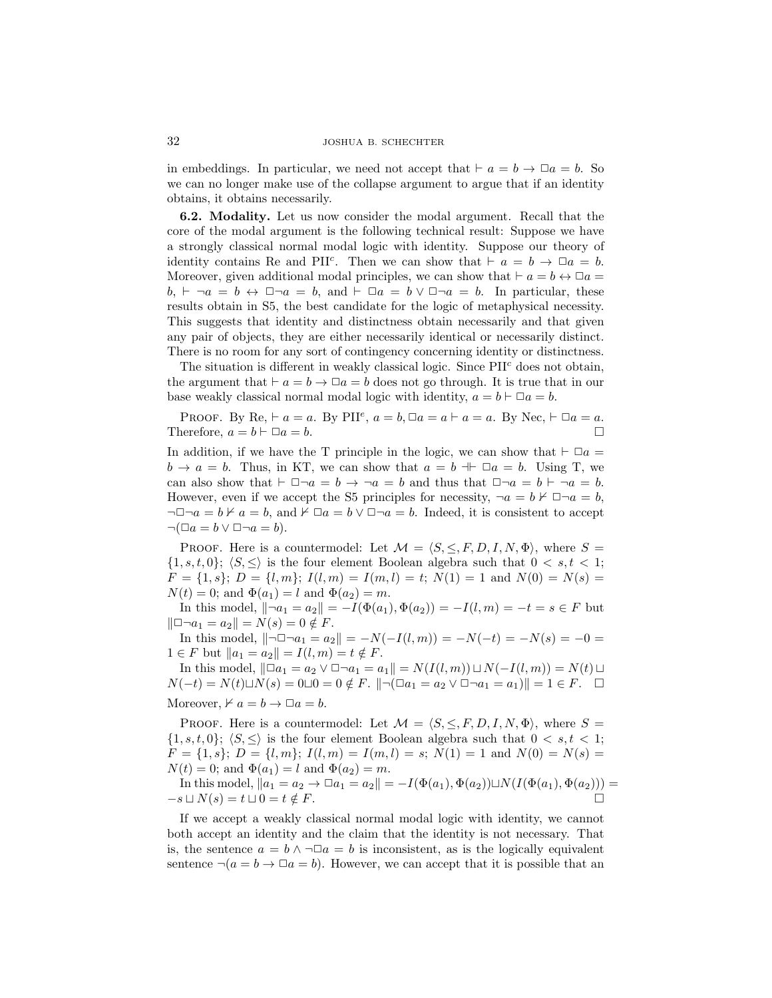in embeddings. In particular, we need not accept that  $\vdash a = b \rightarrow \Box a = b$ . So we can no longer make use of the collapse argument to argue that if an identity obtains, it obtains necessarily.

<span id="page-31-0"></span>6.2. Modality. Let us now consider the modal argument. Recall that the core of the modal argument is the following technical result: Suppose we have a strongly classical normal modal logic with identity. Suppose our theory of identity contains Re and PII<sup>c</sup>. Then we can show that  $\vdash a = b \rightarrow \Box a = b$ . Moreover, given additional modal principles, we can show that  $\vdash a = b \leftrightarrow \Box a =$  $b, \vdash \neg a = b \leftrightarrow \Box \neg a = b, \text{ and } \vdash \Box a = b \lor \Box \neg a = b.$  In particular, these results obtain in S5, the best candidate for the logic of metaphysical necessity. This suggests that identity and distinctness obtain necessarily and that given any pair of objects, they are either necessarily identical or necessarily distinct. There is no room for any sort of contingency concerning identity or distinctness.

The situation is different in weakly classical logic. Since  $PII<sup>c</sup>$  does not obtain, the argument that  $\vdash a = b \rightarrow \Box a = b$  does not go through. It is true that in our base weakly classical normal modal logic with identity,  $a = b \vdash \Box a = b$ .

PROOF. By Re,  $\vdash a = a$ . By PII<sup>e</sup>,  $a = b$ ,  $\Box a = a \vdash a = a$ . By Nec,  $\vdash \Box a = a$ . Therefore,  $a = b \vdash \Box a = b.$ 

In addition, if we have the T principle in the logic, we can show that  $\vdash \Box a =$  $b \rightarrow a = b$ . Thus, in KT, we can show that  $a = b + \Box a = b$ . Using T, we can also show that  $\vdash \Box \neg a = b \rightarrow \neg a = b$  and thus that  $\Box \neg a = b \vdash \neg a = b$ . However, even if we accept the S5 principles for necessity,  $\neg a = b \nvdash \Box \neg a = b$ ,  $\neg \Box \neg a = b \nvdash a = b$ , and  $\nvdash \Box a = b \vee \Box \neg a = b$ . Indeed, it is consistent to accept  $\neg(\Box a = b \vee \Box \neg a = b).$ 

PROOF. Here is a countermodel: Let  $\mathcal{M} = \langle S, \leq, F, D, I, N, \Phi \rangle$ , where  $S =$  $\{1, s, t, 0\}; \langle S, \leq \rangle$  is the four element Boolean algebra such that  $0 < s, t < 1$ ;  $F = \{1, s\}; D = \{l, m\}; I(l, m) = I(m, l) = t; N(1) = 1 \text{ and } N(0) = N(s) =$  $N(t) = 0$ ; and  $\Phi(a_1) = l$  and  $\Phi(a_2) = m$ .

In this model,  $\|\neg a_1 = a_2\| = -I(\Phi(a_1), \Phi(a_2)) = -I(l, m) = -t = s \in F$  but  $\|\Box \neg a_1 = a_2\| = N(s) = 0 \notin F.$ 

In this model,  $\|\neg \Box \neg a_1 = a_2\| = -N(-I(l, m)) = -N(-t) = -N(s) = -0$  $1 \in F$  but  $||a_1 = a_2|| = I(l, m) = t \notin F$ .

In this model,  $||\Box a_1 = a_2 \lor \Box \neg a_1 = a_1|| = N(I(l, m)) \sqcup N(-I(l, m)) = N(t) \sqcup$  $N(-t) = N(t) \sqcup N(s) = 0 \sqcup 0 = 0 \notin F$ .  $\|\neg(\Box a_1 = a_2 \lor \Box \neg a_1 = a_1)\| = 1 \in F$ .  $\Box$ Moreover,  $\nvdash a = b \rightarrow \Box a = b$ .

PROOF. Here is a countermodel: Let  $\mathcal{M} = \langle S, \leq, F, D, I, N, \Phi \rangle$ , where  $S =$  $\{1, s, t, 0\}; \langle S, \leq \rangle$  is the four element Boolean algebra such that  $0 < s, t < 1;$  $F = \{1, s\}; D = \{l, m\}; I(l, m) = I(m, l) = s; N(1) = 1 \text{ and } N(0) = N(s) = s$  $N(t) = 0$ ; and  $\Phi(a_1) = l$  and  $\Phi(a_2) = m$ .

In this model,  $||a_1 = a_2 \to \Box a_1 = a_2|| = -I(\Phi(a_1), \Phi(a_2)) \sqcup N(I(\Phi(a_1), \Phi(a_2))) =$  $-s \sqcup N(s) = t \sqcup 0 = t \notin F.$ 

If we accept a weakly classical normal modal logic with identity, we cannot both accept an identity and the claim that the identity is not necessary. That is, the sentence  $a = b \wedge \neg \Box a = b$  is inconsistent, as is the logically equivalent sentence  $\neg(a = b \rightarrow \Box a = b)$ . However, we can accept that it is possible that an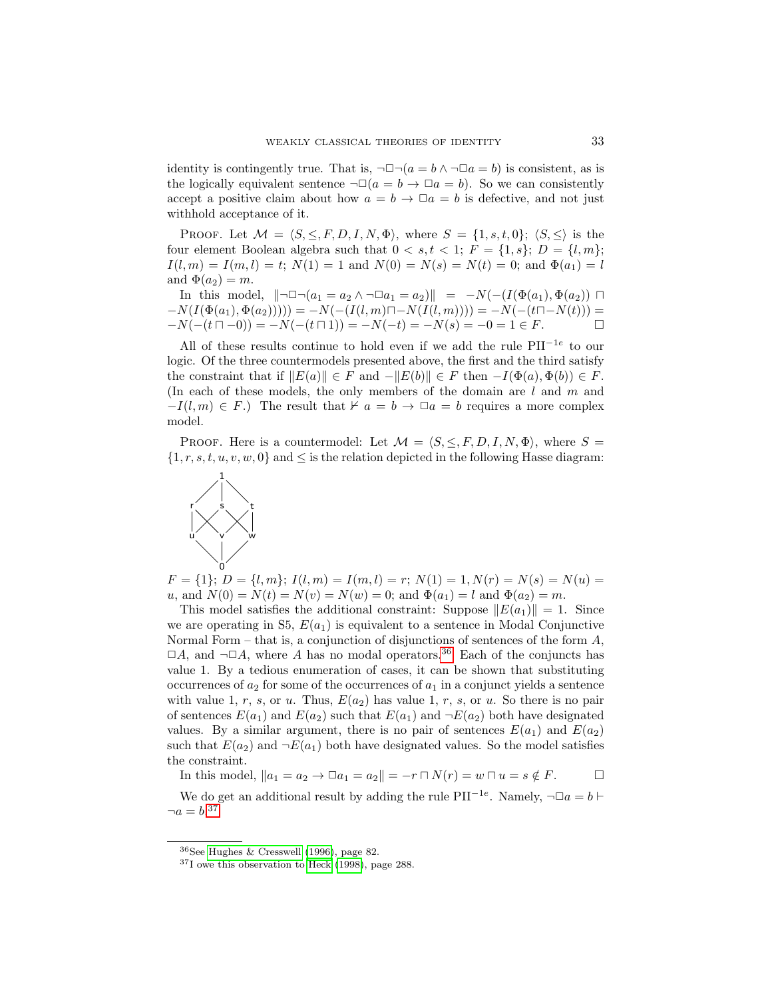identity is contingently true. That is,  $\neg \Box \neg (a = b \land \neg \Box a = b)$  is consistent, as is the logically equivalent sentence  $\neg \Box (a = b \rightarrow \Box a = b)$ . So we can consistently accept a positive claim about how  $a = b \rightarrow \Box a = b$  is defective, and not just withhold acceptance of it.

PROOF. Let  $\mathcal{M} = \langle S, \leq, F, D, I, N, \Phi \rangle$ , where  $S = \{1, s, t, 0\}; \langle S, \leq \rangle$  is the four element Boolean algebra such that  $0 < s, t < 1$ ;  $F = \{1, s\}$ ;  $D = \{l, m\}$ ;  $I(l,m) = I(m,l) = t; N(1) = 1$  and  $N(0) = N(s) = N(t) = 0;$  and  $\Phi(a_1) = l$ and  $\Phi(a_2) = m$ .

In this model,  $\|\neg \Box \neg (a_1 = a_2 \land \neg \Box a_1 = a_2)\| = -N(-(I(\Phi(a_1), \Phi(a_2)) \sqcap$  $-N(I(\Phi(a_1), \Phi(a_2))))$ ) =  $-N(-(I(l, m) \Box - N(I(l, m))))$  =  $-N(-(t \Box - N(t)))$  =  $-N(-(t \sqcap -0)) = -N(-(t \sqcap 1)) = -N(-t) = -N(s) = -0 = 1 \in F.$ 

All of these results continue to hold even if we add the rule PII<sup>-1e</sup> to our logic. Of the three countermodels presented above, the first and the third satisfy the constraint that if  $||E(a)|| \in F$  and  $-||E(b)|| \in F$  then  $-I(\Phi(a), \Phi(b)) \in F$ . (In each of these models, the only members of the domain are  $l$  and  $m$  and  $-I(l,m) \in F$ .) The result that  $\forall a = b \rightarrow \Box a = b$  requires a more complex model.

PROOF. Here is a countermodel: Let  $\mathcal{M} = \langle S, \leq, F, D, I, N, \Phi \rangle$ , where  $S =$  $\{1, r, s, t, u, v, w, 0\}$  and  $\leq$  is the relation depicted in the following Hasse diagram:



 $F = \{1\}; D = \{l, m\}; I(l, m) = I(m, l) = r; N(1) = 1, N(r) = N(s) = N(u)$ u, and  $N(0) = N(t) = N(v) = N(w) = 0$ ; and  $\Phi(a_1) = l$  and  $\Phi(a_2) = m$ .

This model satisfies the additional constraint: Suppose  $||E(a_1)|| = 1$ . Since we are operating in S5,  $E(a_1)$  is equivalent to a sentence in Modal Conjunctive Normal Form – that is, a conjunction of disjunctions of sentences of the form  $A$ ,  $\Box A$ , and  $\neg \Box A$ , where A has no modal operators.<sup>[36](#page-32-0)</sup> Each of the conjuncts has value 1. By a tedious enumeration of cases, it can be shown that substituting occurrences of  $a_2$  for some of the occurrences of  $a_1$  in a conjunct yields a sentence with value 1, r, s, or u. Thus,  $E(a_2)$  has value 1, r, s, or u. So there is no pair of sentences  $E(a_1)$  and  $E(a_2)$  such that  $E(a_1)$  and  $\neg E(a_2)$  both have designated values. By a similar argument, there is no pair of sentences  $E(a_1)$  and  $E(a_2)$ such that  $E(a_2)$  and  $\neg E(a_1)$  both have designated values. So the model satisfies the constraint.

In this model,  $||a_1 = a_2 \to \Box a_1 = a_2|| = -r \Box N(r) = w \Box u = s \notin F$ .  $□$ 

We do get an additional result by adding the rule PII<sup>-1e</sup>. Namely,  $\neg \Box a = b \vdash$  $\neg a = b^{37}$  $\neg a = b^{37}$  $\neg a = b^{37}$ 

<span id="page-32-0"></span> $36$ See [Hughes & Cresswell](#page-38-8) [\(1996\)](#page-38-8), page 82.

<span id="page-32-1"></span><sup>37</sup>I owe this observation to [Heck](#page-38-4) [\(1998\)](#page-38-4), page 288.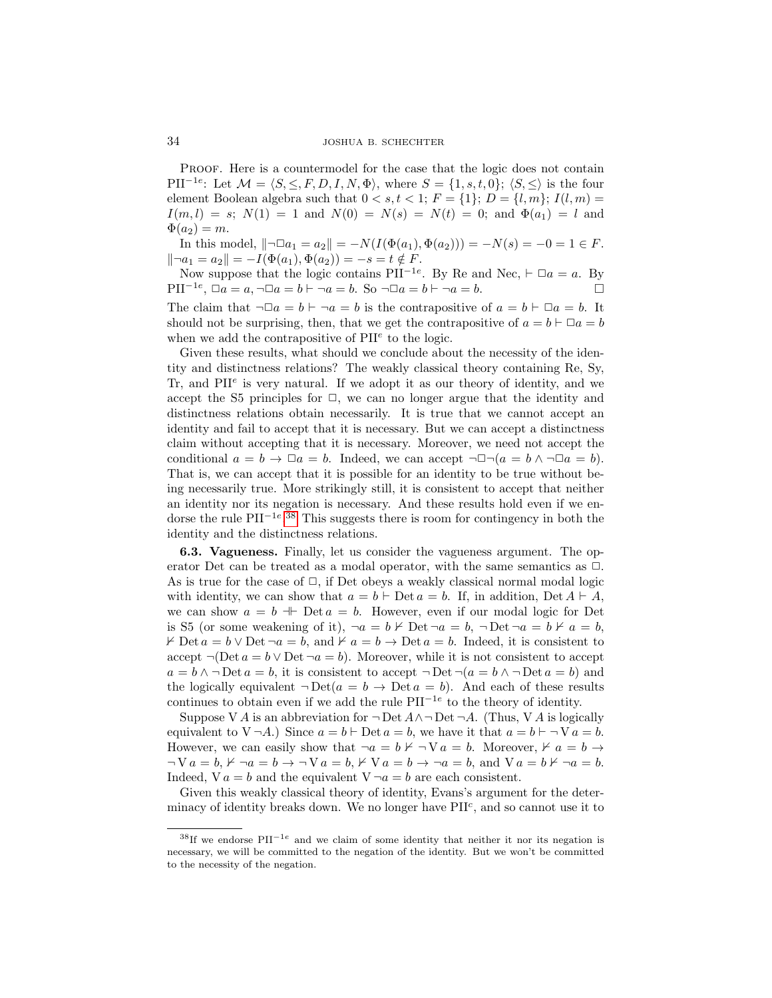### 34 JOSHUA B. SCHECHTER

Proof. Here is a countermodel for the case that the logic does not contain PII<sup>-1e</sup>: Let  $\mathcal{M} = \langle S, \leq, F, D, I, N, \Phi \rangle$ , where  $S = \{1, s, t, 0\}; \langle S, \leq \rangle$  is the four element Boolean algebra such that  $0 < s, t < 1$ ;  $F = \{1\}$ ;  $D = \{l, m\}$ ;  $I(l, m) =$  $I(m, l) = s$ ;  $N(1) = 1$  and  $N(0) = N(s) = N(t) = 0$ ; and  $\Phi(a_1) = l$  and  $\Phi(a_2) = m.$ 

In this model,  $\|\neg \Box a_1 = a_2\| = -N(I(\Phi(a_1), \Phi(a_2))) = -N(s) = -0 = 1 \in F$ .  $\|\neg a_1 = a_2\| = -I(\Phi(a_1), \Phi(a_2)) = -s = t \notin F.$ 

Now suppose that the logic contains  $PII^{-1e}$ . By Re and Nec,  $\vdash \Box a = a$ . By  $PII^{-1e}, \Box a = a, \neg \Box a = b \vdash \neg a = b.$  So  $\neg \Box a = b \vdash \neg a = b.$ 

The claim that  $\neg \Box a = b \vdash \neg a = b$  is the contrapositive of  $a = b \vdash \Box a = b$ . It should not be surprising, then, that we get the contrapositive of  $a = b \vdash \Box a = b$ when we add the contrapositive of  $PII<sup>e</sup>$  to the logic.

Given these results, what should we conclude about the necessity of the identity and distinctness relations? The weakly classical theory containing Re, Sy, Tr, and  $PII<sup>e</sup>$  is very natural. If we adopt it as our theory of identity, and we accept the S5 principles for  $\Box$ , we can no longer argue that the identity and distinctness relations obtain necessarily. It is true that we cannot accept an identity and fail to accept that it is necessary. But we can accept a distinctness claim without accepting that it is necessary. Moreover, we need not accept the conditional  $a = b \rightarrow \Box a = b$ . Indeed, we can accept  $\neg \Box \neg (a = b \land \neg \Box a = b)$ . That is, we can accept that it is possible for an identity to be true without being necessarily true. More strikingly still, it is consistent to accept that neither an identity nor its negation is necessary. And these results hold even if we endorse the rule  $PII^{-1e}$ .<sup>[38](#page-33-0)</sup> This suggests there is room for contingency in both the identity and the distinctness relations.

6.3. Vagueness. Finally, let us consider the vagueness argument. The operator Det can be treated as a modal operator, with the same semantics as  $\Box$ . As is true for the case of  $\Box$ , if Det obeys a weakly classical normal modal logic with identity, we can show that  $a = b \vdash \text{Det } a = b$ . If, in addition,  $\text{Det } A \vdash A$ , we can show  $a = b + \text{Det } a = b$ . However, even if our modal logic for Det is S5 (or some weakening of it),  $\neg a = b \nvdash \text{Det} \neg a = b$ ,  $\neg \text{Det} \neg a = b \nvdash a = b$ ,  $\nvdash$  Det  $a = b \vee$  Det  $\neg a = b$ , and  $\nvdash a = b \rightarrow$  Det  $a = b$ . Indeed, it is consistent to accept  $\neg(\text{Det } a = b \lor \text{Det } \neg a = b)$ . Moreover, while it is not consistent to accept  $a = b \wedge \neg \text{Det } a = b$ , it is consistent to accept  $\neg \text{Det } \neg (a = b \wedge \neg \text{Det } a = b)$  and the logically equivalent  $\neg \text{Det}(a = b \rightarrow \text{Det } a = b)$ . And each of these results continues to obtain even if we add the rule  $PII^{-1e}$  to the theory of identity.

Suppose V A is an abbreviation for  $\neg$  Det  $A \wedge \neg$  Det  $\neg A$ . (Thus, V A is logically equivalent to  $V \neg A$ .) Since  $a = b \vdash \text{Det } a = b$ , we have it that  $a = b \vdash \neg V a = b$ . However, we can easily show that  $\neg a = b \nvdash \neg \nabla a = b$ . Moreover,  $\nvdash a = b \rightarrow \neg$  $\neg \nabla a = b, \nvdash \neg a = b \rightarrow \neg \nabla a = b, \nvdash \nabla a = b \rightarrow \neg a = b, \text{ and } \nabla a = b \nvdash \neg a = b.$ Indeed,  $V a = b$  and the equivalent  $V \neg a = b$  are each consistent.

Given this weakly classical theory of identity, Evans's argument for the determinacy of identity breaks down. We no longer have  $PII<sup>c</sup>$ , and so cannot use it to

<span id="page-33-0"></span> $38$ If we endorse PII<sup>-1e</sup> and we claim of some identity that neither it nor its negation is necessary, we will be committed to the negation of the identity. But we won't be committed to the necessity of the negation.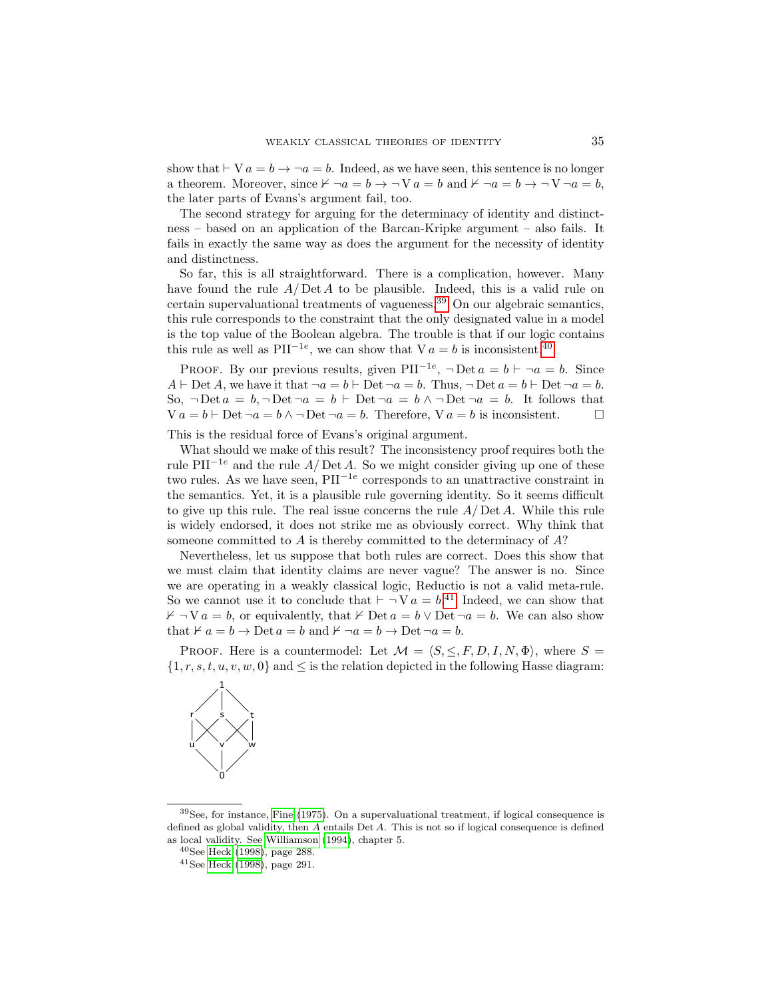show that  $\vdash \nabla a = b \rightarrow \neg a = b$ . Indeed, as we have seen, this sentence is no longer a theorem. Moreover, since  $\nvdash \neg a = b \rightarrow \neg V a = b$  and  $\nvdash \neg a = b \rightarrow \neg V \neg a = b$ , the later parts of Evans's argument fail, too.

The second strategy for arguing for the determinacy of identity and distinctness – based on an application of the Barcan-Kripke argument – also fails. It fails in exactly the same way as does the argument for the necessity of identity and distinctness.

So far, this is all straightforward. There is a complication, however. Many have found the rule  $A/Det A$  to be plausible. Indeed, this is a valid rule on certain supervaluational treatments of vagueness.<sup>[39](#page-34-0)</sup> On our algebraic semantics, this rule corresponds to the constraint that the only designated value in a model is the top value of the Boolean algebra. The trouble is that if our logic contains this rule as well as  $\text{PII}^{-1e}$ , we can show that  $\text{V } a = b$  is inconsistent.<sup>[40](#page-34-1)</sup>

PROOF. By our previous results, given  $PII^{-1e}$ ,  $\neg$ Det  $a = b \vdash \neg a = b$ . Since  $A \vdash$  Det A, we have it that  $\neg a = b \vdash$  Det  $\neg a = b$ . Thus,  $\neg$  Det  $a = b \vdash$  Det  $\neg a = b$ . So,  $\neg$ Det  $a = b$ ,  $\neg$ Det  $\neg a = b$   $\vdash$  Det  $\neg a = b$   $\land$   $\neg$ Det  $\neg a = b$ . It follows that  $V a = b \vdash Det \neg a = b \land \neg Det \neg a = b$ . Therefore,  $V a = b$  is inconsistent.

This is the residual force of Evans's original argument.

What should we make of this result? The inconsistency proof requires both the rule PII<sup>-1e</sup> and the rule A/Det A. So we might consider giving up one of these two rules. As we have seen,  $\text{PII}^{-1e}$  corresponds to an unattractive constraint in the semantics. Yet, it is a plausible rule governing identity. So it seems difficult to give up this rule. The real issue concerns the rule  $A/Det A$ . While this rule is widely endorsed, it does not strike me as obviously correct. Why think that someone committed to A is thereby committed to the determinacy of A?

Nevertheless, let us suppose that both rules are correct. Does this show that we must claim that identity claims are never vague? The answer is no. Since we are operating in a weakly classical logic, Reductio is not a valid meta-rule. So we cannot use it to conclude that  $\vdash \neg V \, a = b$ .<sup>[41](#page-34-2)</sup> Indeed, we can show that  $\nvdash \neg \mathbf{V} \, a = b$ , or equivalently, that  $\nvdash \mathbf{D} \in \mathbf{C} \, a = b \lor \mathbf{D} \in \neg a = b$ . We can also show that  $\nvdash a = b \rightarrow \text{Det } a = b$  and  $\nvdash \neg a = b \rightarrow \text{Det } \neg a = b$ .

PROOF. Here is a countermodel: Let  $\mathcal{M} = \langle S, \leq, F, D, I, N, \Phi \rangle$ , where  $S =$  $\{1, r, s, t, u, v, w, 0\}$  and  $\leq$  is the relation depicted in the following Hasse diagram:



<span id="page-34-0"></span><sup>39</sup>See, for instance, [Fine](#page-38-9) [\(1975\)](#page-38-9). On a supervaluational treatment, if logical consequence is defined as global validity, then A entails Det A. This is not so if logical consequence is defined as local validity. See [Williamson](#page-39-5) [\(1994\)](#page-39-5), chapter 5.

<span id="page-34-1"></span><sup>40</sup>See [Heck](#page-38-4) [\(1998\)](#page-38-4), page 288.

<span id="page-34-2"></span><sup>41</sup>See [Heck](#page-38-4) [\(1998\)](#page-38-4), page 291.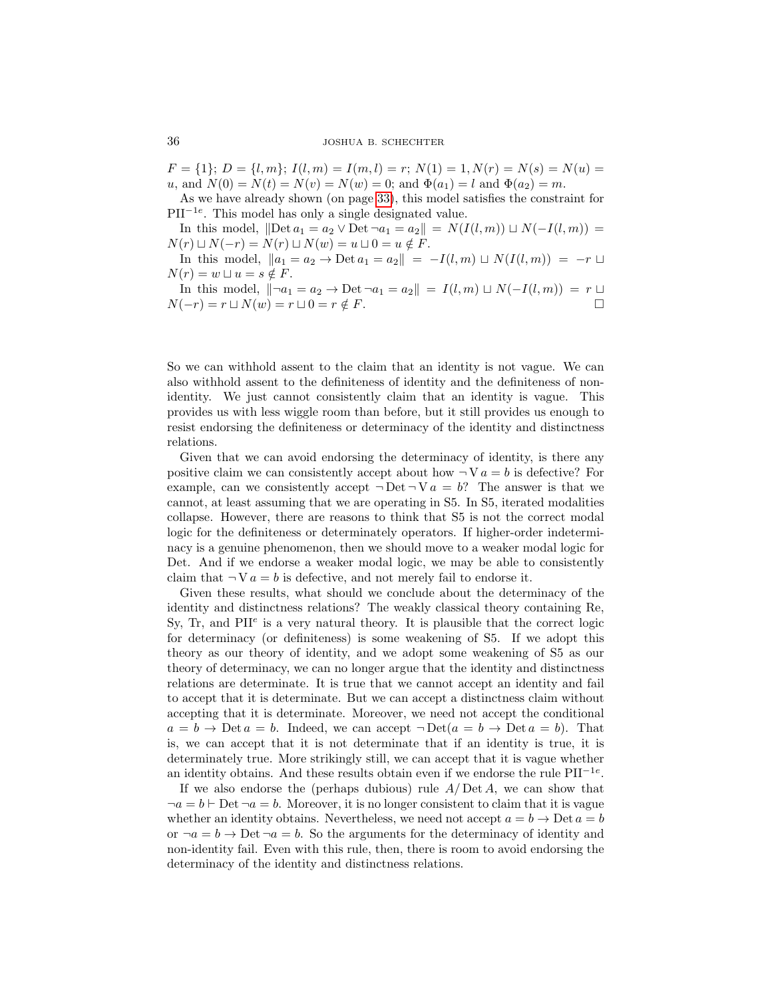36 JOSHUA B. SCHECHTER

 $F = \{1\}; D = \{l, m\}; I(l, m) = I(m, l) = r; N(1) = 1, N(r) = N(s) = N(u) = 0$ u, and  $N(0) = N(t) = N(v) = N(w) = 0$ ; and  $\Phi(a_1) = l$  and  $\Phi(a_2) = m$ .

As we have already shown (on page [33\)](#page-31-0), this model satisfies the constraint for  $PII^{-1e}$ . This model has only a single designated value.

In this model,  $\|\text{Det }a_1 = a_2 \vee \text{Det } \neg a_1 = a_2\| = N(I(l, m)) \sqcup N(-I(l, m)) =$  $N(r) \sqcup N(-r) = N(r) \sqcup N(w) = u \sqcup 0 = u \notin F.$ 

In this model,  $||a_1 = a_2 \rightarrow Det a_1 = a_2 || = -I(l, m) \sqcup N(I(l, m)) = -r \sqcup$  $N(r) = w \sqcup u = s \notin F.$ 

In this model,  $||\neg a_1 = a_2 \rightarrow \text{Det } \neg a_1 = a_2 || = I(l, m) \sqcup N(-I(l, m)) = r \sqcup$  $N(-r) = r \sqcup N(w) = r \sqcup 0 = r \notin F.$ 

So we can withhold assent to the claim that an identity is not vague. We can also withhold assent to the definiteness of identity and the definiteness of nonidentity. We just cannot consistently claim that an identity is vague. This provides us with less wiggle room than before, but it still provides us enough to resist endorsing the definiteness or determinacy of the identity and distinctness relations.

Given that we can avoid endorsing the determinacy of identity, is there any positive claim we can consistently accept about how  $\neg$  V  $a = b$  is defective? For example, can we consistently accept  $\neg$ Det $\neg$ V  $a = b$ ? The answer is that we cannot, at least assuming that we are operating in S5. In S5, iterated modalities collapse. However, there are reasons to think that S5 is not the correct modal logic for the definiteness or determinately operators. If higher-order indeterminacy is a genuine phenomenon, then we should move to a weaker modal logic for Det. And if we endorse a weaker modal logic, we may be able to consistently claim that  $\neg$  V  $a = b$  is defective, and not merely fail to endorse it.

Given these results, what should we conclude about the determinacy of the identity and distinctness relations? The weakly classical theory containing Re, Sy, Tr, and PII<sup>e</sup> is a very natural theory. It is plausible that the correct logic for determinacy (or definiteness) is some weakening of S5. If we adopt this theory as our theory of identity, and we adopt some weakening of S5 as our theory of determinacy, we can no longer argue that the identity and distinctness relations are determinate. It is true that we cannot accept an identity and fail to accept that it is determinate. But we can accept a distinctness claim without accepting that it is determinate. Moreover, we need not accept the conditional  $a = b \rightarrow \text{Det } a = b$ . Indeed, we can accept  $\neg \text{Det}(a = b \rightarrow \text{Det } a = b)$ . That is, we can accept that it is not determinate that if an identity is true, it is determinately true. More strikingly still, we can accept that it is vague whether an identity obtains. And these results obtain even if we endorse the rule  $PII^{-1e}$ .

If we also endorse the (perhaps dubious) rule  $A/Det A$ , we can show that  $\neg a = b \vdash \text{Det } \neg a = b$ . Moreover, it is no longer consistent to claim that it is vague whether an identity obtains. Nevertheless, we need not accept  $a = b \rightarrow$  Det  $a = b$ or  $\neg a = b \rightarrow$  Det  $\neg a = b$ . So the arguments for the determinacy of identity and non-identity fail. Even with this rule, then, there is room to avoid endorsing the determinacy of the identity and distinctness relations.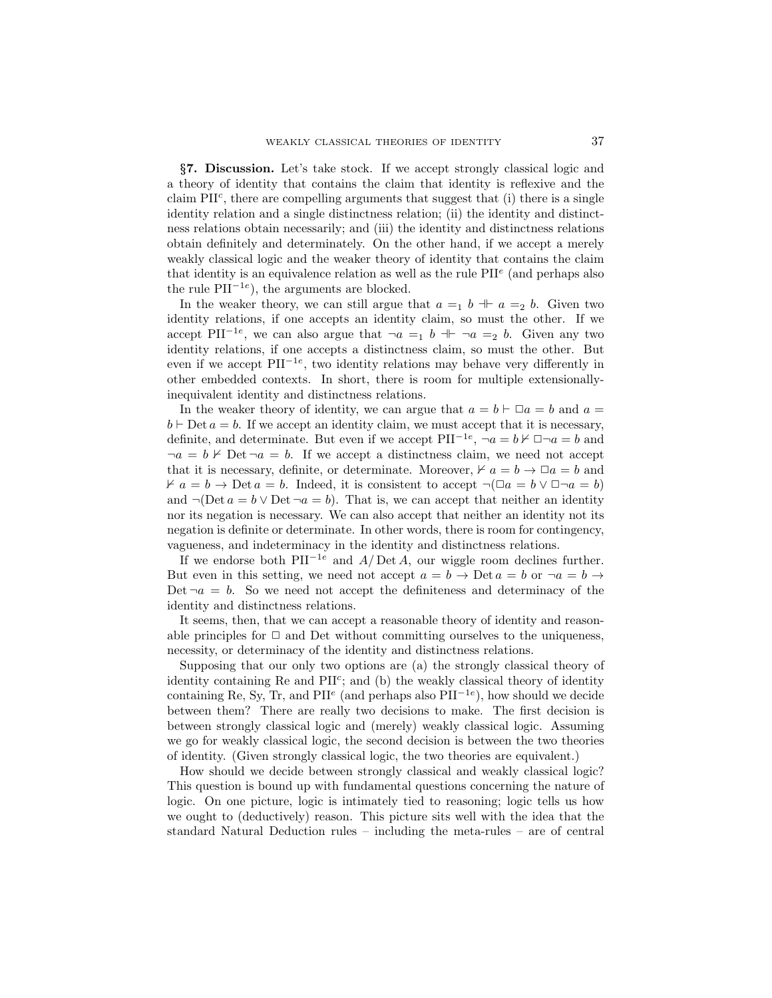§7. Discussion. Let's take stock. If we accept strongly classical logic and a theory of identity that contains the claim that identity is reflexive and the claim  $PII<sup>c</sup>$ , there are compelling arguments that suggest that (i) there is a single identity relation and a single distinctness relation; (ii) the identity and distinctness relations obtain necessarily; and (iii) the identity and distinctness relations obtain definitely and determinately. On the other hand, if we accept a merely weakly classical logic and the weaker theory of identity that contains the claim that identity is an equivalence relation as well as the rule  $PII<sup>e</sup>$  (and perhaps also the rule  $PII^{-1e}$ , the arguments are blocked.

In the weaker theory, we can still argue that  $a =_1 b + a =_2 b$ . Given two identity relations, if one accepts an identity claim, so must the other. If we accept PII<sup>-1e</sup>, we can also argue that  $\neg a =_1 b + \neg a =_2 b$ . Given any two identity relations, if one accepts a distinctness claim, so must the other. But even if we accept  $\text{PII}^{-1e}$ , two identity relations may behave very differently in other embedded contexts. In short, there is room for multiple extensionallyinequivalent identity and distinctness relations.

In the weaker theory of identity, we can argue that  $a = b \vdash \Box a = b$  and  $a =$  $b \vdash$  Det  $a = b$ . If we accept an identity claim, we must accept that it is necessary, definite, and determinate. But even if we accept  $\text{PII}^{-1e}$ ,  $\neg a = b \nvdash \Box \neg a = b$  and  $\neg a = b \nvdash \text{Det} \neg a = b$ . If we accept a distinctness claim, we need not accept that it is necessary, definite, or determinate. Moreover,  $\nvdash a = b \rightarrow \Box a = b$  and  $\forall a = b \rightarrow \text{Det } a = b.$  Indeed, it is consistent to accept  $\neg(\Box a = b \lor \Box \neg a = b)$ and  $\neg(\text{Det } a = b \lor \text{Det } \neg a = b)$ . That is, we can accept that neither an identity nor its negation is necessary. We can also accept that neither an identity not its negation is definite or determinate. In other words, there is room for contingency, vagueness, and indeterminacy in the identity and distinctness relations.

If we endorse both PII<sup>-1e</sup> and  $A/Det A$ , our wiggle room declines further. But even in this setting, we need not accept  $a = b \rightarrow$  Det  $a = b$  or  $\neg a = b \rightarrow$ Det  $\neg a = b$ . So we need not accept the definiteness and determinacy of the identity and distinctness relations.

It seems, then, that we can accept a reasonable theory of identity and reasonable principles for  $\Box$  and Det without committing ourselves to the uniqueness, necessity, or determinacy of the identity and distinctness relations.

Supposing that our only two options are (a) the strongly classical theory of identity containing Re and PII<sup>c</sup>; and (b) the weakly classical theory of identity containing Re, Sy, Tr, and PII<sup>e</sup> (and perhaps also PII<sup>-1e</sup>), how should we decide between them? There are really two decisions to make. The first decision is between strongly classical logic and (merely) weakly classical logic. Assuming we go for weakly classical logic, the second decision is between the two theories of identity. (Given strongly classical logic, the two theories are equivalent.)

How should we decide between strongly classical and weakly classical logic? This question is bound up with fundamental questions concerning the nature of logic. On one picture, logic is intimately tied to reasoning; logic tells us how we ought to (deductively) reason. This picture sits well with the idea that the standard Natural Deduction rules – including the meta-rules – are of central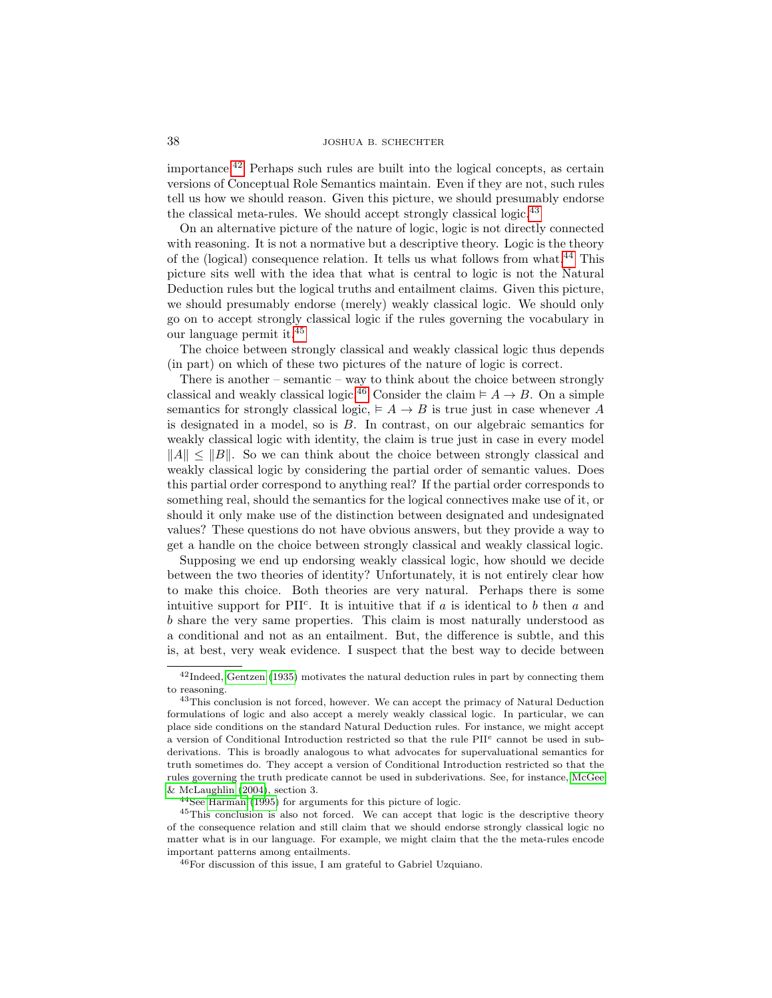### 38 JOSHUA B. SCHECHTER

importance.[42](#page-37-0) Perhaps such rules are built into the logical concepts, as certain versions of Conceptual Role Semantics maintain. Even if they are not, such rules tell us how we should reason. Given this picture, we should presumably endorse the classical meta-rules. We should accept strongly classical logic.<sup>[43](#page-37-1)</sup>

On an alternative picture of the nature of logic, logic is not directly connected with reasoning. It is not a normative but a descriptive theory. Logic is the theory of the (logical) consequence relation. It tells us what follows from what.<sup>[44](#page-37-2)</sup> This picture sits well with the idea that what is central to logic is not the Natural Deduction rules but the logical truths and entailment claims. Given this picture, we should presumably endorse (merely) weakly classical logic. We should only go on to accept strongly classical logic if the rules governing the vocabulary in our language permit it.[45](#page-37-3)

The choice between strongly classical and weakly classical logic thus depends (in part) on which of these two pictures of the nature of logic is correct.

There is another – semantic – way to think about the choice between strongly classical and weakly classical logic.<sup>[46](#page-37-4)</sup> Consider the claim  $\models A \rightarrow B$ . On a simple semantics for strongly classical logic,  $\vdash A \rightarrow B$  is true just in case whenever A is designated in a model, so is  $B$ . In contrast, on our algebraic semantics for weakly classical logic with identity, the claim is true just in case in every model  $||A|| \leq ||B||$ . So we can think about the choice between strongly classical and weakly classical logic by considering the partial order of semantic values. Does this partial order correspond to anything real? If the partial order corresponds to something real, should the semantics for the logical connectives make use of it, or should it only make use of the distinction between designated and undesignated values? These questions do not have obvious answers, but they provide a way to get a handle on the choice between strongly classical and weakly classical logic.

Supposing we end up endorsing weakly classical logic, how should we decide between the two theories of identity? Unfortunately, it is not entirely clear how to make this choice. Both theories are very natural. Perhaps there is some intuitive support for PII<sup>c</sup>. It is intuitive that if  $a$  is identical to  $b$  then  $a$  and b share the very same properties. This claim is most naturally understood as a conditional and not as an entailment. But, the difference is subtle, and this is, at best, very weak evidence. I suspect that the best way to decide between

<span id="page-37-0"></span><sup>42</sup>Indeed, [Gentzen](#page-38-10) [\(1935\)](#page-38-10) motivates the natural deduction rules in part by connecting them to reasoning.

<span id="page-37-1"></span><sup>&</sup>lt;sup>43</sup>This conclusion is not forced, however. We can accept the primacy of Natural Deduction formulations of logic and also accept a merely weakly classical logic. In particular, we can place side conditions on the standard Natural Deduction rules. For instance, we might accept a version of Conditional Introduction restricted so that the rule PII<sup>e</sup> cannot be used in subderivations. This is broadly analogous to what advocates for supervaluational semantics for truth sometimes do. They accept a version of Conditional Introduction restricted so that the rules governing the truth predicate cannot be used in subderivations. See, for instance, [McGee](#page-39-10) [& McLaughlin](#page-39-10) [\(2004\)](#page-39-10), section 3.

<span id="page-37-3"></span><span id="page-37-2"></span><sup>44</sup>See [Harman](#page-38-11) [\(1995\)](#page-38-11) for arguments for this picture of logic.

<sup>&</sup>lt;sup>45</sup>This conclusion is also not forced. We can accept that logic is the descriptive theory of the consequence relation and still claim that we should endorse strongly classical logic no matter what is in our language. For example, we might claim that the the meta-rules encode important patterns among entailments.

<span id="page-37-4"></span><sup>46</sup>For discussion of this issue, I am grateful to Gabriel Uzquiano.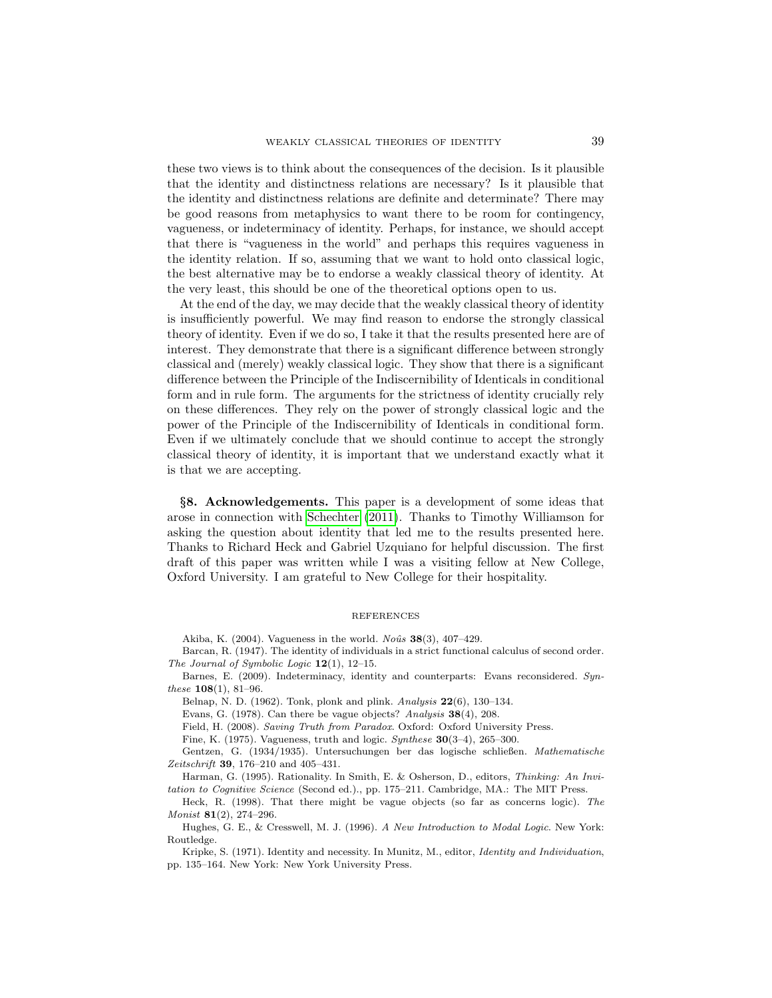these two views is to think about the consequences of the decision. Is it plausible that the identity and distinctness relations are necessary? Is it plausible that the identity and distinctness relations are definite and determinate? There may be good reasons from metaphysics to want there to be room for contingency, vagueness, or indeterminacy of identity. Perhaps, for instance, we should accept that there is "vagueness in the world" and perhaps this requires vagueness in the identity relation. If so, assuming that we want to hold onto classical logic, the best alternative may be to endorse a weakly classical theory of identity. At the very least, this should be one of the theoretical options open to us.

At the end of the day, we may decide that the weakly classical theory of identity is insufficiently powerful. We may find reason to endorse the strongly classical theory of identity. Even if we do so, I take it that the results presented here are of interest. They demonstrate that there is a significant difference between strongly classical and (merely) weakly classical logic. They show that there is a significant difference between the Principle of the Indiscernibility of Identicals in conditional form and in rule form. The arguments for the strictness of identity crucially rely on these differences. They rely on the power of strongly classical logic and the power of the Principle of the Indiscernibility of Identicals in conditional form. Even if we ultimately conclude that we should continue to accept the strongly classical theory of identity, it is important that we understand exactly what it is that we are accepting.

§8. Acknowledgements. This paper is a development of some ideas that arose in connection with [Schechter \(2011\)](#page-39-11). Thanks to Timothy Williamson for asking the question about identity that led me to the results presented here. Thanks to Richard Heck and Gabriel Uzquiano for helpful discussion. The first draft of this paper was written while I was a visiting fellow at New College, Oxford University. I am grateful to New College for their hospitality.

### REFERENCES

<span id="page-38-5"></span><span id="page-38-1"></span>Akiba, K. (2004). Vagueness in the world. No $\hat{u}$ s 38(3), 407–429.

Barcan, R. (1947). The identity of individuals in a strict functional calculus of second order. The Journal of Symbolic Logic  $12(1)$ , 12-15.

<span id="page-38-6"></span>Barnes, E. (2009). Indeterminacy, identity and counterparts: Evans reconsidered. Synthese 108(1), 81–96.

<span id="page-38-7"></span>Belnap, N. D. (1962). Tonk, plonk and plink. Analysis 22(6), 130–134.

<span id="page-38-2"></span>Evans, G. (1978). Can there be vague objects? Analysis 38(4), 208.

<span id="page-38-3"></span>Field, H. (2008). Saving Truth from Paradox. Oxford: Oxford University Press.

<span id="page-38-10"></span><span id="page-38-9"></span>Fine, K. (1975). Vagueness, truth and logic.  $Synthese$  30(3-4), 265-300.

Gentzen, G. (1934/1935). Untersuchungen ber das logische schließen. Mathematische Zeitschrift 39, 176-210 and 405-431.

<span id="page-38-11"></span>Harman, G. (1995). Rationality. In Smith, E. & Osherson, D., editors, Thinking: An Invitation to Cognitive Science (Second ed.)., pp. 175–211. Cambridge, MA.: The MIT Press.

<span id="page-38-4"></span>Heck, R. (1998). That there might be vague objects (so far as concerns logic). The Monist 81(2), 274–296.

<span id="page-38-8"></span>Hughes, G. E., & Cresswell, M. J. (1996). A New Introduction to Modal Logic. New York: Routledge.

<span id="page-38-0"></span>Kripke, S. (1971). Identity and necessity. In Munitz, M., editor, Identity and Individuation, pp. 135–164. New York: New York University Press.